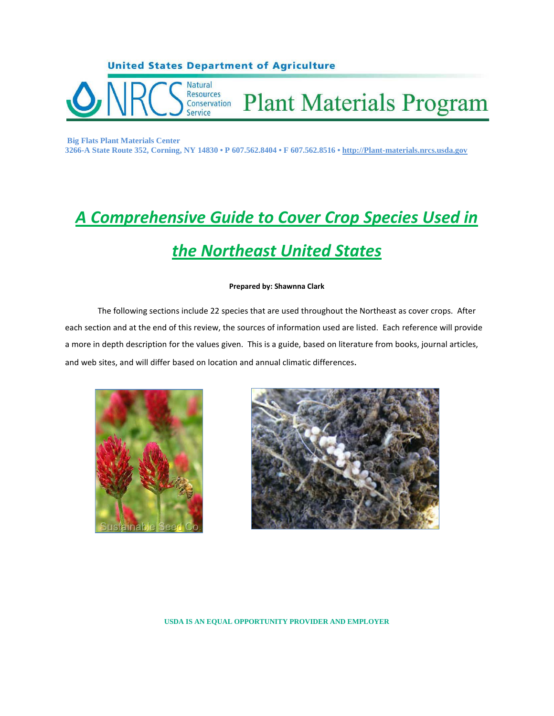

**Big Flats Plant Materials Center 3266-A State Route 352, Corning, NY 14830 • P 607.562.8404 • F 607.562.8516 • http://Plant-materials.nrcs.usda.gov**

# *A Comprehensive Guide to Cover Crop Species Used in the Northeast United States*

#### **Prepared by: Shawnna Clark**

The following sections include 22 species that are used throughout the Northeast as cover crops. After each section and at the end of this review, the sources of information used are listed. Each reference will provide a more in depth description for the values given. This is a guide, based on literature from books, journal articles, and web sites, and will differ based on location and annual climatic differences.





**USDA IS AN EQUAL OPPORTUNITY PROVIDER AND EMPLOYER**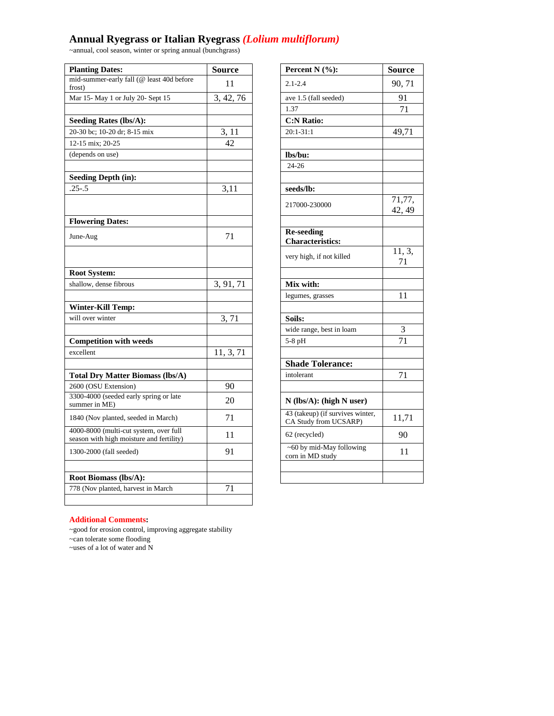### **Annual Ryegrass or Italian Ryegrass** *(Lolium multiflorum)*

~annual, cool season, winter or spring annual (bunchgrass)

| <b>Planting Dates:</b>                                                             | <b>Source</b> | Percent $N$ (%):                                          | <b>Source</b>    |
|------------------------------------------------------------------------------------|---------------|-----------------------------------------------------------|------------------|
| mid-summer-early fall (@ least 40d before<br>frost)                                | 11            | $2.1 - 2.4$                                               | 90, 71           |
| Mar 15- May 1 or July 20- Sept 15                                                  | 3, 42, 76     | ave 1.5 (fall seeded)                                     | 91               |
|                                                                                    |               | 1.37                                                      | 71               |
| <b>Seeding Rates (lbs/A):</b>                                                      |               | <b>C:N Ratio:</b>                                         |                  |
| 20-30 bc; 10-20 dr; 8-15 mix                                                       | 3, 11         | $20:1 - 31:1$                                             | 49,71            |
| 12-15 mix; 20-25                                                                   | 42            |                                                           |                  |
| (depends on use)                                                                   |               | lbs/bu:                                                   |                  |
|                                                                                    |               | $24 - 26$                                                 |                  |
| <b>Seeding Depth (in):</b>                                                         |               |                                                           |                  |
| $.25 - .5$                                                                         | 3,11          | seeds/lb:                                                 |                  |
|                                                                                    |               | 217000-230000                                             | 71,77,<br>42, 49 |
| <b>Flowering Dates:</b>                                                            |               |                                                           |                  |
| June-Aug                                                                           | 71            | <b>Re-seeding</b><br><b>Characteristics:</b>              |                  |
|                                                                                    |               | very high, if not killed                                  | 11, 3,<br>71     |
| <b>Root System:</b>                                                                |               |                                                           |                  |
| shallow, dense fibrous                                                             | 3, 91, 71     | Mix with:                                                 |                  |
|                                                                                    |               | legumes, grasses                                          | 11               |
| <b>Winter-Kill Temp:</b>                                                           |               |                                                           |                  |
| will over winter                                                                   | 3,71          | Soils:                                                    |                  |
|                                                                                    |               | wide range, best in loam                                  | 3                |
| <b>Competition with weeds</b>                                                      |               | 5-8 pH                                                    | 71               |
| excellent                                                                          | 11, 3, 71     |                                                           |                  |
|                                                                                    |               | <b>Shade Tolerance:</b>                                   |                  |
| <b>Total Dry Matter Biomass (lbs/A)</b>                                            |               | intolerant                                                | 71               |
| 2600 (OSU Extension)                                                               | 90            |                                                           |                  |
| 3300-4000 (seeded early spring or late<br>summer in ME)                            | 20            | $N$ (lbs/A): (high N user)                                |                  |
| 1840 (Nov planted, seeded in March)                                                | 71            | 43 (takeup) (if survives winter,<br>CA Study from UCSARP) | 11,71            |
| 4000-8000 (multi-cut system, over full<br>season with high moisture and fertility) | 11            | 62 (recycled)                                             | 90               |
| 1300-2000 (fall seeded)                                                            | 91            | ~60 by mid-May following<br>corn in MD study              | 11               |
|                                                                                    |               |                                                           |                  |
| Root Biomass (lbs/A):                                                              | 71            |                                                           |                  |
| 778 (Nov planted, harvest in March                                                 |               |                                                           |                  |

| Percent N (%):                                            | Source                        |
|-----------------------------------------------------------|-------------------------------|
| $2.1 - 2.4$                                               | 90,71                         |
| ave 1.5 (fall seeded)                                     | 91                            |
| 1.37                                                      | 71                            |
| <b>C:N Ratio:</b>                                         |                               |
| $20:1 - 31:1$                                             | 49,71                         |
| lbs/bu:                                                   |                               |
| $24 - 26$                                                 |                               |
|                                                           |                               |
| seeds/lb:                                                 |                               |
| 217000-230000                                             | $\overline{7}1,77,$<br>42, 49 |
| <b>Re-seeding</b>                                         |                               |
| <b>Characteristics:</b>                                   |                               |
| very high, if not killed                                  | 11, 3,<br>71                  |
|                                                           |                               |
| Mix with:                                                 |                               |
| legumes, grasses                                          | 11                            |
|                                                           |                               |
| Soils:                                                    |                               |
| wide range, best in loam                                  | 3                             |
| 5-8 pH                                                    | 71                            |
|                                                           |                               |
| <b>Shade Tolerance:</b>                                   |                               |
| intolerant                                                | 71                            |
|                                                           |                               |
| N (lbs/A): (high N user)                                  |                               |
| 43 (takeup) (if survives winter,<br>CA Study from UCSARP) | 11,71                         |
| 62 (recycled)                                             | 90                            |
| ~60 by mid-May following<br>corn in MD study              | 11                            |
|                                                           |                               |
|                                                           |                               |

#### **Additional Comments:**

~good for erosion control, improving aggregate stability

~can tolerate some flooding

~uses of a lot of water and N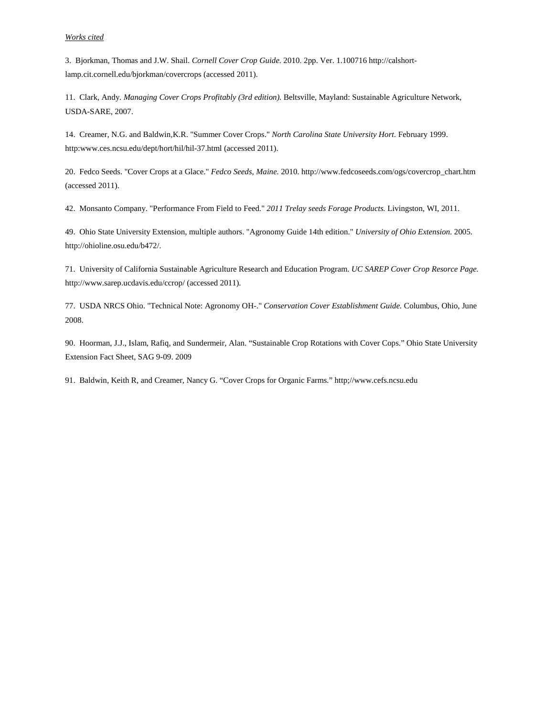#### *Works cited*

3. Bjorkman, Thomas and J.W. Shail. *Cornell Cover Crop Guide.* 2010. 2pp. Ver. 1.100716 http://calshortlamp.cit.cornell.edu/bjorkman/covercrops (accessed 2011).

11. Clark, Andy. *Managing Cover Crops Profitably (3rd edition).* Beltsville, Mayland: Sustainable Agriculture Network, USDA-SARE, 2007.

14. Creamer, N.G. and Baldwin,K.R. "Summer Cover Crops." *North Carolina State University Hort.* February 1999. http:www.ces.ncsu.edu/dept/hort/hil/hil-37.html (accessed 2011).

20. Fedco Seeds. "Cover Crops at a Glace." *Fedco Seeds, Maine.* 2010. http://www.fedcoseeds.com/ogs/covercrop\_chart.htm (accessed 2011).

42. Monsanto Company. "Performance From Field to Feed." *2011 Trelay seeds Forage Products.* Livingston, WI, 2011.

49. Ohio State University Extension, multiple authors. "Agronomy Guide 14th edition." *University of Ohio Extension.* 2005. http://ohioline.osu.edu/b472/.

71. University of California Sustainable Agriculture Research and Education Program. *UC SAREP Cover Crop Resorce Page.* http://www.sarep.ucdavis.edu/ccrop/ (accessed 2011).

77. USDA NRCS Ohio. "Technical Note: Agronomy OH-." *Conservation Cover Establishment Guide.* Columbus, Ohio, June 2008.

90. Hoorman, J.J., Islam, Rafiq, and Sundermeir, Alan. "Sustainable Crop Rotations with Cover Cops." Ohio State University Extension Fact Sheet, SAG 9-09. 2009

91. Baldwin, Keith R, and Creamer, Nancy G. "Cover Crops for Organic Farms." http;//www.cefs.ncsu.edu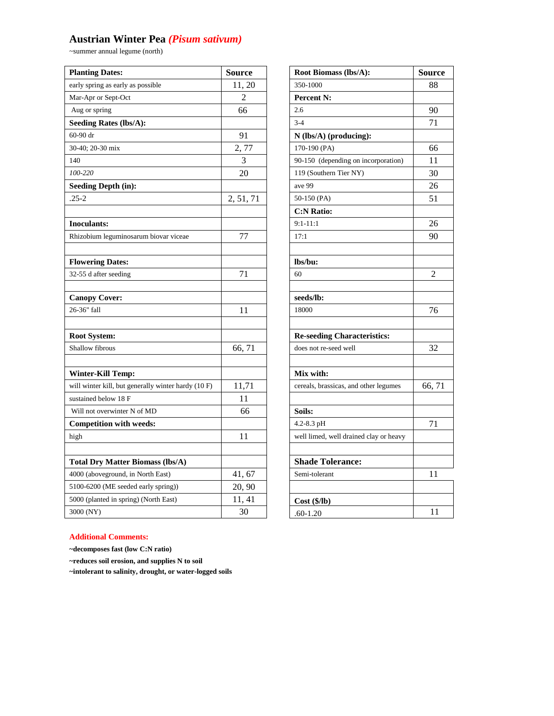# **Austrian Winter Pea** *(Pisum sativum)*

~summer annual legume (north)

| <b>Planting Dates:</b><br><b>Source</b><br>Root Biomass (lbs/A):<br><b>Source</b>                              |  |
|----------------------------------------------------------------------------------------------------------------|--|
| 350-1000<br>early spring as early as possible<br>11, 20<br>88                                                  |  |
| Mar-Apr or Sept-Oct<br>2<br><b>Percent N:</b>                                                                  |  |
| 66<br>2.6<br>90<br>Aug or spring                                                                               |  |
| $3 - 4$<br>71<br><b>Seeding Rates (lbs/A):</b>                                                                 |  |
| 91<br>60-90 dr<br>$N$ (lbs/A) (producing):                                                                     |  |
| 2,77<br>30-40; 20-30 mix<br>170-190 (PA)<br>66                                                                 |  |
| 3<br>140<br>90-150 (depending on incorporation)<br>11                                                          |  |
| 100-220<br>20<br>30<br>119 (Southern Tier NY)                                                                  |  |
| <b>Seeding Depth (in):</b><br>ave 99<br>26                                                                     |  |
| 2, 51, 71<br>51<br>$.25 - 2$<br>50-150 (PA)                                                                    |  |
| <b>C:N Ratio:</b>                                                                                              |  |
| $9:1 - 11:1$<br>26<br><b>Inoculants:</b>                                                                       |  |
| 90<br>77<br>17:1<br>Rhizobium leguminosarum biovar viceae                                                      |  |
|                                                                                                                |  |
| lbs/bu:<br><b>Flowering Dates:</b>                                                                             |  |
| 32-55 d after seeding<br>71<br>60<br>2                                                                         |  |
|                                                                                                                |  |
| seeds/lb:<br><b>Canopy Cover:</b>                                                                              |  |
| 26-36" fall<br>11<br>18000<br>76                                                                               |  |
|                                                                                                                |  |
| <b>Root System:</b><br><b>Re-seeding Characteristics:</b>                                                      |  |
| Shallow fibrous<br>32<br>does not re-seed well<br>66, 71                                                       |  |
|                                                                                                                |  |
| Mix with:<br><b>Winter-Kill Temp:</b>                                                                          |  |
| 11,71<br>66,71<br>will winter kill, but generally winter hardy (10 F)<br>cereals, brassicas, and other legumes |  |
| 11<br>sustained below 18 F                                                                                     |  |
| 66<br>Soils:<br>Will not overwinter N of MD                                                                    |  |
| $4.2 - 8.3$ pH<br>71<br><b>Competition with weeds:</b>                                                         |  |
| 11<br>high<br>well limed, well drained clay or heavy                                                           |  |
|                                                                                                                |  |
| <b>Shade Tolerance:</b><br><b>Total Dry Matter Biomass (lbs/A)</b>                                             |  |
| 41, 67<br>Semi-tolerant<br>4000 (aboveground, in North East)<br>11                                             |  |
| 20, 90<br>5100-6200 (ME seeded early spring))                                                                  |  |
| 11, 41<br>5000 (planted in spring) (North East)<br>$Cost$ (\$/lb)                                              |  |
| 3000 (NY)<br>30<br>11<br>$.60 - 1.20$                                                                          |  |

| Root Biomass (lbs/A):                  | Source         |
|----------------------------------------|----------------|
| 350-1000                               | 88             |
| <b>Percent N:</b>                      |                |
| 2.6                                    | 90             |
| $3 - 4$                                | 71             |
| N (lbs/A) (producing):                 |                |
| 170-190 (PA)                           | 66             |
| 90-150 (depending on incorporation)    | 11             |
| 119 (Southern Tier NY)                 | 30             |
| ave 99                                 | 26             |
| 50-150 (PA)                            | 51             |
| <b>C:N Ratio:</b>                      |                |
| $9:1 - 11:1$                           | 26             |
| 17:1                                   | 90             |
|                                        |                |
| lbs/bu:                                |                |
| 60                                     | $\mathfrak{D}$ |
|                                        |                |
| seeds/lb:                              |                |
| 18000                                  | 76             |
|                                        |                |
| <b>Re-seeding Characteristics:</b>     |                |
| does not re-seed well                  | 32             |
|                                        |                |
| Mix with:                              |                |
| cereals, brassicas, and other legumes  | 66,71          |
|                                        |                |
| Soils:                                 |                |
| 4.2-8.3 pH                             | 71             |
| well limed, well drained clay or heavy |                |
|                                        |                |
| <b>Shade Tolerance:</b>                |                |
| Semi-tolerant                          | 11             |
|                                        |                |
| $Cost($ \$/lb)                         |                |
| $.60 - 1.20$                           | 11             |

### **Additional Comments:**

**~decomposes fast (low C:N ratio)**

**~reduces soil erosion, and supplies N to soil**

**~intolerant to salinity, drought, or water-logged soils**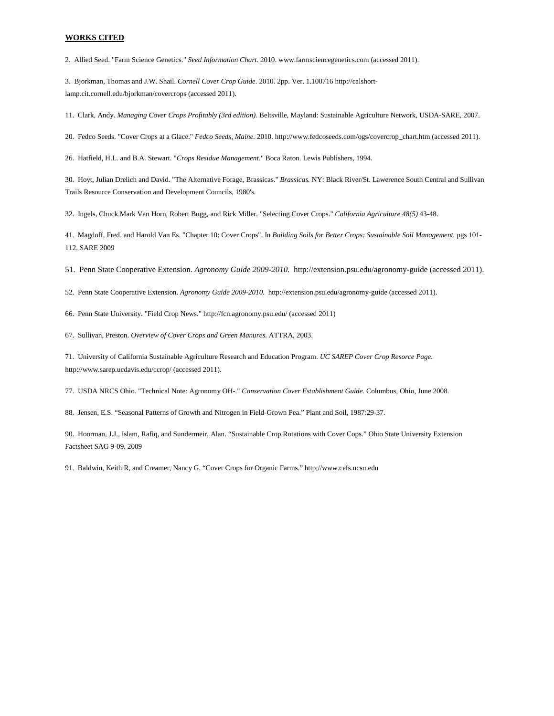2. Allied Seed. "Farm Science Genetics." *Seed Information Chart.* 2010. www.farmsciencegenetics.com (accessed 2011).

3. Bjorkman, Thomas and J.W. Shail. *Cornell Cover Crop Guide.* 2010. 2pp. Ver. 1.100716 http://calshortlamp.cit.cornell.edu/bjorkman/covercrops (accessed 2011).

11. Clark, Andy. *Managing Cover Crops Profitably (3rd edition).* Beltsville, Mayland: Sustainable Agriculture Network, USDA-SARE, 2007.

20. Fedco Seeds. "Cover Crops at a Glace." *Fedco Seeds, Maine.* 2010. http://www.fedcoseeds.com/ogs/covercrop\_chart.htm (accessed 2011).

26. Hatfield, H.L. and B.A. Stewart. "*Crops Residue Management."* Boca Raton. Lewis Publishers, 1994.

30. Hoyt, Julian Drelich and David. "The Alternative Forage, Brassicas." *Brassicas.* NY: Black River/St. Lawerence South Central and Sullivan Trails Resource Conservation and Development Councils, 1980's.

32. Ingels, Chuck.Mark Van Horn, Robert Bugg, and Rick Miller. "Selecting Cover Crops." *California Agriculture 48(5)* 43-48.

41. Magdoff, Fred. and Harold Van Es. "Chapter 10: Cover Crops". In *Building Soils for Better Crops: Sustainable Soil Management.* pgs 101- 112. SARE 2009

51. Penn State Cooperative Extension. *Agronomy Guide 2009-2010.* http://extension.psu.edu/agronomy-guide (accessed 2011).

52. Penn State Cooperative Extension. *Agronomy Guide 2009-2010.* http://extension.psu.edu/agronomy-guide (accessed 2011).

66. Penn State University. "Field Crop News." http://fcn.agronomy.psu.edu/ (accessed 2011)

67. Sullivan, Preston. *Overview of Cover Crops and Green Manures.* ATTRA, 2003.

71. University of California Sustainable Agriculture Research and Education Program. *UC SAREP Cover Crop Resorce Page.* http://www.sarep.ucdavis.edu/ccrop/ (accessed 2011).

77. USDA NRCS Ohio. "Technical Note: Agronomy OH-." *Conservation Cover Establishment Guide.* Columbus, Ohio, June 2008.

88. Jensen, E.S. "Seasonal Patterns of Growth and Nitrogen in Field-Grown Pea." Plant and Soil, 1987:29-37.

90. Hoorman, J.J., Islam, Rafiq, and Sundermeir, Alan. "Sustainable Crop Rotations with Cover Cops." Ohio State University Extension Factsheet SAG 9-09. 2009

91. Baldwin, Keith R, and Creamer, Nancy G. "Cover Crops for Organic Farms." http;//www.cefs.ncsu.edu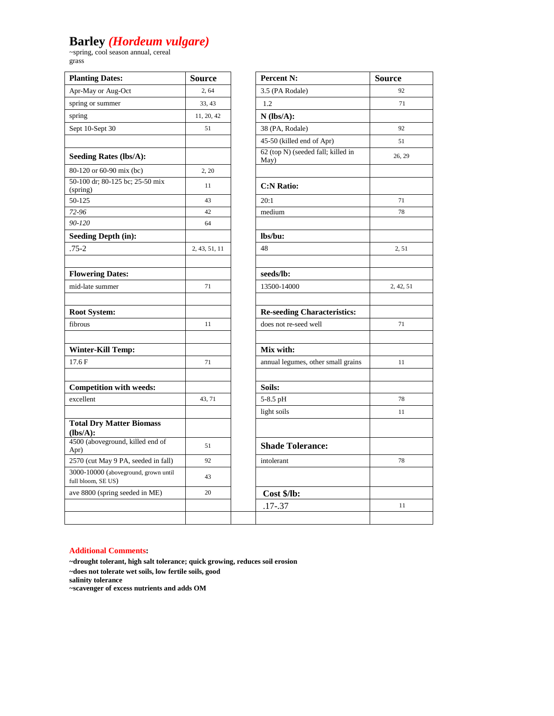# **Barley** *(Hordeum vulgare)*

~spring, cool season annual, cereal grass

| <b>Planting Dates:</b>                                     | <b>Source</b> | <b>Percent N:</b>                          | <b>Source</b> |
|------------------------------------------------------------|---------------|--------------------------------------------|---------------|
| Apr-May or Aug-Oct                                         | 2,64          | 3.5 (PA Rodale)                            | 92            |
| spring or summer                                           | 33, 43        | 1.2                                        | 71            |
| spring                                                     | 11, 20, 42    | $N$ (lbs/A):                               |               |
| Sept 10-Sept 30                                            | 51            | 38 (PA, Rodale)                            | 92            |
|                                                            |               | 45-50 (killed end of Apr)                  | 51            |
| <b>Seeding Rates (lbs/A):</b>                              |               | 62 (top N) (seeded fall; killed in<br>May) | 26, 29        |
| 80-120 or 60-90 mix (bc)                                   | 2.20          |                                            |               |
| 50-100 dr; 80-125 bc; 25-50 mix<br>(spring)                | 11            | <b>C:N Ratio:</b>                          |               |
| 50-125                                                     | 43            | 20:1                                       | 71            |
| 72-96                                                      | 42            | medium                                     | 78            |
| 90-120                                                     | 64            |                                            |               |
| <b>Seeding Depth (in):</b>                                 |               | lbs/bu:                                    |               |
| $.75 - 2$                                                  | 2, 43, 51, 11 | 48                                         | 2, 51         |
| <b>Flowering Dates:</b>                                    |               | seeds/lb:                                  |               |
| mid-late summer                                            | 71            | 13500-14000                                | 2, 42, 51     |
| <b>Root System:</b>                                        |               | <b>Re-seeding Characteristics:</b>         |               |
| fibrous                                                    | 11            | does not re-seed well                      | 71            |
| <b>Winter-Kill Temp:</b>                                   |               | Mix with:                                  |               |
| 17.6F                                                      | 71            | annual legumes, other small grains         | 11            |
| <b>Competition with weeds:</b>                             |               | Soils:                                     |               |
| excellent                                                  | 43, 71        | 5-8.5 pH                                   | 78            |
|                                                            |               | light soils                                | 11            |
| <b>Total Dry Matter Biomass</b><br>$(lbs/A):$              |               |                                            |               |
| 4500 (aboveground, killed end of<br>Apr)                   | 51            | <b>Shade Tolerance:</b>                    |               |
| 2570 (cut May 9 PA, seeded in fall)                        | 92            | intolerant                                 | 78            |
| 3000-10000 (aboveground, grown until<br>full bloom, SE US) | 43            |                                            |               |
| ave 8800 (spring seeded in ME)                             | 20            | Cost \$/lb:                                |               |
|                                                            |               | $.17 - .37$                                | 11            |
|                                                            |               |                                            |               |
|                                                            |               |                                            |               |

| <b>Percent N:</b>                          | <b>Source</b> |
|--------------------------------------------|---------------|
| 3.5 (PA Rodale)                            | 92            |
| 1.2                                        | 71            |
| $N$ (lbs/A):                               |               |
| 38 (PA, Rodale)                            | 92            |
| 45-50 (killed end of Apr)                  | 51            |
| 62 (top N) (seeded fall; killed in<br>May) | 26, 29        |
|                                            |               |
| <b>C:N Ratio:</b>                          |               |
| 20:1                                       | 71            |
| medium                                     | 78            |
|                                            |               |
| lbs/bu:                                    |               |
| 48                                         | 2, 51         |
|                                            |               |
| seeds/lb:                                  |               |
| 13500-14000                                | 2, 42, 51     |
|                                            |               |
| <b>Re-seeding Characteristics:</b>         |               |
| does not re-seed well                      | 71            |
| Mix with:                                  |               |
| annual legumes, other small grains         | 11            |
|                                            |               |
| Soils:                                     |               |
| 5-8.5 pH                                   | 78            |
| light soils                                | 11            |
|                                            |               |
| <b>Shade Tolerance:</b>                    |               |
| intolerant                                 | 78            |
|                                            |               |
| Cost \$/lb:                                |               |
| $.17 - .37$                                | 11            |
|                                            |               |

#### **Additional Comments:**

**~drought tolerant, high salt tolerance; quick growing, reduces soil erosion ~does not tolerate wet soils, low fertile soils, good salinity tolerance ~scavenger of excess nutrients and adds OM**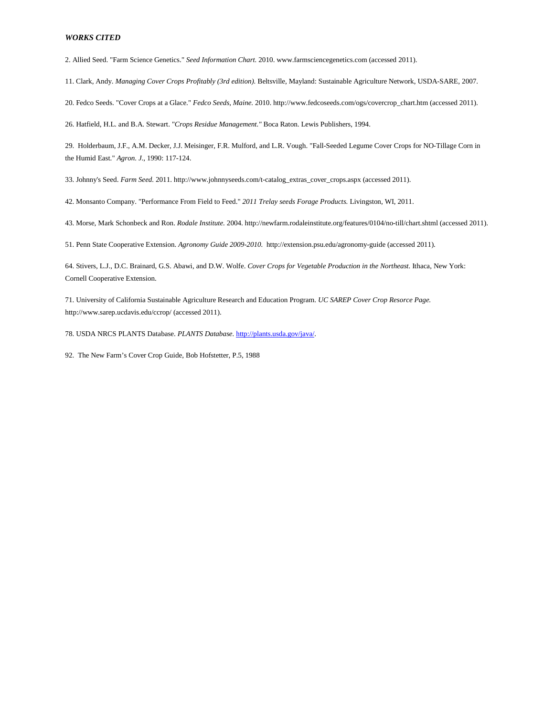2. Allied Seed. "Farm Science Genetics." *Seed Information Chart.* 2010. www.farmsciencegenetics.com (accessed 2011).

11. Clark, Andy. *Managing Cover Crops Profitably (3rd edition).* Beltsville, Mayland: Sustainable Agriculture Network, USDA-SARE, 2007.

20. Fedco Seeds. "Cover Crops at a Glace." *Fedco Seeds, Maine.* 2010. http://www.fedcoseeds.com/ogs/covercrop\_chart.htm (accessed 2011).

26. Hatfield, H.L. and B.A. Stewart. "*Crops Residue Management."* Boca Raton. Lewis Publishers, 1994.

29. Holderbaum, J.F., A.M. Decker, J.J. Meisinger, F.R. Mulford, and L.R. Vough. "Fall-Seeded Legume Cover Crops for NO-Tillage Corn in the Humid East." *Agron. J.*, 1990: 117-124.

33. Johnny's Seed. *Farm Seed.* 2011. http://www.johnnyseeds.com/t-catalog\_extras\_cover\_crops.aspx (accessed 2011).

42. Monsanto Company. "Performance From Field to Feed." *2011 Trelay seeds Forage Products.* Livingston, WI, 2011.

43. Morse, Mark Schonbeck and Ron. *Rodale Institute.* 2004. http://newfarm.rodaleinstitute.org/features/0104/no-till/chart.shtml (accessed 2011).

51. Penn State Cooperative Extension. *Agronomy Guide 2009-2010.* http://extension.psu.edu/agronomy-guide (accessed 2011).

64. Stivers, L.J., D.C. Brainard, G.S. Abawi, and D.W. Wolfe. *Cover Crops for Vegetable Production in the Northeast.* Ithaca, New York: Cornell Cooperative Extension.

71. University of California Sustainable Agriculture Research and Education Program. *UC SAREP Cover Crop Resorce Page.* http://www.sarep.ucdavis.edu/ccrop/ (accessed 2011).

78. USDA NRCS PLANTS Database. *PLANTS Database.* [http://plants.usda.gov/java/.](http://plants.usda.gov/java/)

92. The New Farm's Cover Crop Guide, Bob Hofstetter, P.5, 1988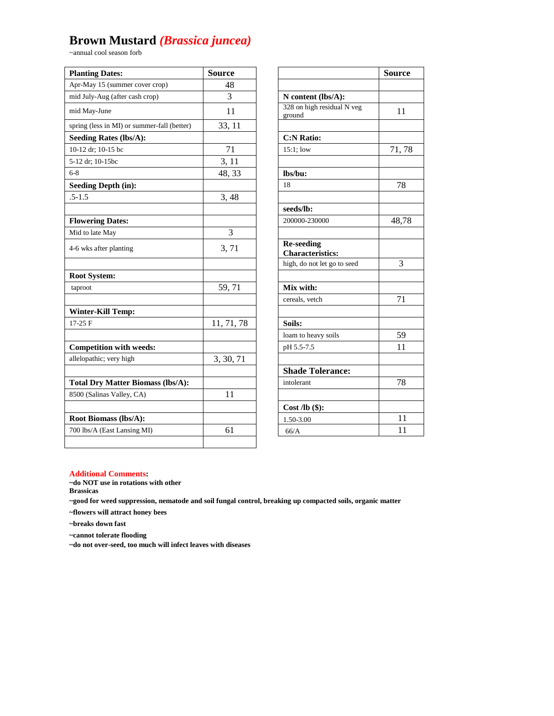# **Brown Mustard** *(Brassica juncea)*

~annual cool season forb

| <b>Planting Dates:</b>                      | <b>Source</b>  |                                              | <b>Source</b> |
|---------------------------------------------|----------------|----------------------------------------------|---------------|
| Apr-May 15 (summer cover crop)              | 48             |                                              |               |
| mid July-Aug (after cash crop)              | 3              | N content (lbs/A):                           |               |
| mid May-June                                | 11             | 328 on high residual N veg<br>ground         | 11            |
| spring (less in MI) or summer-fall (better) | 33, 11         |                                              |               |
| <b>Seeding Rates (lbs/A):</b>               |                | <b>C:N Ratio:</b>                            |               |
| 10-12 dr; 10-15 bc                          | $71\,$         | $15:1$ ; low                                 | 71,78         |
| 5-12 dr; 10-15bc                            | 3, 11          |                                              |               |
| $6 - 8$                                     | 48, 33         | lbs/bu:                                      |               |
| <b>Seeding Depth (in):</b>                  |                | 18                                           | 78            |
| $.5 - 1.5$                                  | 3,48           |                                              |               |
|                                             |                | seeds/lb:                                    |               |
| <b>Flowering Dates:</b>                     |                | 200000-230000                                | 48,78         |
| Mid to late May                             | $\overline{3}$ |                                              |               |
| 4-6 wks after planting                      | 3, 71          | <b>Re-seeding</b><br><b>Characteristics:</b> |               |
|                                             |                | high, do not let go to seed                  | 3             |
| <b>Root System:</b>                         |                |                                              |               |
| taproot                                     | 59,71          | Mix with:                                    |               |
|                                             |                | cereals, vetch                               | 71            |
| <b>Winter-Kill Temp:</b>                    |                |                                              |               |
| $17-25$ F                                   | 11, 71, 78     | Soils:                                       |               |
|                                             |                | loam to heavy soils                          | 59            |
| <b>Competition with weeds:</b>              |                | pH 5.5-7.5                                   | 11            |
| allelopathic; very high                     | 3, 30, 71      |                                              |               |
|                                             |                | <b>Shade Tolerance:</b>                      |               |
| <b>Total Dry Matter Biomass (lbs/A):</b>    |                | intolerant                                   | 78            |
| 8500 (Salinas Valley, CA)                   | 11             |                                              |               |
|                                             |                | Cost $\mathbf{Ab}$ (\$):                     |               |
| Root Biomass (lbs/A):                       |                | 1.50-3.00                                    | 11            |
| 700 lbs/A (East Lansing MI)                 | 61             | 66/A                                         | 11            |
|                                             |                |                                              |               |

|                                      | Source          |
|--------------------------------------|-----------------|
|                                      |                 |
| N content (lbs/A):                   |                 |
| 328 on high residual N veg<br>ground | 11              |
|                                      |                 |
| <b>C:N Ratio:</b>                    |                 |
| $15:1$ ; low                         | 71,78           |
| lbs/bu:                              |                 |
| 18                                   | 78              |
|                                      |                 |
| seeds/lb:                            |                 |
| 200000-230000                        | 48,78           |
|                                      |                 |
| <b>Re-seeding</b>                    |                 |
| <b>Characteristics:</b>              |                 |
| high, do not let go to seed          | 3               |
| Mix with:                            |                 |
| cereals, vetch                       | 71              |
|                                      |                 |
| Soils:                               |                 |
| loam to heavy soils                  | 59              |
| pH 5.5-7.5                           | $\overline{11}$ |
|                                      |                 |
| <b>Shade Tolerance:</b>              |                 |
| intolerant                           | 78              |
|                                      |                 |
| Cost $\mathbf{Ab}$ (\$):             |                 |
| 1.50-3.00                            | 11              |
| 66/A                                 | 11              |

#### **Additional Comments:**

**~do NOT use in rotations with other** 

**Brassicas**

**~good for weed suppression, nematode and soil fungal control, breaking up compacted soils, organic matter**

**~flowers will attract honey bees**

**~breaks down fast**

**~cannot tolerate flooding**

**~do not over-seed, too much will infect leaves with diseases**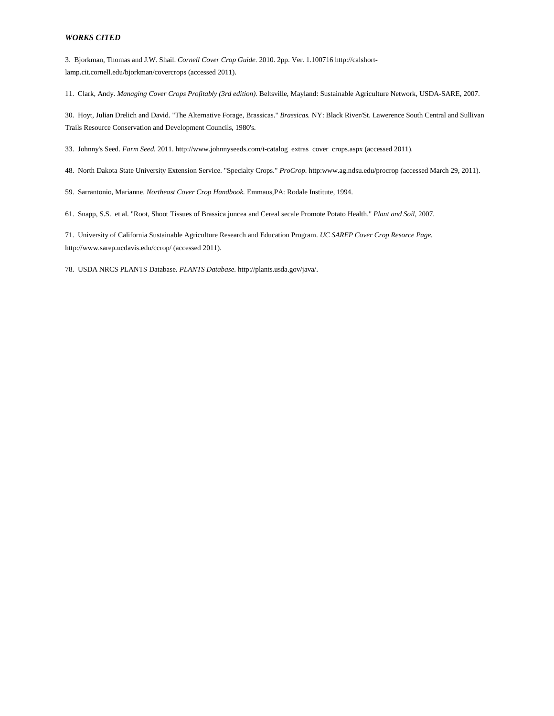3. Bjorkman, Thomas and J.W. Shail. *Cornell Cover Crop Guide.* 2010. 2pp. Ver. 1.100716 http://calshortlamp.cit.cornell.edu/bjorkman/covercrops (accessed 2011).

11. Clark, Andy. *Managing Cover Crops Profitably (3rd edition).* Beltsville, Mayland: Sustainable Agriculture Network, USDA-SARE, 2007.

30. Hoyt, Julian Drelich and David. "The Alternative Forage, Brassicas." *Brassicas.* NY: Black River/St. Lawerence South Central and Sullivan Trails Resource Conservation and Development Councils, 1980's.

33. Johnny's Seed. *Farm Seed.* 2011. http://www.johnnyseeds.com/t-catalog\_extras\_cover\_crops.aspx (accessed 2011).

48. North Dakota State University Extension Service. "Specialty Crops." *ProCrop.* http:www.ag.ndsu.edu/procrop (accessed March 29, 2011).

59. Sarrantonio, Marianne. *Northeast Cover Crop Handbook.* Emmaus,PA: Rodale Institute, 1994.

61. Snapp, S.S. et al. "Root, Shoot Tissues of Brassica juncea and Cereal secale Promote Potato Health." *Plant and Soil*, 2007.

71. University of California Sustainable Agriculture Research and Education Program. *UC SAREP Cover Crop Resorce Page.* http://www.sarep.ucdavis.edu/ccrop/ (accessed 2011).

78. USDA NRCS PLANTS Database. *PLANTS Database.* http://plants.usda.gov/java/.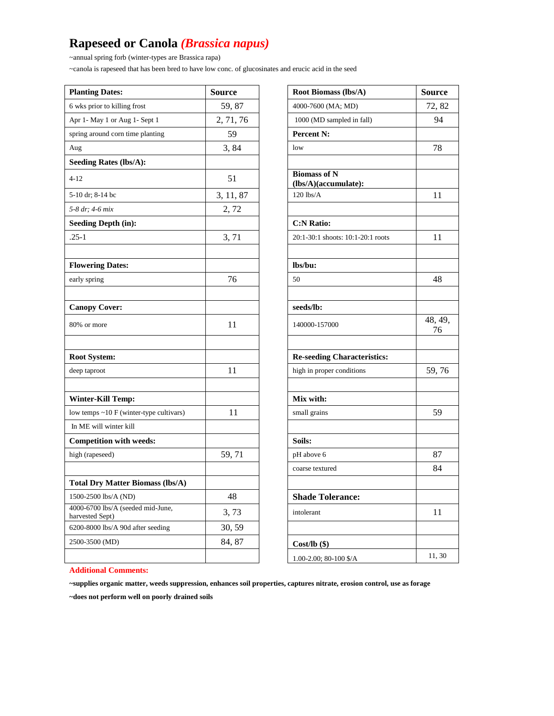# **Rapeseed or Canola** *(Brassica napus)*

~annual spring forb (winter-types are Brassica rapa)

~canola is rapeseed that has been bred to have low conc. of glucosinates and erucic acid in the seed

| <b>Planting Dates:</b>                               | <b>Source</b> | Root Biomass (lbs/A)                        | <b>Source</b> |
|------------------------------------------------------|---------------|---------------------------------------------|---------------|
| 6 wks prior to killing frost                         | 59,87         | 4000-7600 (MA; MD)                          | 72, 82        |
| Apr 1- May 1 or Aug 1- Sept 1                        | 2, 71, 76     | 1000 (MD sampled in fall)                   | 94            |
| spring around corn time planting                     | 59            | Percent N:                                  |               |
| Aug                                                  | 3,84          | low                                         | 78            |
| <b>Seeding Rates (lbs/A):</b>                        |               |                                             |               |
| $4 - 12$                                             | 51            | <b>Biomass of N</b><br>(lbs/A)(accumulate): |               |
| 5-10 dr; 8-14 bc                                     | 3, 11, 87     | $120$ lbs/A                                 | 11            |
| 5-8 dr; 4-6 mix                                      | 2,72          |                                             |               |
| <b>Seeding Depth (in):</b>                           |               | <b>C:N Ratio:</b>                           |               |
| $.25-1$                                              | 3,71          | 20:1-30:1 shoots: 10:1-20:1 roots           | 11            |
| <b>Flowering Dates:</b>                              |               | lbs/bu:                                     |               |
| early spring                                         | 76            | 50                                          | 48            |
|                                                      |               |                                             |               |
| <b>Canopy Cover:</b>                                 |               | seeds/lb:                                   |               |
| 80% or more                                          | 11            | 140000-157000                               | 48, 49,<br>76 |
| <b>Root System:</b>                                  |               | <b>Re-seeding Characteristics:</b>          |               |
| deep taproot                                         | 11            | high in proper conditions                   | 59,76         |
|                                                      |               |                                             |               |
| <b>Winter-Kill Temp:</b>                             |               | Mix with:                                   |               |
| low temps ~10 F (winter-type cultivars)              | 11            | small grains                                | 59            |
| In ME will winter kill                               |               |                                             |               |
| <b>Competition with weeds:</b>                       |               | Soils:                                      |               |
| high (rapeseed)                                      | 59,71         | pH above 6                                  | 87            |
|                                                      |               | coarse textured                             | 84            |
| <b>Total Dry Matter Biomass (lbs/A)</b>              |               |                                             |               |
| 1500-2500 lbs/A (ND)                                 | 48            | <b>Shade Tolerance:</b>                     |               |
| 4000-6700 lbs/A (seeded mid-June,<br>harvested Sept) | 3, 73         | intolerant                                  | 11            |
| 6200-8000 lbs/A 90d after seeding                    | 30, 59        |                                             |               |
| 2500-3500 (MD)                                       | 84, 87        | $Cost/lb$ (\$)                              |               |
|                                                      |               | 1.00-2.00; 80-100 \$/A                      | 11, 30        |

| Root Biomass (lbs/A)                        | Source        |
|---------------------------------------------|---------------|
| 4000-7600 (MA; MD)                          | 72, 82        |
| 1000 (MD sampled in fall)                   | 94            |
| Percent N:                                  |               |
| low                                         | 78            |
|                                             |               |
| <b>Biomass of N</b><br>(lbs/A)(accumulate): |               |
| $120$ lbs/A                                 | 11            |
|                                             |               |
| <b>C:N Ratio:</b>                           |               |
| 20:1-30:1 shoots: 10:1-20:1 roots           | 11            |
|                                             |               |
| lbs/bu:                                     |               |
| 50                                          | 48            |
|                                             |               |
| seeds/lb:                                   |               |
| 140000-157000                               | 48, 49,<br>76 |
|                                             |               |
| <b>Re-seeding Characteristics:</b>          |               |
| high in proper conditions                   | 59,76         |
|                                             |               |
| Mix with:                                   |               |
| small grains                                | 59            |
|                                             |               |
| Soils:                                      |               |
| pH above 6                                  | 87            |
| coarse textured                             | 84            |
|                                             |               |
| <b>Shade Tolerance:</b>                     |               |
| intolerant                                  | 11            |
|                                             |               |
| $Cost/lb$ (\$)                              |               |
| 1.00-2.00; 80-100 \$/A                      | 11,30         |

#### **Additional Comments:**

**~supplies organic matter, weeds suppression, enhances soil properties, captures nitrate, erosion control, use as forage**

**~does not perform well on poorly drained soils**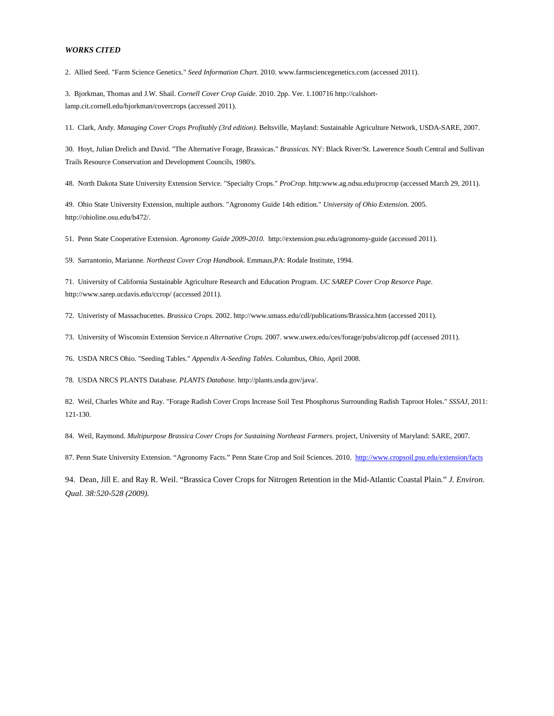2. Allied Seed. "Farm Science Genetics." *Seed Information Chart.* 2010. www.farmsciencegenetics.com (accessed 2011).

3. Bjorkman, Thomas and J.W. Shail. *Cornell Cover Crop Guide.* 2010. 2pp. Ver. 1.100716 http://calshortlamp.cit.cornell.edu/bjorkman/covercrops (accessed 2011).

11. Clark, Andy. *Managing Cover Crops Profitably (3rd edition).* Beltsville, Mayland: Sustainable Agriculture Network, USDA-SARE, 2007.

30. Hoyt, Julian Drelich and David. "The Alternative Forage, Brassicas." *Brassicas.* NY: Black River/St. Lawerence South Central and Sullivan Trails Resource Conservation and Development Councils, 1980's.

48. North Dakota State University Extension Service. "Specialty Crops." *ProCrop.* http:www.ag.ndsu.edu/procrop (accessed March 29, 2011).

49. Ohio State University Extension, multiple authors. "Agronomy Guide 14th edition." *University of Ohio Extension.* 2005. http://ohioline.osu.edu/b472/.

51. Penn State Cooperative Extension. *Agronomy Guide 2009-2010.* http://extension.psu.edu/agronomy-guide (accessed 2011).

59. Sarrantonio, Marianne. *Northeast Cover Crop Handbook.* Emmaus,PA: Rodale Institute, 1994.

71. University of California Sustainable Agriculture Research and Education Program. *UC SAREP Cover Crop Resorce Page.* http://www.sarep.ucdavis.edu/ccrop/ (accessed 2011).

72. Univeristy of Massachucettes. *Brassica Crops.* 2002. http://www.umass.edu/cdl/publications/Brassica.htm (accessed 2011).

73. University of Wisconsin Extension Service.n *Alternative Crops.* 2007. www.uwex.edu/ces/forage/pubs/altcrop.pdf (accessed 2011).

76. USDA NRCS Ohio. "Seeding Tables." *Appendix A-Seeding Tables.* Columbus, Ohio, April 2008.

78. USDA NRCS PLANTS Database. *PLANTS Database.* http://plants.usda.gov/java/.

82. Weil, Charles White and Ray. "Forage Radish Cover Crops Increase Soil Test Phosphorus Surrounding Radish Taproot Holes." *SSSAJ*, 2011: 121-130.

84. Weil, Raymond. *Multipurpose Brassica Cover Crops for Sustaining Northeast Farmers.* project, University of Maryland: SARE, 2007.

87. Penn State University Extension. "Agronomy Facts." Penn State Crop and Soil Sciences. 2010. <http://www.cropsoil.psu.edu/extension/facts>

94. Dean, Jill E. and Ray R. Weil. "Brassica Cover Crops for Nitrogen Retention in the Mid-Atlantic Coastal Plain." *J. Environ. Qual. 38:520-528 (2009).*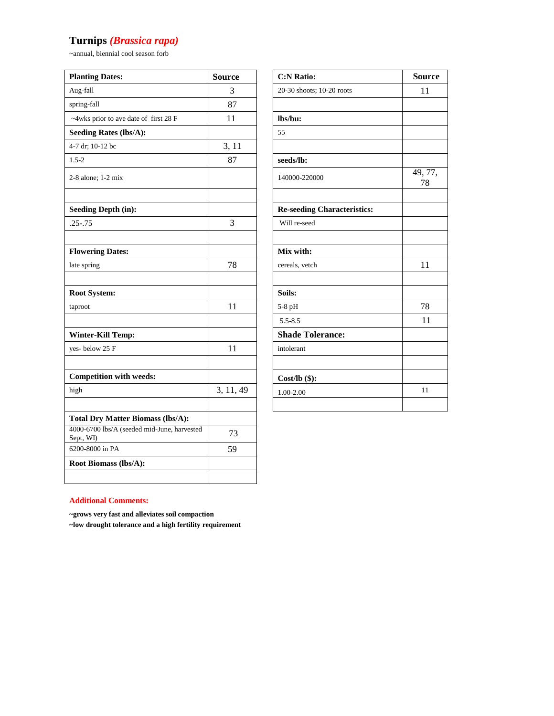# **Turnips** *(Brassica rapa)*

~annual, biennial cool season forb

| <b>Planting Dates:</b>                                   | <b>Source</b> | <b>C:N Ratio:</b>                  | <b>Source</b> |
|----------------------------------------------------------|---------------|------------------------------------|---------------|
| Aug-fall                                                 | 3             | 20-30 shoots; 10-20 roots          | 11            |
| spring-fall                                              | 87            |                                    |               |
| ~4wks prior to ave date of first 28 F                    | 11            | lbs/bu:                            |               |
| <b>Seeding Rates (lbs/A):</b>                            |               | 55                                 |               |
| 4-7 dr; 10-12 bc                                         | 3, 11         |                                    |               |
| $1.5 - 2$                                                | 87            | seeds/lb:                          |               |
| 2-8 alone; 1-2 mix                                       |               | 140000-220000                      | 49, 77,<br>78 |
| <b>Seeding Depth (in):</b>                               |               | <b>Re-seeding Characteristics:</b> |               |
| $.25 - .75$                                              | 3             | Will re-seed                       |               |
|                                                          |               |                                    |               |
| <b>Flowering Dates:</b>                                  |               | Mix with:                          |               |
| late spring                                              | 78            | cereals, vetch                     | 11            |
|                                                          |               |                                    |               |
| Root System:                                             |               | Soils:                             |               |
| taproot                                                  | 11            | 5-8 pH                             | 78            |
|                                                          |               | $5.5 - 8.5$                        | 11            |
| <b>Winter-Kill Temp:</b>                                 |               | <b>Shade Tolerance:</b>            |               |
| yes-below 25 F                                           | 11            | intolerant                         |               |
|                                                          |               |                                    |               |
| <b>Competition with weeds:</b>                           |               | Cost/ $\mathbf{lb}(\$)$ :          |               |
| high                                                     | 3, 11, 49     | 1.00-2.00                          | 11            |
|                                                          |               |                                    |               |
| <b>Total Dry Matter Biomass (lbs/A):</b>                 |               |                                    |               |
| 4000-6700 lbs/A (seeded mid-June, harvested<br>Sept, WI) | 73            |                                    |               |
| 6200-8000 in PA                                          | 59            |                                    |               |
| Root Biomass (lbs/A):                                    |               |                                    |               |
|                                                          |               |                                    |               |

| <b>C:N Ratio:</b>                  | <b>Source</b> |
|------------------------------------|---------------|
| 20-30 shoots; 10-20 roots          | 11            |
|                                    |               |
| lbs/bu:                            |               |
| 55                                 |               |
|                                    |               |
| seeds/lb:                          |               |
| 140000-220000                      | 49, 77,<br>78 |
|                                    |               |
| <b>Re-seeding Characteristics:</b> |               |
| Will re-seed                       |               |
|                                    |               |
| Mix with:                          |               |
| cereals, vetch                     | 11            |
|                                    |               |
| Soils:                             |               |
| 5-8 pH                             | 78            |
| $5.5 - 8.5$                        | 11            |
| <b>Shade Tolerance:</b>            |               |
| intolerant                         |               |
|                                    |               |
| $Cost/lb$ (\$):                    |               |
| 1.00-2.00                          | 11            |
|                                    |               |

### **Additional Comments:**

**~grows very fast and alleviates soil compaction**

**~low drought tolerance and a high fertility requirement**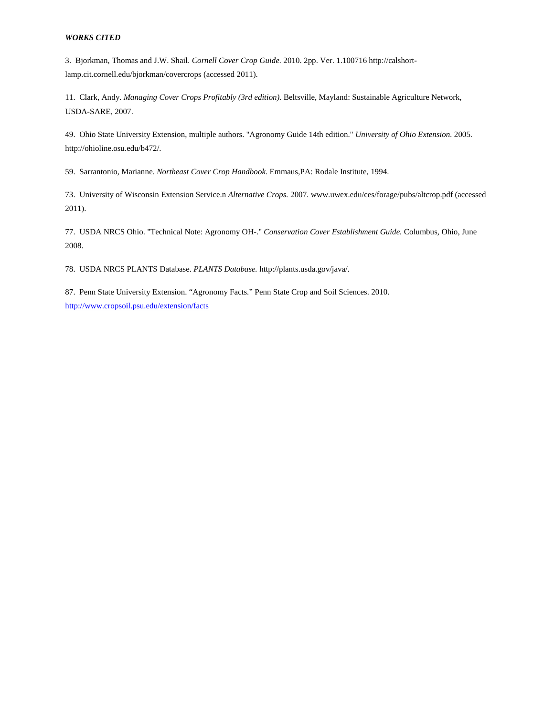3. Bjorkman, Thomas and J.W. Shail. *Cornell Cover Crop Guide.* 2010. 2pp. Ver. 1.100716 http://calshortlamp.cit.cornell.edu/bjorkman/covercrops (accessed 2011).

11. Clark, Andy. *Managing Cover Crops Profitably (3rd edition).* Beltsville, Mayland: Sustainable Agriculture Network, USDA-SARE, 2007.

49. Ohio State University Extension, multiple authors. "Agronomy Guide 14th edition." *University of Ohio Extension.* 2005. http://ohioline.osu.edu/b472/.

59. Sarrantonio, Marianne. *Northeast Cover Crop Handbook.* Emmaus,PA: Rodale Institute, 1994.

73. University of Wisconsin Extension Service.n *Alternative Crops.* 2007. www.uwex.edu/ces/forage/pubs/altcrop.pdf (accessed 2011).

77. USDA NRCS Ohio. "Technical Note: Agronomy OH-." *Conservation Cover Establishment Guide.* Columbus, Ohio, June 2008.

78. USDA NRCS PLANTS Database. *PLANTS Database.* http://plants.usda.gov/java/.

87. Penn State University Extension. "Agronomy Facts." Penn State Crop and Soil Sciences. 2010. <http://www.cropsoil.psu.edu/extension/facts>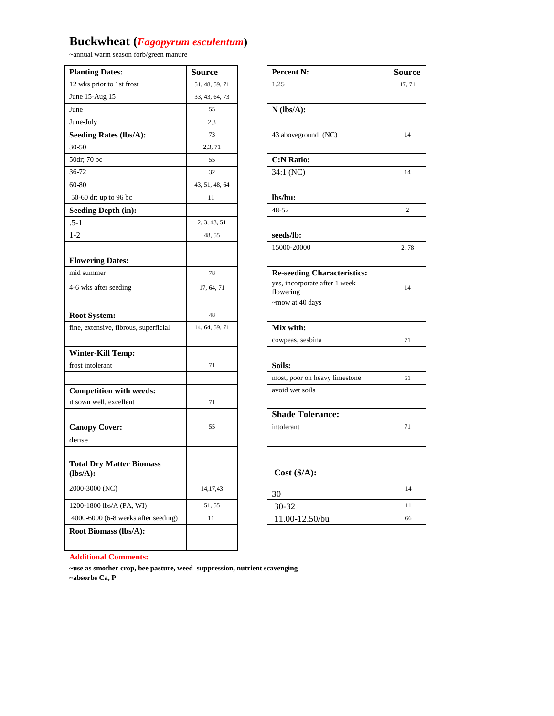# **Buckwheat (***Fagopyrum esculentum***)**

~annual warm season forb/green manure

| <b>Planting Dates:</b>                      | <b>Source</b>  | <b>Percent N:</b>                          | <b>Source</b>  |
|---------------------------------------------|----------------|--------------------------------------------|----------------|
| 12 wks prior to 1st frost                   | 51, 48, 59, 71 | 1.25                                       | 17, 71         |
| June 15-Aug 15                              | 33, 43, 64, 73 |                                            |                |
| June                                        | 55             | $N$ (lbs/A):                               |                |
| June-July                                   | 2,3            |                                            |                |
| <b>Seeding Rates (lbs/A):</b>               | 73             | 43 aboveground (NC)                        | 14             |
| 30-50                                       | 2,3, 71        |                                            |                |
| 50dr; 70 bc                                 | 55             | <b>C:N Ratio:</b>                          |                |
| 36-72                                       | 32             | 34:1 (NC)                                  | 14             |
| 60-80                                       | 43, 51, 48, 64 |                                            |                |
| 50-60 dr; up to 96 bc                       | 11             | lbs/bu:                                    |                |
| <b>Seeding Depth (in):</b>                  |                | 48-52                                      | $\overline{c}$ |
| $.5 - 1$                                    | 2, 3, 43, 51   |                                            |                |
| $1-2$                                       | 48, 55         | seeds/lb:                                  |                |
|                                             |                | 15000-20000                                | 2,78           |
| <b>Flowering Dates:</b>                     |                |                                            |                |
| mid summer                                  | 78             | <b>Re-seeding Characteristics:</b>         |                |
| 4-6 wks after seeding                       | 17, 64, 71     | yes, incorporate after 1 week<br>flowering | 14             |
|                                             |                | ~mow at 40 days                            |                |
| <b>Root System:</b>                         | 48             |                                            |                |
| fine, extensive, fibrous, superficial       | 14, 64, 59, 71 | Mix with:                                  |                |
|                                             |                | cowpeas, sesbina                           | 71             |
| <b>Winter-Kill Temp:</b>                    |                |                                            |                |
| frost intolerant                            | 71             | Soils:                                     |                |
|                                             |                | most, poor on heavy limestone              | 51             |
| <b>Competition with weeds:</b>              |                | avoid wet soils                            |                |
| it sown well, excellent                     | 71             |                                            |                |
|                                             |                | <b>Shade Tolerance:</b>                    |                |
| <b>Canopy Cover:</b>                        | 55             | intolerant                                 | 71             |
| dense                                       |                |                                            |                |
|                                             |                |                                            |                |
| <b>Total Dry Matter Biomass</b><br>(lbs/A): |                | Cost (\$/A):                               |                |
| 2000-3000 (NC)                              | 14, 17, 43     | 30                                         | 14             |
| 1200-1800 lbs/A (PA, WI)                    | 51, 55         | 30-32                                      | 11             |
| 4000-6000 (6-8 weeks after seeding)         | 11             | 11.00-12.50/bu                             | 66             |
| <b>Root Biomass (lbs/A):</b>                |                |                                            |                |
|                                             |                |                                            |                |

| Percent N:                         | <b>Source</b>  |
|------------------------------------|----------------|
| 1.25                               | 17, 71         |
|                                    |                |
| $N$ (lbs/A):                       |                |
|                                    |                |
| 43 aboveground (NC)                | 14             |
|                                    |                |
| <b>C:N Ratio:</b>                  |                |
| 34:1 (NC)                          | 14             |
|                                    |                |
| lbs/bu:                            |                |
| 48-52                              | $\overline{c}$ |
|                                    |                |
| seeds/lb:                          |                |
| 15000-20000                        | 2,78           |
|                                    |                |
| <b>Re-seeding Characteristics:</b> |                |
| yes, incorporate after 1 week      | 14             |
| flowering                          |                |
| ~mow at 40 days                    |                |
|                                    |                |
| Mix with:                          |                |
| cowpeas, sesbina                   | 71             |
|                                    |                |
| Soils:                             |                |
| most, poor on heavy limestone      | 51             |
| avoid wet soils                    |                |
|                                    |                |
| <b>Shade Tolerance:</b>            |                |
| intolerant                         | 71             |
|                                    |                |
|                                    |                |
| Cost (\$/A):                       |                |
| 30                                 | 14             |
| 30-32                              | 11             |
| 11.00-12.50/bu                     | 66             |
|                                    |                |

### **Additional Comments:**

**~use as smother crop, bee pasture, weed suppression, nutrient scavenging ~absorbs Ca, P**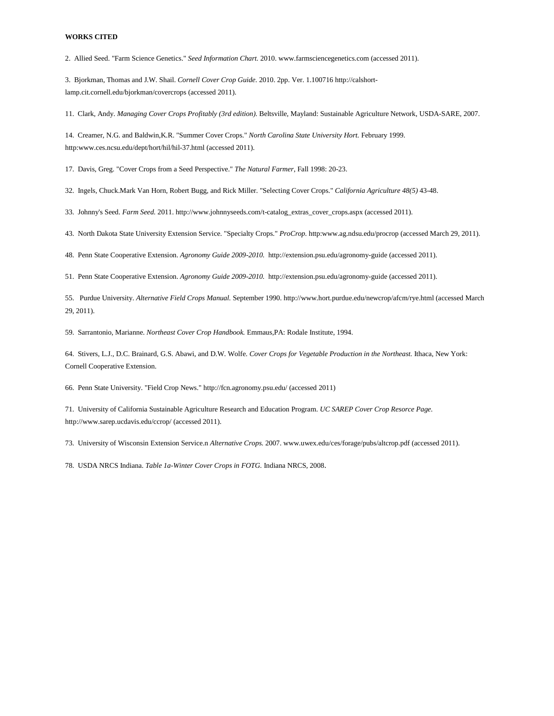2. Allied Seed. "Farm Science Genetics." *Seed Information Chart.* 2010. www.farmsciencegenetics.com (accessed 2011).

3. Bjorkman, Thomas and J.W. Shail. *Cornell Cover Crop Guide.* 2010. 2pp. Ver. 1.100716 http://calshortlamp.cit.cornell.edu/bjorkman/covercrops (accessed 2011).

11. Clark, Andy. *Managing Cover Crops Profitably (3rd edition).* Beltsville, Mayland: Sustainable Agriculture Network, USDA-SARE, 2007.

14. Creamer, N.G. and Baldwin,K.R. "Summer Cover Crops." *North Carolina State University Hort.* February 1999. http:www.ces.ncsu.edu/dept/hort/hil/hil-37.html (accessed 2011).

17. Davis, Greg. "Cover Crops from a Seed Perspective." *The Natural Farmer*, Fall 1998: 20-23.

32. Ingels, Chuck.Mark Van Horn, Robert Bugg, and Rick Miller. "Selecting Cover Crops." *California Agriculture 48(5)* 43-48.

33. Johnny's Seed. *Farm Seed.* 2011. http://www.johnnyseeds.com/t-catalog\_extras\_cover\_crops.aspx (accessed 2011).

43. North Dakota State University Extension Service. "Specialty Crops." *ProCrop.* http:www.ag.ndsu.edu/procrop (accessed March 29, 2011).

48. Penn State Cooperative Extension. *Agronomy Guide 2009-2010.* http://extension.psu.edu/agronomy-guide (accessed 2011).

51. Penn State Cooperative Extension. *Agronomy Guide 2009-2010.* http://extension.psu.edu/agronomy-guide (accessed 2011).

55. Purdue University. *Alternative Field Crops Manual.* September 1990. http://www.hort.purdue.edu/newcrop/afcm/rye.html (accessed March 29, 2011).

59. Sarrantonio, Marianne. *Northeast Cover Crop Handbook.* Emmaus,PA: Rodale Institute, 1994.

64. Stivers, L.J., D.C. Brainard, G.S. Abawi, and D.W. Wolfe. *Cover Crops for Vegetable Production in the Northeast.* Ithaca, New York: Cornell Cooperative Extension.

66. Penn State University. "Field Crop News." http://fcn.agronomy.psu.edu/ (accessed 2011)

71. University of California Sustainable Agriculture Research and Education Program. *UC SAREP Cover Crop Resorce Page.* http://www.sarep.ucdavis.edu/ccrop/ (accessed 2011).

73. University of Wisconsin Extension Service.n *Alternative Crops.* 2007. www.uwex.edu/ces/forage/pubs/altcrop.pdf (accessed 2011).

78. USDA NRCS Indiana. *Table 1a-Winter Cover Crops in FOTG.* Indiana NRCS, 2008.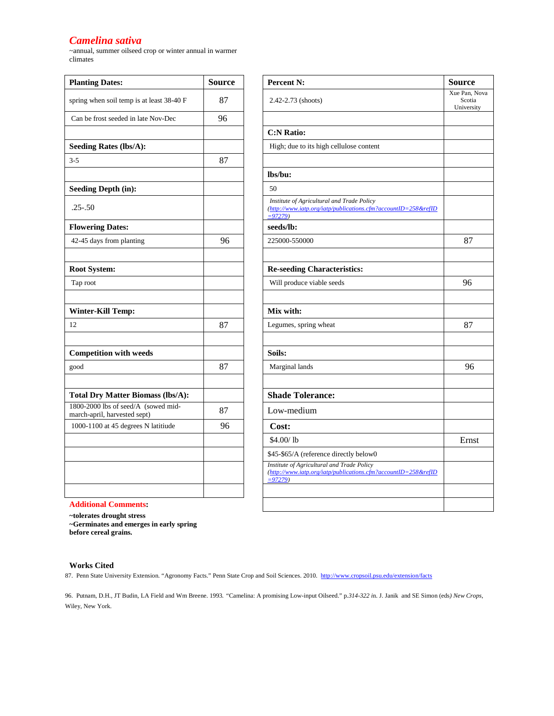### *Camelina sativa*

~annual, summer oilseed crop or winter annual in warmer climates

| <b>Planting Dates:</b>                                              | <b>Source</b> | Percent N:                                                                                              |
|---------------------------------------------------------------------|---------------|---------------------------------------------------------------------------------------------------------|
| spring when soil temp is at least 38-40 F                           | 87            | 2.42-2.73 (shoots)                                                                                      |
| Can be frost seeded in late Nov-Dec                                 | 96            |                                                                                                         |
|                                                                     |               | <b>C:N Ratio:</b>                                                                                       |
| <b>Seeding Rates (lbs/A):</b>                                       |               | High; due to its high cellulose content                                                                 |
| $3 - 5$                                                             | 87            |                                                                                                         |
|                                                                     |               | lbs/bu:                                                                                                 |
| <b>Seeding Depth (in):</b>                                          |               | 50                                                                                                      |
| $.25 - .50$                                                         |               | Institute of Agricultural and Trade Policy<br>(http://www.iatp.org/iatp/publications.cfm?d<br>$= 97279$ |
| <b>Flowering Dates:</b>                                             |               | seeds/lb:                                                                                               |
| 42-45 days from planting                                            | 96            | 225000-550000                                                                                           |
| <b>Root System:</b>                                                 |               | <b>Re-seeding Characteristics:</b>                                                                      |
| Tap root                                                            |               | Will produce viable seeds                                                                               |
|                                                                     |               |                                                                                                         |
| <b>Winter-Kill Temp:</b>                                            |               | Mix with:                                                                                               |
| 12                                                                  | 87            | Legumes, spring wheat                                                                                   |
| <b>Competition with weeds</b>                                       |               | Soils:                                                                                                  |
| good                                                                | 87            | Marginal lands                                                                                          |
| <b>Total Dry Matter Biomass (lbs/A):</b>                            |               | <b>Shade Tolerance:</b>                                                                                 |
| 1800-2000 lbs of seed/A (sowed mid-<br>march-april, harvested sept) | 87            | Low-medium                                                                                              |
| 1000-1100 at 45 degrees N latitiude                                 | 96            | Cost:                                                                                                   |
|                                                                     |               | \$4.00/1 <sub>b</sub>                                                                                   |
|                                                                     |               | \$45-\$65/A (reference directly below0                                                                  |
|                                                                     |               | Institute of Agricultural and Trade Policy<br>(http://www.iatp.org/iatp/publications.cfm?<br>$= 97279$  |

| <b>Planting Dates:</b>                                              | <b>Source</b> | <b>Percent N:</b>                                                                                                         | <b>Source</b>                         |
|---------------------------------------------------------------------|---------------|---------------------------------------------------------------------------------------------------------------------------|---------------------------------------|
| spring when soil temp is at least 38-40 F                           | 87            | 2.42-2.73 (shoots)                                                                                                        | Xue Pan, Nova<br>Scotia<br>University |
| Can be frost seeded in late Nov-Dec                                 | 96            |                                                                                                                           |                                       |
|                                                                     |               | <b>C:N Ratio:</b>                                                                                                         |                                       |
| <b>Seeding Rates (lbs/A):</b>                                       |               | High; due to its high cellulose content                                                                                   |                                       |
| $3-5$                                                               | 87            |                                                                                                                           |                                       |
|                                                                     |               | lbs/bu:                                                                                                                   |                                       |
| <b>Seeding Depth (in):</b>                                          |               | 50                                                                                                                        |                                       |
| $.25 - .50$                                                         |               | Institute of Agricultural and Trade Policy<br>(http://www.iatp.org/iatp/publications.cfm?accountID=258&refID<br>$= 97279$ |                                       |
| <b>Flowering Dates:</b>                                             |               | seeds/lb:                                                                                                                 |                                       |
| 42-45 days from planting                                            | 96            | 225000-550000                                                                                                             | 87                                    |
| <b>Root System:</b>                                                 |               | <b>Re-seeding Characteristics:</b>                                                                                        |                                       |
| Tap root                                                            |               | Will produce viable seeds                                                                                                 | 96                                    |
| <b>Winter-Kill Temp:</b>                                            |               | Mix with:                                                                                                                 |                                       |
| 12                                                                  | 87            | Legumes, spring wheat                                                                                                     | 87                                    |
| <b>Competition with weeds</b>                                       |               | Soils:                                                                                                                    |                                       |
| good                                                                | 87            | Marginal lands                                                                                                            | 96                                    |
| <b>Total Dry Matter Biomass (lbs/A):</b>                            |               | <b>Shade Tolerance:</b>                                                                                                   |                                       |
| 1800-2000 lbs of seed/A (sowed mid-<br>march-april, harvested sept) | 87            | Low-medium                                                                                                                |                                       |
| 1000-1100 at 45 degrees N latitiude                                 | 96            | Cost:                                                                                                                     |                                       |
|                                                                     |               | \$4.00/1 <sub>b</sub>                                                                                                     | Ernst                                 |
|                                                                     |               | \$45-\$65/A (reference directly below0                                                                                    |                                       |
|                                                                     |               | Institute of Agricultural and Trade Policy<br>(http://www.iatp.org/iatp/publications.cfm?accountID=258&refID<br>$= 97279$ |                                       |
|                                                                     |               |                                                                                                                           |                                       |
| <b>Additional Comments:</b>                                         |               |                                                                                                                           |                                       |

**~tolerates drought stress**

**~Germinates and emerges in early spring** 

**before cereal grains.**

### **Works Cited**

87. Penn State University Extension. "Agronomy Facts." Penn State Crop and Soil Sciences. 2010.<http://www.cropsoil.psu.edu/extension/facts>

96. Putnam, D.H., JT Budin, LA Field and Wm Breene. 1993*. "*Camelina: A promising Low-input Oilseed." p*.314-322 i*n. J. Janik and SE Simon (eds*) New Crops,*  Wiley, New York.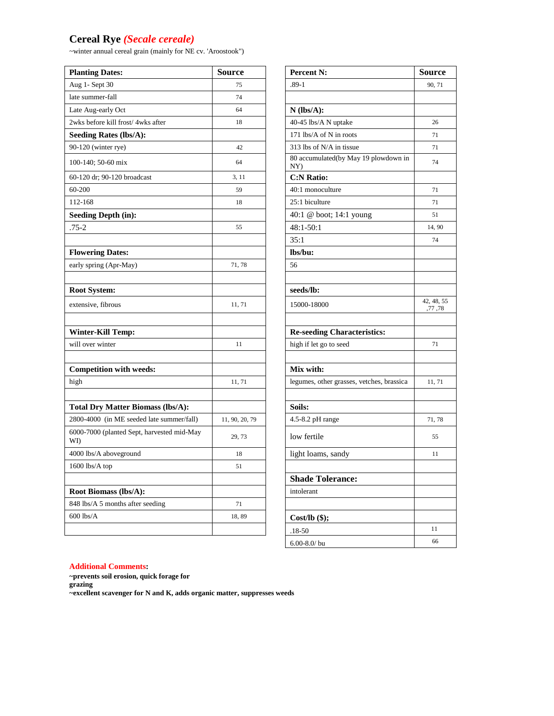# **Cereal Rye** *(Secale cereale)*

~winter annual cereal grain (mainly for NE cv. 'Aroostook")

| <b>Planting Dates:</b>                            | <b>Source</b>  | <b>Percent N:</b>                           | <b>Source</b>        |
|---------------------------------------------------|----------------|---------------------------------------------|----------------------|
| Aug 1- Sept 30                                    | 75             | $.89-1$                                     | 90, 71               |
| late summer-fall                                  | 74             |                                             |                      |
| Late Aug-early Oct                                | 64             | $N$ (lbs/A):                                |                      |
| 2wks before kill frost/4wks after                 | 18             | 40-45 lbs/A N uptake                        | 26                   |
| <b>Seeding Rates (lbs/A):</b>                     |                | 171 lbs/A of N in roots                     | 71                   |
| 90-120 (winter rye)                               | 42             | 313 lbs of N/A in tissue                    | 71                   |
| 100-140; 50-60 mix                                | 64             | 80 accumulated(by May 19 plowdown in<br>NY) | 74                   |
| 60-120 dr; 90-120 broadcast                       | 3, 11          | <b>C:N Ratio:</b>                           |                      |
| 60-200                                            | 59             | 40:1 monoculture                            | 71                   |
| 112-168                                           | 18             | 25:1 biculture                              | 71                   |
| <b>Seeding Depth (in):</b>                        |                | 40:1 @ boot; 14:1 young                     | 51                   |
| .75-2                                             | 55             | $48:1 - 50:1$                               | 14, 90               |
|                                                   |                | 35:1                                        | 74                   |
| <b>Flowering Dates:</b>                           |                | lbs/bu:                                     |                      |
| early spring (Apr-May)                            | 71,78          | 56                                          |                      |
|                                                   |                |                                             |                      |
| <b>Root System:</b>                               |                | seeds/lb:                                   |                      |
| extensive, fibrous                                | 11, 71         | 15000-18000                                 | 42, 48, 55<br>,77,78 |
| Winter-Kill Temp:                                 |                | <b>Re-seeding Characteristics:</b>          |                      |
| will over winter                                  | 11             | high if let go to seed                      | 71                   |
| <b>Competition with weeds:</b>                    |                | Mix with:                                   |                      |
| high                                              | 11, 71         | legumes, other grasses, vetches, brassica   | 11, 71               |
| <b>Total Dry Matter Biomass (lbs/A):</b>          |                | Soils:                                      |                      |
| 2800-4000 (in ME seeded late summer/fall)         | 11, 90, 20, 79 | 4.5-8.2 pH range                            | 71,78                |
| 6000-7000 (planted Sept, harvested mid-May<br>WI) | 29, 73         | low fertile                                 | 55                   |
| 4000 lbs/A aboveground                            | 18             | light loams, sandy                          | 11                   |
| 1600 lbs/A top                                    | 51             |                                             |                      |
|                                                   |                | <b>Shade Tolerance:</b>                     |                      |
| <b>Root Biomass (lbs/A):</b>                      |                | intolerant                                  |                      |
| 848 lbs/A 5 months after seeding                  | 71             |                                             |                      |
| 600 lbs/A                                         | 18,89          | $Cost/lb$ (\$);                             |                      |
|                                                   |                | $.18 - 50$                                  | 11                   |
|                                                   |                |                                             |                      |

| <b>Percent N:</b>                           | <b>Source</b>         |
|---------------------------------------------|-----------------------|
| $.89-1$                                     | 90, 71                |
|                                             |                       |
| $N$ (lbs/A):                                |                       |
| 40-45 lbs/A N uptake                        | 26                    |
| 171 lbs/A of N in roots                     | 71                    |
| 313 lbs of N/A in tissue                    | 71                    |
| 80 accumulated(by May 19 plowdown in<br>NY) | 74                    |
| <b>C:N Ratio:</b>                           |                       |
| 40:1 monoculture                            | 71                    |
| 25:1 biculture                              | 71                    |
| 40:1 @ boot; 14:1 young                     | 51                    |
| $48:1 - 50:1$                               | 14, 90                |
| 35:1                                        | 74                    |
| lbs/bu:                                     |                       |
| 56                                          |                       |
|                                             |                       |
| seeds/lb:                                   |                       |
| 15000-18000                                 | 42, 48, 55<br>,77 ,78 |
|                                             |                       |
| <b>Re-seeding Characteristics:</b>          |                       |
| high if let go to seed                      | 71                    |
|                                             |                       |
| Mix with:                                   |                       |
| legumes, other grasses, vetches, brassica   | 11, 71                |
|                                             |                       |
| Soils:                                      |                       |
| 4.5-8.2 pH range                            | 71,78                 |
| low fertile                                 | 55                    |
| light loams, sandy                          | 11                    |
|                                             |                       |
| <b>Shade Tolerance:</b>                     |                       |
| intolerant                                  |                       |
|                                             |                       |
| $Cost/b$ (\$);                              |                       |
| .18-50                                      | 11                    |
| $6.00 - 8.0$ / bu                           | 66                    |

### **Additional Comments:**

**~prevents soil erosion, quick forage for grazing ~excellent scavenger for N and K, adds organic matter, suppresses weeds**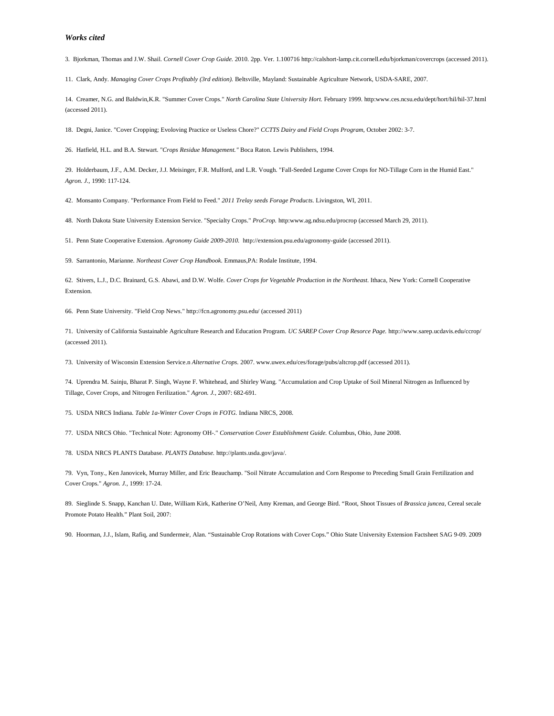#### *Works cited*

3. Bjorkman, Thomas and J.W. Shail. *Cornell Cover Crop Guide.* 2010. 2pp. Ver. 1.100716 http://calshort-lamp.cit.cornell.edu/bjorkman/covercrops (accessed 2011).

11. Clark, Andy. *Managing Cover Crops Profitably (3rd edition).* Beltsville, Mayland: Sustainable Agriculture Network, USDA-SARE, 2007.

14. Creamer, N.G. and Baldwin,K.R. "Summer Cover Crops." *North Carolina State University Hort.* February 1999. http:www.ces.ncsu.edu/dept/hort/hil/hil-37.html (accessed 2011).

18. Degni, Janice. "Cover Cropping; Evoloving Practice or Useless Chore?" *CCTTS Dairy and Field Crops Program*, October 2002: 3-7.

26. Hatfield, H.L. and B.A. Stewart. "*Crops Residue Management."* Boca Raton. Lewis Publishers, 1994.

29. Holderbaum, J.F., A.M. Decker, J.J. Meisinger, F.R. Mulford, and L.R. Vough. "Fall-Seeded Legume Cover Crops for NO-Tillage Corn in the Humid East." *Agron. J.*, 1990: 117-124.

42. Monsanto Company. "Performance From Field to Feed." *2011 Trelay seeds Forage Products.* Livingston, WI, 2011.

48. North Dakota State University Extension Service. "Specialty Crops." *ProCrop.* http:www.ag.ndsu.edu/procrop (accessed March 29, 2011).

51. Penn State Cooperative Extension. *Agronomy Guide 2009-2010.* http://extension.psu.edu/agronomy-guide (accessed 2011).

59. Sarrantonio, Marianne. *Northeast Cover Crop Handbook.* Emmaus,PA: Rodale Institute, 1994.

62. Stivers, L.J., D.C. Brainard, G.S. Abawi, and D.W. Wolfe. *Cover Crops for Vegetable Production in the Northeast.* Ithaca, New York: Cornell Cooperative Extension.

66. Penn State University. "Field Crop News." http://fcn.agronomy.psu.edu/ (accessed 2011)

71. University of California Sustainable Agriculture Research and Education Program. *UC SAREP Cover Crop Resorce Page.* http://www.sarep.ucdavis.edu/ccrop/ (accessed 2011).

73. University of Wisconsin Extension Service.n *Alternative Crops.* 2007. www.uwex.edu/ces/forage/pubs/altcrop.pdf (accessed 2011).

74. Uprendra M. Sainju, Bharat P. Singh, Wayne F. Whitehead, and Shirley Wang. "Accumulation and Crop Uptake of Soil Mineral Nitrogen as Influenced by Tillage, Cover Crops, and Nitrogen Ferilization." *Agron. J.*, 2007: 682-691.

75. USDA NRCS Indiana. *Table 1a-Winter Cover Crops in FOTG.* Indiana NRCS, 2008.

77. USDA NRCS Ohio. "Technical Note: Agronomy OH-." *Conservation Cover Establishment Guide.* Columbus, Ohio, June 2008.

78. USDA NRCS PLANTS Database. *PLANTS Database.* http://plants.usda.gov/java/.

79. Vyn, Tony., Ken Janovicek, Murray Miller, and Eric Beauchamp. "Soil Nitrate Accumulation and Corn Response to Preceding Small Grain Fertilization and Cover Crops." *Agron. J.*, 1999: 17-24.

89. Sieglinde S. Snapp, Kanchan U. Date, William Kirk, Katherine O'Neil, Amy Kreman, and George Bird. "Root, Shoot Tissues of *Brassica juncea*, Cereal secale Promote Potato Health." Plant Soil, 2007:

90. Hoorman, J.J., Islam, Rafiq, and Sundermeir, Alan. "Sustainable Crop Rotations with Cover Cops." Ohio State University Extension Factsheet SAG 9-09. 2009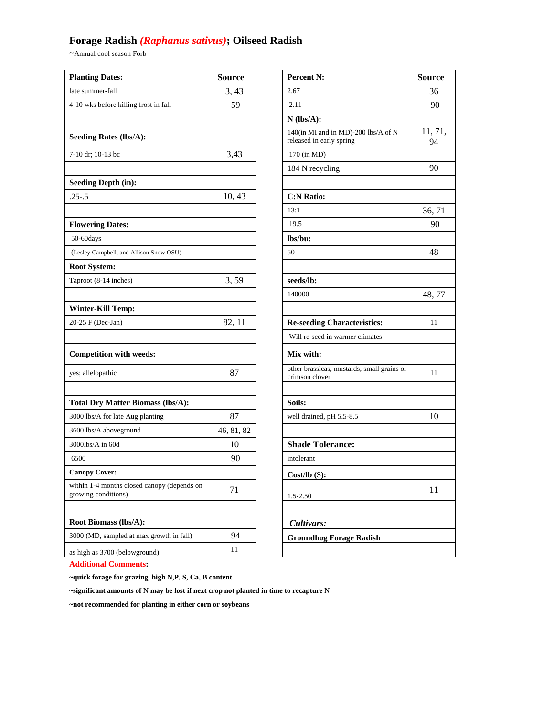### **Forage Radish** *(Raphanus sativus)***; Oilseed Radish**

 $\sim$  Annual cool season Forb

| <b>Planting Dates:</b>                                             | <b>Source</b> | Percent N:                                                      | <b>Source</b> |
|--------------------------------------------------------------------|---------------|-----------------------------------------------------------------|---------------|
| late summer-fall                                                   | 3,43          | 2.67                                                            | 36            |
| 4-10 wks before killing frost in fall                              | 59            | 2.11                                                            | 90            |
|                                                                    |               | $N$ (lbs/A):                                                    |               |
| <b>Seeding Rates (lbs/A):</b>                                      |               | 140(in MI and in MD)-200 lbs/A of N<br>released in early spring | 11, 71<br>94  |
| 7-10 dr; 10-13 bc                                                  | 3,43          | 170 (in MD)                                                     |               |
|                                                                    |               | 184 N recycling                                                 | 90            |
| <b>Seeding Depth (in):</b>                                         |               |                                                                 |               |
| $.25 - .5$                                                         | 10, 43        | <b>C:N Ratio:</b>                                               |               |
|                                                                    |               | 13:1                                                            | 36, 71        |
| <b>Flowering Dates:</b>                                            |               | 19.5                                                            | 90            |
| 50-60days                                                          |               | lbs/bu:                                                         |               |
| (Lesley Campbell, and Allison Snow OSU)                            |               | 50                                                              | 48            |
| <b>Root System:</b>                                                |               |                                                                 |               |
| Taproot (8-14 inches)                                              | 3,59          | seeds/lb:                                                       |               |
|                                                                    |               | 140000                                                          | 48, 77        |
| <b>Winter-Kill Temp:</b>                                           |               |                                                                 |               |
| 20-25 F (Dec-Jan)                                                  | 82, 11        | <b>Re-seeding Characteristics:</b>                              | 11            |
|                                                                    |               | Will re-seed in warmer climates                                 |               |
| <b>Competition with weeds:</b>                                     |               | Mix with:                                                       |               |
| yes; allelopathic                                                  | 87            | other brassicas, mustards, small grains or<br>crimson clover    | 11            |
|                                                                    |               |                                                                 |               |
| <b>Total Dry Matter Biomass (lbs/A):</b>                           |               | Soils:                                                          |               |
| 3000 lbs/A for late Aug planting                                   | 87            | well drained, pH 5.5-8.5                                        | 10            |
| 3600 lbs/A aboveground                                             | 46, 81, 82    |                                                                 |               |
| 3000lbs/A in 60d                                                   | 10            | <b>Shade Tolerance:</b>                                         |               |
| 6500                                                               | 90            | intolerant                                                      |               |
| <b>Canopy Cover:</b>                                               |               | Cost/lb $($ \$):                                                |               |
| within 1-4 months closed canopy (depends on<br>growing conditions) | 71            | 1.5-2.50                                                        | 11            |
|                                                                    |               |                                                                 |               |
| Root Biomass (lbs/A):                                              |               | Cultivars:                                                      |               |
| 3000 (MD, sampled at max growth in fall)                           | 94            | <b>Groundhog Forage Radish</b>                                  |               |
| as high as 3700 (belowground)                                      | 11            |                                                                 |               |

| <b>Percent N:</b>                                               | <b>Source</b> |
|-----------------------------------------------------------------|---------------|
| 2.67                                                            | 36            |
| 2.11                                                            | 90            |
| $N$ (lbs/A):                                                    |               |
| 140(in MI and in MD)-200 lbs/A of N<br>released in early spring | 11, 71,<br>94 |
| 170 (in MD)                                                     |               |
| 184 N recycling                                                 | 90            |
|                                                                 |               |
| <b>C:N Ratio:</b>                                               |               |
| 13:1                                                            | 36, 71        |
| 19.5                                                            | 90            |
| lbs/bu:                                                         |               |
| 50                                                              | 48            |
|                                                                 |               |
| seeds/lb:                                                       |               |
| 140000                                                          | 48, 77        |
|                                                                 |               |
| <b>Re-seeding Characteristics:</b>                              | 11            |
| Will re-seed in warmer climates                                 |               |
| Mix with:                                                       |               |
| other brassicas, mustards, small grains or<br>crimson clover    | 11            |
|                                                                 |               |
| Soils:                                                          |               |
| well drained, pH 5.5-8.5                                        | 10            |
|                                                                 |               |
| <b>Shade Tolerance:</b>                                         |               |
| intolerant                                                      |               |
| <u>Cost/Ib (\$):</u>                                            |               |
|                                                                 | 11            |
| 1.5-2.50                                                        |               |
|                                                                 |               |
| Cultivars:                                                      |               |
| <b>Groundhog Forage Radish</b>                                  |               |
|                                                                 |               |

**Additional Comments:**

**~quick forage for grazing, high N,P, S, Ca, B content**

**~significant amounts of N may be lost if next crop not planted in time to recapture N**

**~not recommended for planting in either corn or soybeans**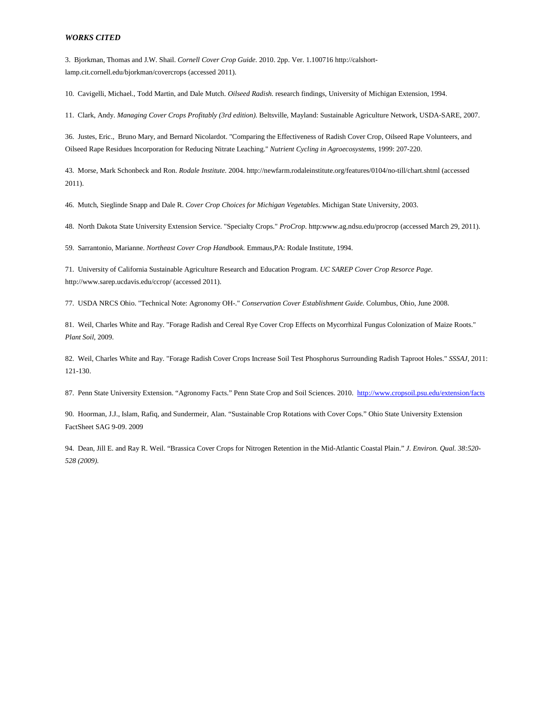3. Bjorkman, Thomas and J.W. Shail. *Cornell Cover Crop Guide.* 2010. 2pp. Ver. 1.100716 http://calshortlamp.cit.cornell.edu/bjorkman/covercrops (accessed 2011).

10. Cavigelli, Michael., Todd Martin, and Dale Mutch. *Oilseed Radish.* research findings, University of Michigan Extension, 1994.

11. Clark, Andy. *Managing Cover Crops Profitably (3rd edition).* Beltsville, Mayland: Sustainable Agriculture Network, USDA-SARE, 2007.

36. Justes, Eric., Bruno Mary, and Bernard Nicolardot. "Comparing the Effectiveness of Radish Cover Crop, Oilseed Rape Volunteers, and Oilseed Rape Residues Incorporation for Reducing Nitrate Leaching." *Nutrient Cycling in Agroecosystems*, 1999: 207-220.

43. Morse, Mark Schonbeck and Ron. *Rodale Institute.* 2004. http://newfarm.rodaleinstitute.org/features/0104/no-till/chart.shtml (accessed 2011).

46. Mutch, Sieglinde Snapp and Dale R. *Cover Crop Choices for Michigan Vegetables.* Michigan State University, 2003.

48. North Dakota State University Extension Service. "Specialty Crops." *ProCrop.* http:www.ag.ndsu.edu/procrop (accessed March 29, 2011).

59. Sarrantonio, Marianne. *Northeast Cover Crop Handbook.* Emmaus,PA: Rodale Institute, 1994.

71. University of California Sustainable Agriculture Research and Education Program. *UC SAREP Cover Crop Resorce Page.* http://www.sarep.ucdavis.edu/ccrop/ (accessed 2011).

77. USDA NRCS Ohio. "Technical Note: Agronomy OH-." *Conservation Cover Establishment Guide.* Columbus, Ohio, June 2008.

81. Weil, Charles White and Ray. "Forage Radish and Cereal Rye Cover Crop Effects on Mycorrhizal Fungus Colonization of Maize Roots." *Plant Soil*, 2009.

82. Weil, Charles White and Ray. "Forage Radish Cover Crops Increase Soil Test Phosphorus Surrounding Radish Taproot Holes." *SSSAJ*, 2011: 121-130.

87. Penn State University Extension. "Agronomy Facts." Penn State Crop and Soil Sciences. 2010. <http://www.cropsoil.psu.edu/extension/facts>

90. Hoorman, J.J., Islam, Rafiq, and Sundermeir, Alan. "Sustainable Crop Rotations with Cover Cops." Ohio State University Extension FactSheet SAG 9-09. 2009

94. Dean, Jill E. and Ray R. Weil. "Brassica Cover Crops for Nitrogen Retention in the Mid-Atlantic Coastal Plain." *J. Environ. Qual. 38:520- 528 (2009).*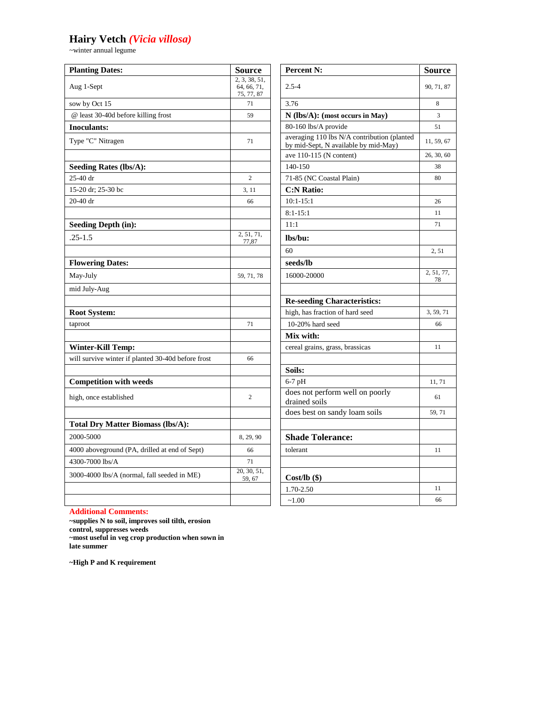# **Hairy Vetch** *(Vicia villosa)*

~winter annual legume

| <b>Planting Dates:</b>                             | <b>Source</b>                              | Percent N:                                                                          | <b>Source</b>    |
|----------------------------------------------------|--------------------------------------------|-------------------------------------------------------------------------------------|------------------|
| Aug 1-Sept                                         | 2, 3, 38, 51,<br>64, 66, 71,<br>75, 77, 87 | $2.5 - 4$                                                                           | 90, 71, 87       |
| sow by Oct 15                                      | 71                                         | 3.76                                                                                | 8                |
| @ least 30-40d before killing frost                | 59                                         | N (lbs/A): (most occurs in May)                                                     | 3                |
| <b>Inoculants:</b>                                 |                                            | 80-160 lbs/A provide                                                                | 51               |
| Type "C" Nitragen                                  | 71                                         | averaging 110 lbs N/A contribution (planted<br>by mid-Sept, N available by mid-May) | 11, 59, 67       |
|                                                    |                                            | ave 110-115 (N content)                                                             | 26, 30, 60       |
| <b>Seeding Rates (lbs/A):</b>                      |                                            | 140-150                                                                             | 38               |
| 25-40 dr                                           | $\overline{c}$                             | 71-85 (NC Coastal Plain)                                                            | 80               |
| 15-20 dr; 25-30 bc                                 | 3, 11                                      | <b>C:N Ratio:</b>                                                                   |                  |
| 20-40 dr                                           | 66                                         | $10:1 - 15:1$                                                                       | 26               |
|                                                    |                                            | $8:1 - 15:1$                                                                        | 11               |
| <b>Seeding Depth (in):</b>                         |                                            | 11:1                                                                                | 71               |
| $.25 - 1.5$                                        | 2, 51, 71,<br>77,87                        | lbs/bu:                                                                             |                  |
|                                                    |                                            | 60                                                                                  | 2, 51            |
| <b>Flowering Dates:</b>                            |                                            | seeds/lb                                                                            |                  |
| May-July                                           | 59, 71, 78                                 | 16000-20000                                                                         | 2, 51, 77,<br>78 |
| mid July-Aug                                       |                                            |                                                                                     |                  |
|                                                    |                                            | <b>Re-seeding Characteristics:</b>                                                  |                  |
| <b>Root System:</b>                                |                                            | high, has fraction of hard seed                                                     | 3, 59, 71        |
| taproot                                            | 71                                         | 10-20% hard seed                                                                    | 66               |
|                                                    |                                            | Mix with:                                                                           |                  |
| <b>Winter-Kill Temp:</b>                           |                                            | cereal grains, grass, brassicas                                                     | 11               |
| will survive winter if planted 30-40d before frost | 66                                         |                                                                                     |                  |
|                                                    |                                            | Soils:                                                                              |                  |
| <b>Competition with weeds</b>                      |                                            | $6-7$ pH                                                                            | 11, 71           |
| high, once established                             | $\overline{c}$                             | does not perform well on poorly<br>drained soils                                    | 61               |
|                                                    |                                            | does best on sandy loam soils                                                       | 59, 71           |
| <b>Total Dry Matter Biomass (lbs/A):</b>           |                                            |                                                                                     |                  |
| 2000-5000                                          | 8, 29, 90                                  | <b>Shade Tolerance:</b>                                                             |                  |
| 4000 aboveground (PA, drilled at end of Sept)      | 66                                         | tolerant                                                                            | 11               |
| 4300-7000 lbs/A                                    | 71                                         |                                                                                     |                  |
| 3000-4000 lbs/A (normal, fall seeded in ME)        | 20, 30, 51,<br>59, 67                      | $Cost/lb$ (\$)                                                                      |                  |
|                                                    |                                            | 1.70-2.50                                                                           | 11               |
|                                                    |                                            | ~1.00                                                                               | 66               |

| <b>Percent N:</b>                                                                   | <b>Source</b>    |
|-------------------------------------------------------------------------------------|------------------|
| $2.5 - 4$                                                                           | 90, 71, 87       |
| 3.76                                                                                | 8                |
| $N$ (lbs/A): (most occurs in May)                                                   | 3                |
| 80-160 lbs/A provide                                                                | 51               |
| averaging 110 lbs N/A contribution (planted<br>by mid-Sept, N available by mid-May) | 11, 59, 67       |
| ave $110-115$ (N content)                                                           | 26, 30, 60       |
| 140-150                                                                             | 38               |
| 71-85 (NC Coastal Plain)                                                            | 80               |
| <b>C:N Ratio:</b>                                                                   |                  |
| $10:1 - 15:1$                                                                       | 26               |
| $8:1 - 15:1$                                                                        | 11               |
| 11:1                                                                                | 71               |
| lbs/bu:                                                                             |                  |
| 60                                                                                  | 2,51             |
| seeds/lb                                                                            |                  |
| 16000-20000                                                                         | 2, 51, 77,<br>78 |
| <b>Re-seeding Characteristics:</b>                                                  |                  |
| high, has fraction of hard seed                                                     | 3, 59, 71        |
| 10-20% hard seed                                                                    | 66               |
| Mix with:                                                                           |                  |
| cereal grains, grass, brassicas                                                     | 11               |
|                                                                                     |                  |
| Soils:                                                                              |                  |
| $6-7$ pH                                                                            | 11, 71           |
| does not perform well on poorly<br>drained soils                                    | 61               |
| does best on sandy loam soils                                                       | 59, 71           |
| <b>Shade Tolerance:</b>                                                             |                  |
| tolerant                                                                            | 11               |
|                                                                                     |                  |
| $Cost/lb$ (\$)                                                                      |                  |
| 1.70-2.50                                                                           | 11               |
| $-1.00$                                                                             | 66               |

**Additional Comments:**

**~supplies N to soil, improves soil tilth, erosion control, suppresses weeds ~most useful in veg crop production when sown in late summer**

**~High P and K requirement**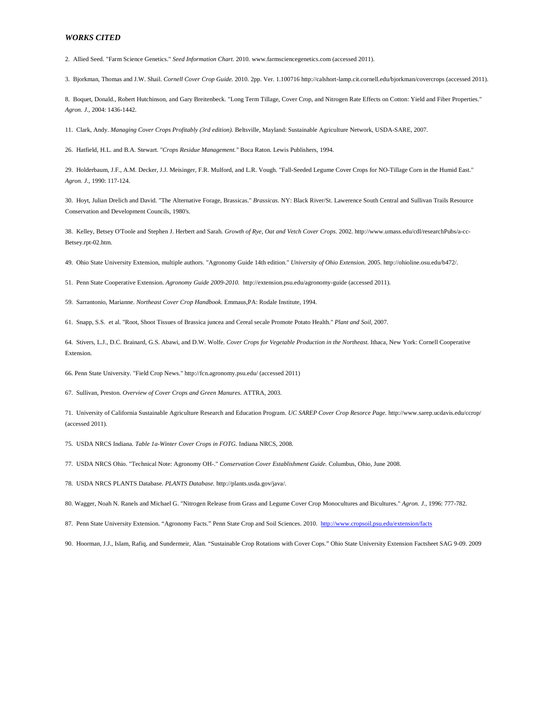2. Allied Seed. "Farm Science Genetics." *Seed Information Chart.* 2010. www.farmsciencegenetics.com (accessed 2011).

3. Bjorkman, Thomas and J.W. Shail. *Cornell Cover Crop Guide.* 2010. 2pp. Ver. 1.100716 http://calshort-lamp.cit.cornell.edu/bjorkman/covercrops (accessed 2011).

8. Boquet, Donald., Robert Hutchinson, and Gary Breitenbeck. "Long Term Tillage, Cover Crop, and Nitrogen Rate Effects on Cotton: Yield and Fiber Properties." *Agron. J.*, 2004: 1436-1442.

11. Clark, Andy. *Managing Cover Crops Profitably (3rd edition).* Beltsville, Mayland: Sustainable Agriculture Network, USDA-SARE, 2007.

26. Hatfield, H.L. and B.A. Stewart. "*Crops Residue Management."* Boca Raton. Lewis Publishers, 1994.

29. Holderbaum, J.F., A.M. Decker, J.J. Meisinger, F.R. Mulford, and L.R. Vough. "Fall-Seeded Legume Cover Crops for NO-Tillage Corn in the Humid East." *Agron. J.*, 1990: 117-124.

30. Hoyt, Julian Drelich and David. "The Alternative Forage, Brassicas." *Brassicas.* NY: Black River/St. Lawerence South Central and Sullivan Trails Resource Conservation and Development Councils, 1980's.

38. Kelley, Betsey O'Toole and Stephen J. Herbert and Sarah. *Growth of Rye, Oat and Vetch Cover Crops.* 2002. http://www.umass.edu/cdl/researchPubs/a-cc-Betsey.rpt-02.htm.

49. Ohio State University Extension, multiple authors. "Agronomy Guide 14th edition." *University of Ohio Extension.* 2005. http://ohioline.osu.edu/b472/.

51. Penn State Cooperative Extension. *Agronomy Guide 2009-2010.* http://extension.psu.edu/agronomy-guide (accessed 2011).

59. Sarrantonio, Marianne. *Northeast Cover Crop Handbook.* Emmaus,PA: Rodale Institute, 1994.

61. Snapp, S.S. et al. "Root, Shoot Tissues of Brassica juncea and Cereal secale Promote Potato Health." *Plant and Soil*, 2007.

64. Stivers, L.J., D.C. Brainard, G.S. Abawi, and D.W. Wolfe. *Cover Crops for Vegetable Production in the Northeast.* Ithaca, New York: Cornell Cooperative Extension.

66. Penn State University. "Field Crop News." http://fcn.agronomy.psu.edu/ (accessed 2011)

67. Sullivan, Preston. *Overview of Cover Crops and Green Manures.* ATTRA, 2003.

71. University of California Sustainable Agriculture Research and Education Program. *UC SAREP Cover Crop Resorce Page.* http://www.sarep.ucdavis.edu/ccrop/ (accessed 2011).

75. USDA NRCS Indiana. *Table 1a-Winter Cover Crops in FOTG.* Indiana NRCS, 2008.

77. USDA NRCS Ohio. "Technical Note: Agronomy OH-." *Conservation Cover Establishment Guide.* Columbus, Ohio, June 2008.

78. USDA NRCS PLANTS Database. *PLANTS Database.* http://plants.usda.gov/java/.

80. Wagger, Noah N. Ranels and Michael G. "Nitrogen Release from Grass and Legume Cover Crop Monocultures and Bicultures." *Agron. J.*, 1996: 777-782.

87. Penn State University Extension. "Agronomy Facts." Penn State Crop and Soil Sciences. 2010.<http://www.cropsoil.psu.edu/extension/facts>

90. Hoorman, J.J., Islam, Rafiq, and Sundermeir, Alan. "Sustainable Crop Rotations with Cover Cops." Ohio State University Extension Factsheet SAG 9-09. 2009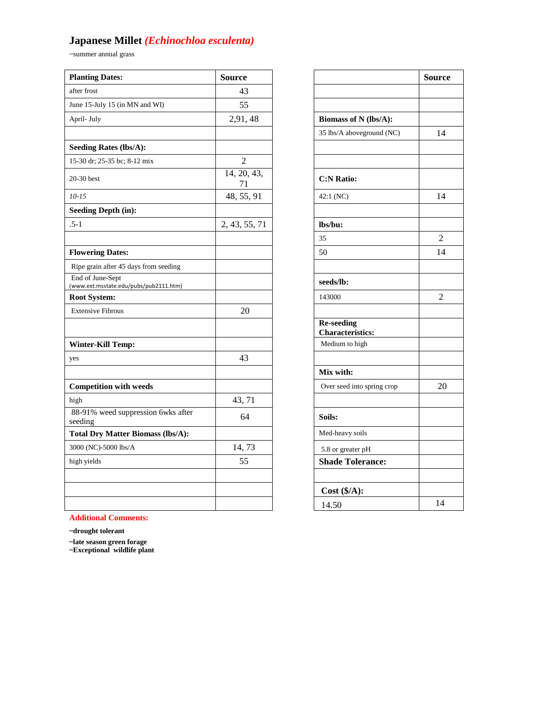# **Japanese Millet** *(Echinochloa esculenta)*

~summer annual grass

| <b>Planting Dates:</b>                                     | <b>Source</b>     |                                              | <b>Source</b>  |
|------------------------------------------------------------|-------------------|----------------------------------------------|----------------|
| after frost                                                | 43                |                                              |                |
| June 15-July 15 (in MN and WI)                             | 55                |                                              |                |
| April- July                                                | 2,91,48           | Biomass of N (lbs/A):                        |                |
|                                                            |                   | 35 lbs/A aboveground (NC)                    | 14             |
| <b>Seeding Rates (lbs/A):</b>                              |                   |                                              |                |
| 15-30 dr; 25-35 bc; 8-12 mix                               | $\overline{2}$    |                                              |                |
| 20-30 best                                                 | 14, 20, 43,<br>71 | <b>C:N Ratio:</b>                            |                |
| $10 - 15$                                                  | 48, 55, 91        | 42:1 (NC)                                    | 14             |
| <b>Seeding Depth (in):</b>                                 |                   |                                              |                |
| $.5 - 1$                                                   | 2, 43, 55, 71     | lbs/bu:                                      |                |
|                                                            |                   | 35                                           | $\overline{2}$ |
| <b>Flowering Dates:</b>                                    |                   | 50                                           | 14             |
| Ripe grain after 45 days from seeding                      |                   |                                              |                |
| End of June-Sept<br>(www.ext.msstate.edu/pubs/pub2111.htm) |                   | seeds/lb:                                    |                |
| <b>Root System:</b>                                        |                   | 143000                                       | $\overline{2}$ |
| <b>Extensive Fibrous</b>                                   | 20                |                                              |                |
|                                                            |                   | <b>Re-seeding</b><br><b>Characteristics:</b> |                |
| <b>Winter-Kill Temp:</b>                                   |                   | Medium to high                               |                |
| yes                                                        | 43                |                                              |                |
|                                                            |                   | Mix with:                                    |                |
| <b>Competition with weeds</b>                              |                   | Over seed into spring crop                   | 20             |
| high                                                       | 43, 71            |                                              |                |
| 88-91% weed suppression 6wks after<br>seeding              | 64                | Soils:                                       |                |
| <b>Total Dry Matter Biomass (lbs/A):</b>                   |                   | Med-heavy soils                              |                |
| 3000 (NC)-5000 lbs/A                                       | 14,73             | 5.8 or greater pH                            |                |
| high yields                                                | 55                | <b>Shade Tolerance:</b>                      |                |
|                                                            |                   |                                              |                |
|                                                            |                   | Cost (\$/A):                                 |                |
|                                                            |                   | 14.50                                        | 14             |

|                           | <b>Source</b>                                                                                                                                                         |
|---------------------------|-----------------------------------------------------------------------------------------------------------------------------------------------------------------------|
|                           |                                                                                                                                                                       |
|                           |                                                                                                                                                                       |
| Biomass of N (lbs/A):     |                                                                                                                                                                       |
| 35 lbs/A aboveground (NC) | 14                                                                                                                                                                    |
|                           |                                                                                                                                                                       |
|                           |                                                                                                                                                                       |
| <b>C:N Ratio:</b>         |                                                                                                                                                                       |
| 42:1 (NC)                 | 14                                                                                                                                                                    |
|                           |                                                                                                                                                                       |
| lbs/bu:                   |                                                                                                                                                                       |
| 35                        | $\overline{2}$                                                                                                                                                        |
| 50                        | 14                                                                                                                                                                    |
|                           |                                                                                                                                                                       |
| seeds/lb:                 |                                                                                                                                                                       |
| 143000                    | $\overline{2}$                                                                                                                                                        |
|                           |                                                                                                                                                                       |
|                           |                                                                                                                                                                       |
|                           |                                                                                                                                                                       |
|                           |                                                                                                                                                                       |
|                           |                                                                                                                                                                       |
|                           | 20                                                                                                                                                                    |
|                           |                                                                                                                                                                       |
| Soils:                    |                                                                                                                                                                       |
|                           |                                                                                                                                                                       |
|                           |                                                                                                                                                                       |
|                           |                                                                                                                                                                       |
|                           |                                                                                                                                                                       |
| Cost (\$/A):              |                                                                                                                                                                       |
| 14.50                     | 14                                                                                                                                                                    |
|                           | Re-seeding<br><b>Characteristics:</b><br>Medium to high<br>Mix with:<br>Over seed into spring crop<br>Med-heavy soils<br>5.8 or greater pH<br><b>Shade Tolerance:</b> |

**Additional Comments:**

**~drought tolerant**

**~late season green forage**

**~Exceptional wildlife plant**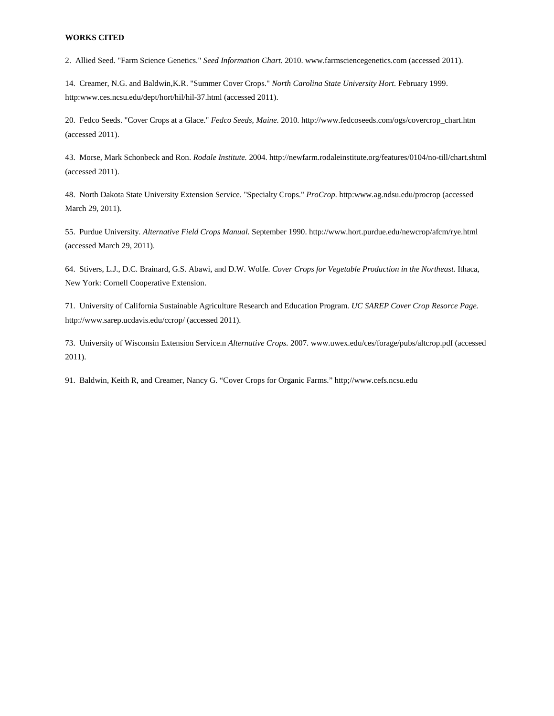2. Allied Seed. "Farm Science Genetics." *Seed Information Chart.* 2010. www.farmsciencegenetics.com (accessed 2011).

14. Creamer, N.G. and Baldwin,K.R. "Summer Cover Crops." *North Carolina State University Hort.* February 1999. http:www.ces.ncsu.edu/dept/hort/hil/hil-37.html (accessed 2011).

20. Fedco Seeds. "Cover Crops at a Glace." *Fedco Seeds, Maine.* 2010. http://www.fedcoseeds.com/ogs/covercrop\_chart.htm (accessed 2011).

43. Morse, Mark Schonbeck and Ron. *Rodale Institute.* 2004. http://newfarm.rodaleinstitute.org/features/0104/no-till/chart.shtml (accessed 2011).

48. North Dakota State University Extension Service. "Specialty Crops." *ProCrop.* http:www.ag.ndsu.edu/procrop (accessed March 29, 2011).

55. Purdue University. *Alternative Field Crops Manual.* September 1990. http://www.hort.purdue.edu/newcrop/afcm/rye.html (accessed March 29, 2011).

64. Stivers, L.J., D.C. Brainard, G.S. Abawi, and D.W. Wolfe. *Cover Crops for Vegetable Production in the Northeast.* Ithaca, New York: Cornell Cooperative Extension.

71. University of California Sustainable Agriculture Research and Education Program. *UC SAREP Cover Crop Resorce Page.* http://www.sarep.ucdavis.edu/ccrop/ (accessed 2011).

73. University of Wisconsin Extension Service.n *Alternative Crops.* 2007. www.uwex.edu/ces/forage/pubs/altcrop.pdf (accessed 2011).

91. Baldwin, Keith R, and Creamer, Nancy G. "Cover Crops for Organic Farms." http;//www.cefs.ncsu.edu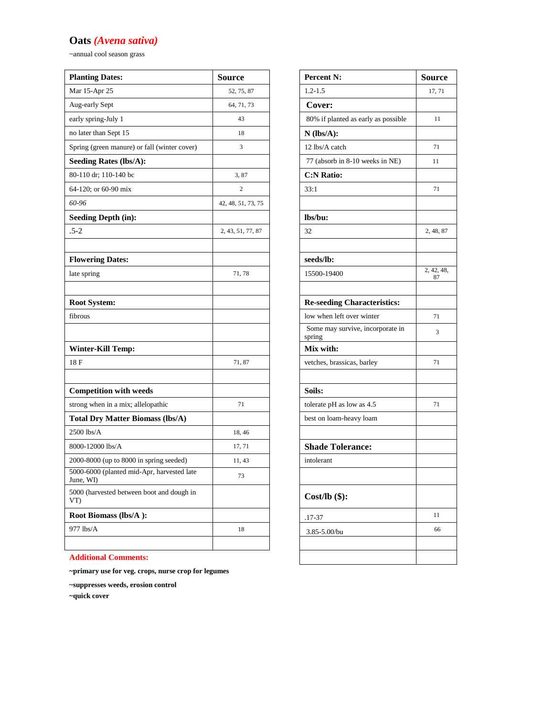# **Oats** *(Avena sativa)*

~annual cool season grass

| <b>Planting Dates:</b>                                  | <b>Source</b>      | Percent N:                                 | <b>Source</b>    |
|---------------------------------------------------------|--------------------|--------------------------------------------|------------------|
| Mar 15-Apr 25                                           | 52, 75, 87         | $1.2 - 1.5$                                | 17, 71           |
| Aug-early Sept                                          | 64, 71, 73         | Cover:                                     |                  |
| early spring-July 1                                     | 43                 | 80% if planted as early as possible        | 11               |
| no later than Sept 15                                   | 18                 | $N$ (lbs/A):                               |                  |
| Spring (green manure) or fall (winter cover)            | 3                  | 12 lbs/A catch                             | 71               |
| <b>Seeding Rates (lbs/A):</b>                           |                    | 77 (absorb in 8-10 weeks in NE)            | 11               |
| 80-110 dr; 110-140 bc                                   | 3,87               | <b>C:N Ratio:</b>                          |                  |
| 64-120; or 60-90 mix                                    | $\mathbf{2}$       | 33:1                                       | 71               |
| 60-96                                                   | 42, 48, 51, 73, 75 |                                            |                  |
| <b>Seeding Depth (in):</b>                              |                    | lbs/bu:                                    |                  |
| $.5 - 2$                                                | 2, 43, 51, 77, 87  | 32                                         | 2, 48, 87        |
| <b>Flowering Dates:</b>                                 |                    | seeds/lb:                                  |                  |
| late spring                                             | 71, 78             | 15500-19400                                | 2, 42, 48,<br>87 |
| <b>Root System:</b>                                     |                    | <b>Re-seeding Characteristics:</b>         |                  |
| fibrous                                                 |                    | low when left over winter                  | 71               |
|                                                         |                    | Some may survive, incorporate in<br>spring | 3                |
| <b>Winter-Kill Temp:</b>                                |                    | Mix with:                                  |                  |
| 18F                                                     | 71,87              | vetches, brassicas, barley                 | 71               |
| <b>Competition with weeds</b>                           |                    | Soils:                                     |                  |
| strong when in a mix; allelopathic                      | 71                 | tolerate pH as low as 4.5                  | 71               |
| <b>Total Dry Matter Biomass (lbs/A)</b>                 |                    | best on loam-heavy loam                    |                  |
| $2500$ lbs/A                                            | 18, 46             |                                            |                  |
| 8000-12000 lbs/A                                        | 17, 71             | <b>Shade Tolerance:</b>                    |                  |
| 2000-8000 (up to 8000 in spring seeded)                 | 11, 43             | intolerant                                 |                  |
| 5000-6000 (planted mid-Apr, harvested late<br>June, WI) | 73                 |                                            |                  |
| 5000 (harvested between boot and dough in<br>VT)        |                    | $Cost/lb$ (\$):                            |                  |
| Root Biomass (lbs/A):                                   |                    | .17-37                                     | 11               |
| 977 lbs/A                                               | 18                 | 3.85-5.00/bu                               | 66               |
|                                                         |                    |                                            |                  |

| Percent N:                                 | <b>Source</b>    |
|--------------------------------------------|------------------|
| $1.2 - 1.5$                                | 17, 71           |
| Cover:                                     |                  |
| 80% if planted as early as possible        | 11               |
| $N$ (lbs/A):                               |                  |
| 12 lbs/A catch                             | 71               |
| 77 (absorb in 8-10 weeks in NE)            | 11               |
| <b>C:N Ratio:</b>                          |                  |
| 33:1                                       | 71               |
|                                            |                  |
| lbs/bu:                                    |                  |
| 32                                         | 2, 48, 87        |
|                                            |                  |
| seeds/lb:                                  |                  |
| 15500-19400                                | 2, 42, 48,<br>87 |
|                                            |                  |
| <b>Re-seeding Characteristics:</b>         |                  |
| low when left over winter                  | 71               |
| Some may survive, incorporate in<br>spring | 3                |
| Mix with:                                  |                  |
| vetches, brassicas, barley                 | 71               |
|                                            |                  |
| Soils:                                     |                  |
| tolerate pH as low as 4.5                  | 71               |
| best on loam-heavy loam                    |                  |
|                                            |                  |
| <b>Shade Tolerance:</b>                    |                  |
| intolerant                                 |                  |
|                                            |                  |
| $Cost/lb$ (\$):                            |                  |
| $.17 - 37$                                 | 11               |
| 3.85-5.00/bu                               | 66               |
|                                            |                  |
|                                            |                  |

**Additional Comments:**

**~primary use for veg. crops, nurse crop for legumes**

**~suppresses weeds, erosion control**

**~quick cover**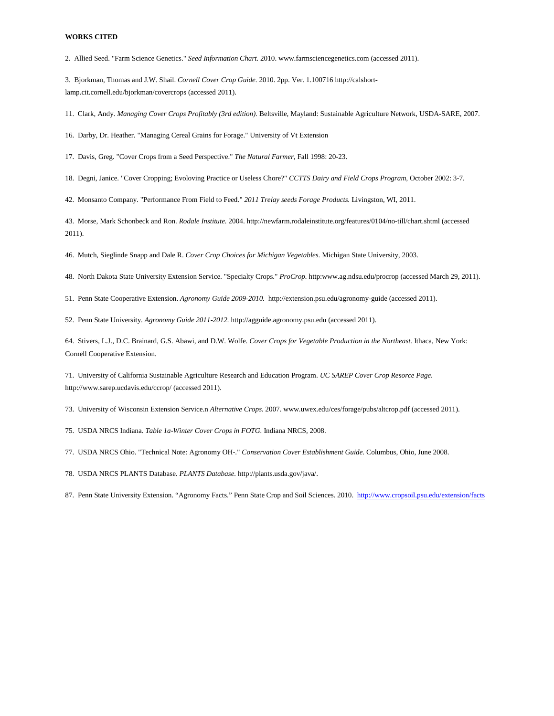2. Allied Seed. "Farm Science Genetics." *Seed Information Chart.* 2010. www.farmsciencegenetics.com (accessed 2011).

3. Bjorkman, Thomas and J.W. Shail. *Cornell Cover Crop Guide.* 2010. 2pp. Ver. 1.100716 http://calshortlamp.cit.cornell.edu/bjorkman/covercrops (accessed 2011).

11. Clark, Andy. *Managing Cover Crops Profitably (3rd edition).* Beltsville, Mayland: Sustainable Agriculture Network, USDA-SARE, 2007.

16. Darby, Dr. Heather. "Managing Cereal Grains for Forage." University of Vt Extension

17. Davis, Greg. "Cover Crops from a Seed Perspective." *The Natural Farmer*, Fall 1998: 20-23.

18. Degni, Janice. "Cover Cropping; Evoloving Practice or Useless Chore?" *CCTTS Dairy and Field Crops Program*, October 2002: 3-7.

42. Monsanto Company. "Performance From Field to Feed." *2011 Trelay seeds Forage Products.* Livingston, WI, 2011.

43. Morse, Mark Schonbeck and Ron. *Rodale Institute.* 2004. http://newfarm.rodaleinstitute.org/features/0104/no-till/chart.shtml (accessed 2011).

46. Mutch, Sieglinde Snapp and Dale R. *Cover Crop Choices for Michigan Vegetables.* Michigan State University, 2003.

48. North Dakota State University Extension Service. "Specialty Crops." *ProCrop.* http:www.ag.ndsu.edu/procrop (accessed March 29, 2011).

51. Penn State Cooperative Extension. *Agronomy Guide 2009-2010.* http://extension.psu.edu/agronomy-guide (accessed 2011).

52. Penn State University. *Agronomy Guide 2011-2012.* http://agguide.agronomy.psu.edu (accessed 2011).

64. Stivers, L.J., D.C. Brainard, G.S. Abawi, and D.W. Wolfe. *Cover Crops for Vegetable Production in the Northeast.* Ithaca, New York: Cornell Cooperative Extension.

71. University of California Sustainable Agriculture Research and Education Program. *UC SAREP Cover Crop Resorce Page.* http://www.sarep.ucdavis.edu/ccrop/ (accessed 2011).

73. University of Wisconsin Extension Service.n *Alternative Crops.* 2007. www.uwex.edu/ces/forage/pubs/altcrop.pdf (accessed 2011).

75. USDA NRCS Indiana. *Table 1a-Winter Cover Crops in FOTG.* Indiana NRCS, 2008.

77. USDA NRCS Ohio. "Technical Note: Agronomy OH-." *Conservation Cover Establishment Guide.* Columbus, Ohio, June 2008.

78. USDA NRCS PLANTS Database. *PLANTS Database.* http://plants.usda.gov/java/.

87. Penn State University Extension. "Agronomy Facts." Penn State Crop and Soil Sciences. 2010. <http://www.cropsoil.psu.edu/extension/facts>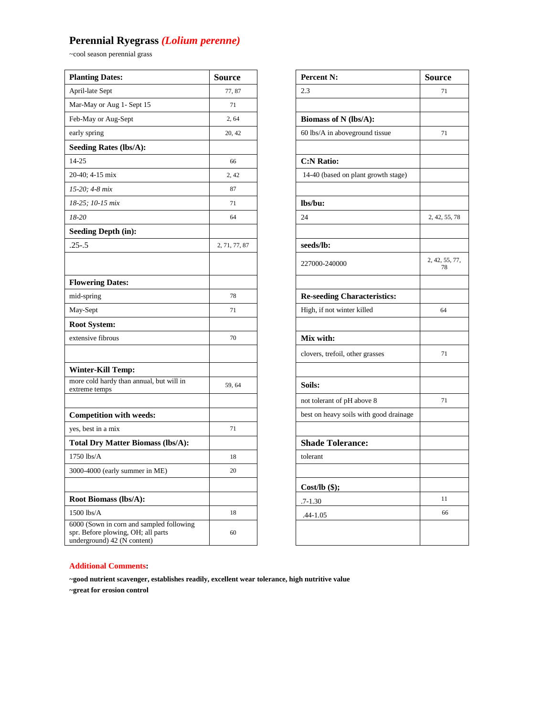# **Perennial Ryegrass** *(Lolium perenne)*

~cool season perennial grass

| <b>Planting Dates:</b>                                                                                        | <b>Source</b> | <b>Percent N:</b>                      | <b>Source</b>        |
|---------------------------------------------------------------------------------------------------------------|---------------|----------------------------------------|----------------------|
| April-late Sept                                                                                               | 77,87         | 2.3                                    | 71                   |
| Mar-May or Aug 1- Sept 15                                                                                     | 71            |                                        |                      |
| Feb-May or Aug-Sept                                                                                           | 2, 64         | Biomass of N (lbs/A):                  |                      |
| early spring                                                                                                  | 20, 42        | 60 lbs/A in aboveground tissue         | 71                   |
| <b>Seeding Rates (lbs/A):</b>                                                                                 |               |                                        |                      |
| $14 - 25$                                                                                                     | 66            | <b>C:N Ratio:</b>                      |                      |
| 20-40; 4-15 mix                                                                                               | 2, 42         | 14-40 (based on plant growth stage)    |                      |
| 15-20; 4-8 mix                                                                                                | 87            |                                        |                      |
| 18-25; 10-15 mix                                                                                              | 71            | lbs/bu:                                |                      |
| 18-20                                                                                                         | 64            | 24                                     | 2, 42, 55, 78        |
| <b>Seeding Depth (in):</b>                                                                                    |               |                                        |                      |
| $.25 - .5$                                                                                                    | 2, 71, 77, 87 | seeds/lb:                              |                      |
|                                                                                                               |               | 227000-240000                          | 2, 42, 55, 77,<br>78 |
| <b>Flowering Dates:</b>                                                                                       |               |                                        |                      |
| mid-spring                                                                                                    | 78            | <b>Re-seeding Characteristics:</b>     |                      |
| May-Sept                                                                                                      | 71            | High, if not winter killed             | 64                   |
| <b>Root System:</b>                                                                                           |               |                                        |                      |
| extensive fibrous                                                                                             | 70            | Mix with:                              |                      |
|                                                                                                               |               | clovers, trefoil, other grasses        | 71                   |
| <b>Winter-Kill Temp:</b>                                                                                      |               |                                        |                      |
| more cold hardy than annual, but will in<br>extreme temps                                                     | 59, 64        | Soils:                                 |                      |
|                                                                                                               |               | not tolerant of pH above 8             | 71                   |
| <b>Competition with weeds:</b>                                                                                |               | best on heavy soils with good drainage |                      |
| yes, best in a mix                                                                                            | 71            |                                        |                      |
| <b>Total Dry Matter Biomass (lbs/A):</b>                                                                      |               | <b>Shade Tolerance:</b>                |                      |
| $1750$ lbs/A                                                                                                  | 18            | tolerant                               |                      |
| 3000-4000 (early summer in ME)                                                                                | 20            |                                        |                      |
|                                                                                                               |               | $Cost/lb$ (\$);                        |                      |
| Root Biomass (lbs/A):                                                                                         |               | $.7 - 1.30$                            | 11                   |
| $1500$ lbs/A                                                                                                  | 18            | $.44 - 1.05$                           | 66                   |
| 6000 (Sown in corn and sampled following<br>spr. Before plowing, OH; all parts<br>underground) 42 (N content) | 60            |                                        |                      |

| <b>Percent N:</b>                      | Source               |
|----------------------------------------|----------------------|
| 2.3                                    | 71                   |
|                                        |                      |
| Biomass of N (lbs/A):                  |                      |
| 60 lbs/A in aboveground tissue         | 71                   |
|                                        |                      |
| <b>C:N Ratio:</b>                      |                      |
| 14-40 (based on plant growth stage)    |                      |
|                                        |                      |
| lbs/bu:                                |                      |
| 24                                     | 2, 42, 55, 78        |
|                                        |                      |
| seeds/lb:                              |                      |
| 227000-240000                          | 2, 42, 55, 77,<br>78 |
|                                        |                      |
|                                        |                      |
| <b>Re-seeding Characteristics:</b>     | 64                   |
| High, if not winter killed             |                      |
| Mix with:                              |                      |
|                                        |                      |
| clovers, trefoil, other grasses        | 71                   |
|                                        |                      |
| Soils:                                 |                      |
| not tolerant of pH above 8             | 71                   |
| best on heavy soils with good drainage |                      |
|                                        |                      |
| <b>Shade Tolerance:</b>                |                      |
| tolerant                               |                      |
|                                        |                      |
| Cost/lb $($ \$);                       |                      |
| $.7 - 1.30$                            | 11                   |
| .44-1.05                               | 66                   |
|                                        |                      |
|                                        |                      |

### **Additional Comments:**

**~good nutrient scavenger, establishes readily, excellent wear tolerance, high nutritive value**

**~great for erosion control**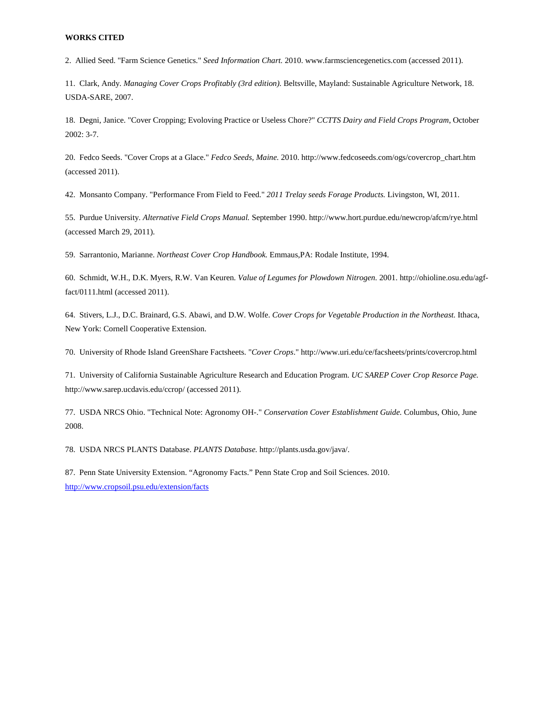2. Allied Seed. "Farm Science Genetics." *Seed Information Chart.* 2010. www.farmsciencegenetics.com (accessed 2011).

11. Clark, Andy. *Managing Cover Crops Profitably (3rd edition).* Beltsville, Mayland: Sustainable Agriculture Network, 18. USDA-SARE, 2007.

18. Degni, Janice. "Cover Cropping; Evoloving Practice or Useless Chore?" *CCTTS Dairy and Field Crops Program*, October 2002: 3-7.

20. Fedco Seeds. "Cover Crops at a Glace." *Fedco Seeds, Maine.* 2010. http://www.fedcoseeds.com/ogs/covercrop\_chart.htm (accessed 2011).

42. Monsanto Company. "Performance From Field to Feed." *2011 Trelay seeds Forage Products.* Livingston, WI, 2011.

55. Purdue University. *Alternative Field Crops Manual.* September 1990. http://www.hort.purdue.edu/newcrop/afcm/rye.html (accessed March 29, 2011).

59. Sarrantonio, Marianne. *Northeast Cover Crop Handbook.* Emmaus,PA: Rodale Institute, 1994.

60. Schmidt, W.H., D.K. Myers, R.W. Van Keuren. *Value of Legumes for Plowdown Nitrogen.* 2001. http://ohioline.osu.edu/agffact/0111.html (accessed 2011).

64. Stivers, L.J., D.C. Brainard, G.S. Abawi, and D.W. Wolfe. *Cover Crops for Vegetable Production in the Northeast.* Ithaca, New York: Cornell Cooperative Extension.

70. University of Rhode Island GreenShare Factsheets. "*Cover Crops*." http://www.uri.edu/ce/facsheets/prints/covercrop.html

71. University of California Sustainable Agriculture Research and Education Program. *UC SAREP Cover Crop Resorce Page.* http://www.sarep.ucdavis.edu/ccrop/ (accessed 2011).

77. USDA NRCS Ohio. "Technical Note: Agronomy OH-." *Conservation Cover Establishment Guide.* Columbus, Ohio, June 2008.

78. USDA NRCS PLANTS Database. *PLANTS Database.* http://plants.usda.gov/java/.

87. Penn State University Extension. "Agronomy Facts." Penn State Crop and Soil Sciences. 2010. <http://www.cropsoil.psu.edu/extension/facts>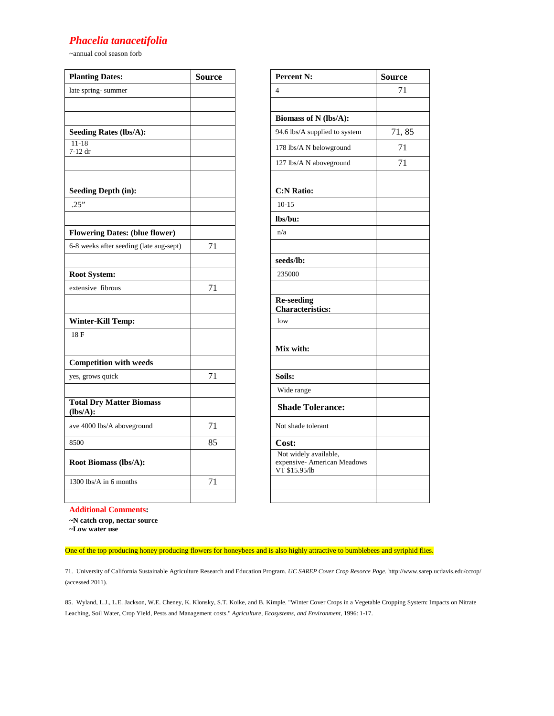### *Phacelia tanacetifolia*

~annual cool season forb

| <b>Planting Dates:</b>                      | <b>Source</b> | <b>Percent N:</b>                                                     | <b>Source</b> |
|---------------------------------------------|---------------|-----------------------------------------------------------------------|---------------|
| late spring-summer                          |               | $\overline{4}$                                                        | 71            |
|                                             |               |                                                                       |               |
|                                             |               | Biomass of N (lbs/A):                                                 |               |
| <b>Seeding Rates (lbs/A):</b>               |               | 94.6 lbs/A supplied to system                                         | 71,85         |
| $11 - 18$<br>7-12 dr                        |               | 178 lbs/A N belowground                                               | 71            |
|                                             |               | 127 lbs/A N aboveground                                               | 71            |
| <b>Seeding Depth (in):</b>                  |               | <b>C:N Ratio:</b>                                                     |               |
| .25"                                        |               | $10-15$                                                               |               |
|                                             |               | lbs/bu:                                                               |               |
| <b>Flowering Dates: (blue flower)</b>       |               | n/a                                                                   |               |
| 6-8 weeks after seeding (late aug-sept)     | 71            |                                                                       |               |
|                                             |               | seeds/lb:                                                             |               |
| <b>Root System:</b>                         |               | 235000                                                                |               |
| extensive fibrous                           | 71            |                                                                       |               |
|                                             |               | <b>Re-seeding</b><br><b>Characteristics:</b>                          |               |
| <b>Winter-Kill Temp:</b>                    |               | low                                                                   |               |
| 18F                                         |               |                                                                       |               |
|                                             |               | Mix with:                                                             |               |
| <b>Competition with weeds</b>               |               |                                                                       |               |
| yes, grows quick                            | 71            | Soils:                                                                |               |
|                                             |               | Wide range                                                            |               |
| <b>Total Dry Matter Biomass</b><br>(lbs/A): |               | <b>Shade Tolerance:</b>                                               |               |
| ave 4000 lbs/A aboveground                  | 71            | Not shade tolerant                                                    |               |
| 8500                                        | 85            | Cost:                                                                 |               |
| <b>Root Biomass (lbs/A):</b>                |               | Not widely available,<br>expensive- American Meadows<br>VT \$15.95/lb |               |
| 1300 lbs/A in 6 months                      | 71            |                                                                       |               |
|                                             |               |                                                                       |               |

| <b>Percent N:</b>                                                     | Source |
|-----------------------------------------------------------------------|--------|
| 4                                                                     | 71     |
|                                                                       |        |
| Biomass of N (lbs/A):                                                 |        |
| 94.6 lbs/A supplied to system                                         | 71,85  |
| 178 lbs/A N belowground                                               | 71     |
| 127 lbs/A N aboveground                                               | 71     |
|                                                                       |        |
| <b>C:N Ratio:</b>                                                     |        |
| $10 - 15$                                                             |        |
| lbs/bu:                                                               |        |
| n/a                                                                   |        |
|                                                                       |        |
| seeds/lb:                                                             |        |
| 235000                                                                |        |
|                                                                       |        |
| <b>Re-seeding</b><br><b>Characteristics:</b>                          |        |
| low                                                                   |        |
|                                                                       |        |
| Mix with:                                                             |        |
|                                                                       |        |
| Soils:                                                                |        |
| Wide range                                                            |        |
| <b>Shade Tolerance:</b>                                               |        |
| Not shade tolerant                                                    |        |
| Cost:                                                                 |        |
| Not widely available,<br>expensive- American Meadows<br>VT \$15.95/lb |        |
|                                                                       |        |
|                                                                       |        |

**Additional Comments:**

**~N catch crop, nectar source**

**~Low water use**

One of the top producing honey producing flowers for honeybees and is also highly attractive to bumblebees and syriphid flies.

71. University of California Sustainable Agriculture Research and Education Program. *UC SAREP Cover Crop Resorce Page.* http://www.sarep.ucdavis.edu/ccrop/ (accessed 2011).

85. Wyland, L.J., L.E. Jackson, W.E. Cheney, K. Klonsky, S.T. Koike, and B. Kimple. "Winter Cover Crops in a Vegetable Cropping System: Impacts on Nitrate Leaching, Soil Water, Crop Yield, Pests and Management costs." *Agriculture, Ecosystems, and Environment*, 1996: 1-17.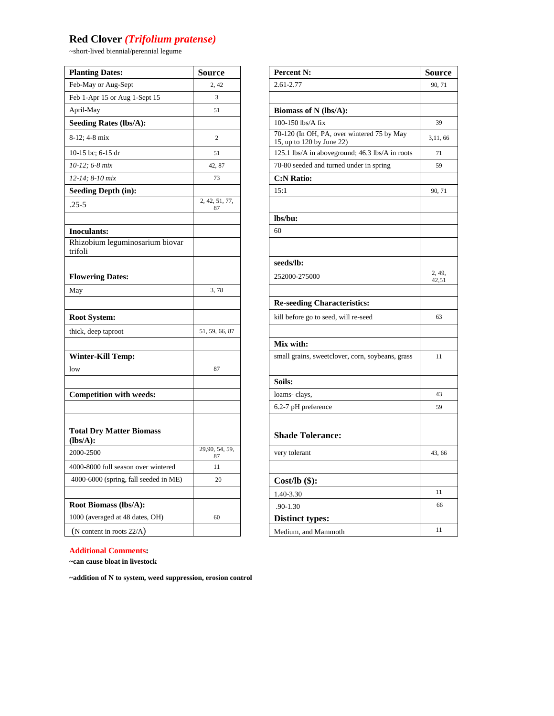# **Red Clover** *(Trifolium pratense)*

~short-lived biennial/perennial legume

| <b>Planting Dates:</b>                        | <b>Source</b>        | <b>Percent N:</b>                                                       | Sour          |
|-----------------------------------------------|----------------------|-------------------------------------------------------------------------|---------------|
| Feb-May or Aug-Sept                           | 2, 42                | 2.61-2.77                                                               | 90, 7         |
| Feb 1-Apr 15 or Aug 1-Sept 15                 | 3                    |                                                                         |               |
| April-May                                     | 51                   | Biomass of N (lbs/A):                                                   |               |
| Seeding Rates (lbs/A):                        |                      | 100-150 lbs/A fix                                                       | 39            |
| 8-12; 4-8 mix                                 | $\mathfrak{2}$       | 70-120 (In OH, PA, over wintered 75 by May<br>15, up to 120 by June 22) | 3,11,         |
| 10-15 bc; 6-15 dr                             | 51                   | 125.1 lbs/A in aboveground; 46.3 lbs/A in roots                         | 71            |
| 10-12; 6-8 mix                                | 42, 87               | 70-80 seeded and turned under in spring                                 | 59            |
| 12-14; 8-10 mix                               | 73                   | <b>C:N Ratio:</b>                                                       |               |
| <b>Seeding Depth (in):</b>                    |                      | 15:1                                                                    | 90,7          |
| $.25 - 5$                                     | 2, 42, 51, 77,<br>87 |                                                                         |               |
|                                               |                      | lbs/bu:                                                                 |               |
| <b>Inoculants:</b>                            |                      | 60                                                                      |               |
| Rhizobium leguminosarium biovar<br>trifoli    |                      |                                                                         |               |
|                                               |                      | seeds/lb:                                                               |               |
| <b>Flowering Dates:</b>                       |                      | 252000-275000                                                           | 2, 49<br>42,5 |
| May                                           | 3,78                 |                                                                         |               |
|                                               |                      | <b>Re-seeding Characteristics:</b>                                      |               |
| <b>Root System:</b>                           |                      | kill before go to seed, will re-seed                                    | 63            |
| thick, deep taproot                           | 51, 59, 66, 87       |                                                                         |               |
|                                               |                      | Mix with:                                                               |               |
| <b>Winter-Kill Temp:</b>                      |                      | small grains, sweetclover, corn, soybeans, grass                        | 11            |
| low                                           | 87                   |                                                                         |               |
|                                               |                      | Soils:                                                                  |               |
| <b>Competition with weeds:</b>                |                      | loams-clays,                                                            | 43            |
|                                               |                      | 6.2-7 pH preference                                                     | 59            |
|                                               |                      |                                                                         |               |
| <b>Total Dry Matter Biomass</b><br>$(lbs/A):$ |                      | <b>Shade Tolerance:</b>                                                 |               |
| 2000-2500                                     | 29,90, 54, 59,<br>87 | very tolerant                                                           | 43, 6         |
| 4000-8000 full season over wintered           | 11                   |                                                                         |               |
| 4000-6000 (spring, fall seeded in ME)         | 20                   | Cost/lb $($ \$):                                                        |               |
|                                               |                      | 1.40-3.30                                                               | 11            |
| <b>Root Biomass (lbs/A):</b>                  |                      | $.90 - 1.30$                                                            | 66            |
| 1000 (averaged at 48 dates, OH)               | 60                   | <b>Distinct types:</b>                                                  |               |
| (N content in roots $22/A$ )                  |                      | Medium, and Mammoth                                                     | 11            |

| <b>Planting Dates:</b>                     | <b>Source</b>        | Percent N:                                                              | <b>Source</b>   |
|--------------------------------------------|----------------------|-------------------------------------------------------------------------|-----------------|
| Feb-May or Aug-Sept                        | 2, 42                | 2.61-2.77                                                               | 90, 71          |
| Feb 1-Apr 15 or Aug 1-Sept 15              | 3                    |                                                                         |                 |
| April-May                                  | 51                   | Biomass of N (lbs/A):                                                   |                 |
| <b>Seeding Rates (lbs/A):</b>              |                      | 100-150 lbs/A fix                                                       | 39              |
| 8-12; 4-8 mix                              | 2                    | 70-120 (In OH, PA, over wintered 75 by May<br>15, up to 120 by June 22) | 3,11,66         |
| 10-15 bc; 6-15 dr                          | 51                   | 125.1 lbs/A in aboveground; 46.3 lbs/A in roots                         | 71              |
| 10-12; 6-8 mix                             | 42, 87               | 70-80 seeded and turned under in spring                                 | 59              |
| 12-14; 8-10 mix                            | 73                   | <b>C:N Ratio:</b>                                                       |                 |
| <b>Seeding Depth (in):</b>                 |                      | 15:1                                                                    | 90, 71          |
| $.25 - 5$                                  | 2, 42, 51, 77,<br>87 |                                                                         |                 |
|                                            |                      | lbs/bu:                                                                 |                 |
| <b>Inoculants:</b>                         |                      | 60                                                                      |                 |
| Rhizobium leguminosarium biovar<br>trifoli |                      |                                                                         |                 |
|                                            |                      | seeds/lb:                                                               |                 |
| <b>Flowering Dates:</b>                    |                      | 252000-275000                                                           | 2, 49,<br>42,51 |
| May                                        | 3,78                 |                                                                         |                 |
|                                            |                      | <b>Re-seeding Characteristics:</b>                                      |                 |
| Root System:                               |                      | kill before go to seed, will re-seed                                    | 63              |
| thick, deep taproot                        | 51, 59, 66, 87       |                                                                         |                 |
|                                            |                      | Mix with:                                                               |                 |
| <b>Winter-Kill Temp:</b>                   |                      | small grains, sweetclover, corn, soybeans, grass                        | 11              |
| low                                        | 87                   |                                                                         |                 |
|                                            |                      | Soils:                                                                  |                 |
| <b>Competition with weeds:</b>             |                      | loams-clays,                                                            | 43              |
|                                            |                      | 6.2-7 pH preference                                                     | 59              |
| <b>Total Dry Matter Biomass</b>            |                      | <b>Shade Tolerance:</b>                                                 |                 |
| (lbs/A):                                   | 29,90, 54, 59,       |                                                                         |                 |
| 2000-2500                                  | 87                   | very tolerant                                                           | 43, 66          |
| 4000-8000 full season over wintered        | 11                   |                                                                         |                 |
| 4000-6000 (spring, fall seeded in ME)      | 20                   | $Cost/lb$ (\$):                                                         |                 |
|                                            |                      | 1.40-3.30                                                               | 11              |
| Root Biomass (lbs/A):                      |                      | $.90 - 1.30$                                                            | 66              |
| 1000 (averaged at 48 dates, OH)            | 60                   | <b>Distinct types:</b>                                                  |                 |
| (N content in roots $22/A$ )               |                      | Medium, and Mammoth                                                     | 11              |

**Additional Comments:**

**~can cause bloat in livestock**

**~addition of N to system, weed suppression, erosion control**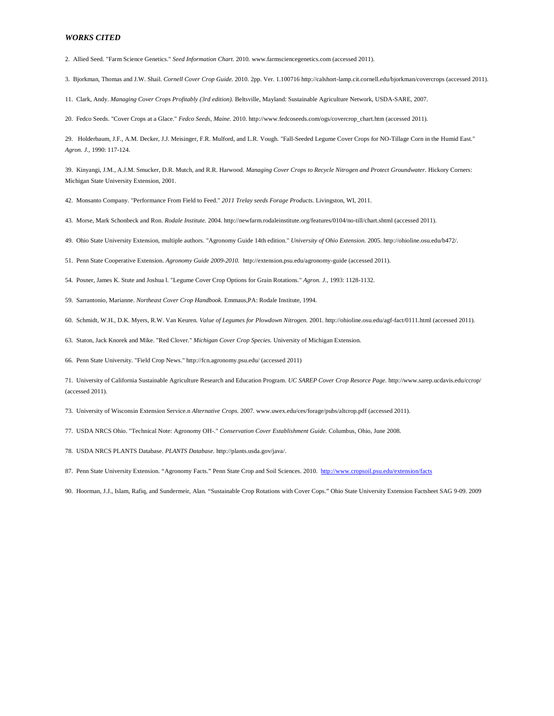2. Allied Seed. "Farm Science Genetics." *Seed Information Chart.* 2010. www.farmsciencegenetics.com (accessed 2011).

3. Bjorkman, Thomas and J.W. Shail. *Cornell Cover Crop Guide.* 2010. 2pp. Ver. 1.100716 http://calshort-lamp.cit.cornell.edu/bjorkman/covercrops (accessed 2011).

11. Clark, Andy. *Managing Cover Crops Profitably (3rd edition).* Beltsville, Mayland: Sustainable Agriculture Network, USDA-SARE, 2007.

20. Fedco Seeds. "Cover Crops at a Glace." *Fedco Seeds, Maine.* 2010. http://www.fedcoseeds.com/ogs/covercrop\_chart.htm (accessed 2011).

29. Holderbaum, J.F., A.M. Decker, J.J. Meisinger, F.R. Mulford, and L.R. Vough. "Fall-Seeded Legume Cover Crops for NO-Tillage Corn in the Humid East." *Agron. J.*, 1990: 117-124.

39. Kinyangi, J.M., A.J.M. Smucker, D.R. Mutch, and R.R. Harwood. *Managing Cover Crops to Recycle Nitrogen and Protect Groundwater.* Hickory Corners: Michigan State University Extension, 2001.

42. Monsanto Company. "Performance From Field to Feed." *2011 Trelay seeds Forage Products.* Livingston, WI, 2011.

43. Morse, Mark Schonbeck and Ron. *Rodale Institute.* 2004. http://newfarm.rodaleinstitute.org/features/0104/no-till/chart.shtml (accessed 2011).

49. Ohio State University Extension, multiple authors. "Agronomy Guide 14th edition." *University of Ohio Extension.* 2005. http://ohioline.osu.edu/b472/.

51. Penn State Cooperative Extension. *Agronomy Guide 2009-2010.* http://extension.psu.edu/agronomy-guide (accessed 2011).

54. Posner, James K. Stute and Joshua l. "Legume Cover Crop Options for Grain Rotations." *Agron. J.*, 1993: 1128-1132.

59. Sarrantonio, Marianne. *Northeast Cover Crop Handbook.* Emmaus,PA: Rodale Institute, 1994.

60. Schmidt, W.H., D.K. Myers, R.W. Van Keuren. *Value of Legumes for Plowdown Nitrogen.* 2001. http://ohioline.osu.edu/agf-fact/0111.html (accessed 2011).

63. Staton, Jack Knorek and Mike. "Red Clover." *Michigan Cover Crop Species.* University of Michigan Extension.

66. Penn State University. "Field Crop News." http://fcn.agronomy.psu.edu/ (accessed 2011)

71. University of California Sustainable Agriculture Research and Education Program. *UC SAREP Cover Crop Resorce Page.* http://www.sarep.ucdavis.edu/ccrop/ (accessed 2011).

73. University of Wisconsin Extension Service.n *Alternative Crops.* 2007. www.uwex.edu/ces/forage/pubs/altcrop.pdf (accessed 2011).

77. USDA NRCS Ohio. "Technical Note: Agronomy OH-." *Conservation Cover Establishment Guide.* Columbus, Ohio, June 2008.

78. USDA NRCS PLANTS Database. *PLANTS Database.* http://plants.usda.gov/java/.

87. Penn State University Extension. "Agronomy Facts." Penn State Crop and Soil Sciences. 2010.<http://www.cropsoil.psu.edu/extension/facts>

90. Hoorman, J.J., Islam, Rafiq, and Sundermeir, Alan. "Sustainable Crop Rotations with Cover Cops." Ohio State University Extension Factsheet SAG 9-09. 2009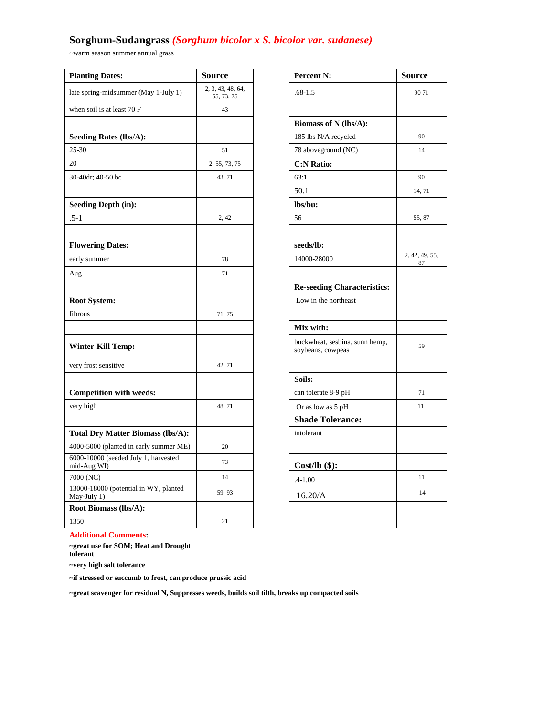# **Sorghum-Sudangrass** *(Sorghum bicolor x S. bicolor var. sudanese)*

~warm season summer annual grass

| <b>Planting Dates:</b>                               | <b>Source</b>                   | <b>Percent N:</b>                                   | <b>Source</b>        |
|------------------------------------------------------|---------------------------------|-----------------------------------------------------|----------------------|
| late spring-midsummer (May 1-July 1)                 | 2, 3, 43, 48, 64,<br>55, 73, 75 | $.68 - 1.5$                                         | 9071                 |
| when soil is at least 70 F                           | 43                              |                                                     |                      |
|                                                      |                                 | Biomass of N (lbs/A):                               |                      |
| <b>Seeding Rates (lbs/A):</b>                        |                                 | 185 lbs N/A recycled                                | 90                   |
| $25 - 30$                                            | 51                              | 78 aboveground (NC)                                 | 14                   |
| 20                                                   | 2, 55, 73, 75                   | <b>C:N Ratio:</b>                                   |                      |
| 30-40dr; 40-50 bc                                    | 43, 71                          | 63:1                                                | 90                   |
|                                                      |                                 | 50:1                                                | 14, 71               |
| <b>Seeding Depth (in):</b>                           |                                 | lbs/bu:                                             |                      |
| $.5 - 1$                                             | 2, 42                           | 56                                                  | 55, 87               |
|                                                      |                                 |                                                     |                      |
| <b>Flowering Dates:</b>                              |                                 | seeds/lb:                                           |                      |
| early summer                                         | 78                              | 14000-28000                                         | 2, 42, 49, 55,<br>87 |
| Aug                                                  | 71                              |                                                     |                      |
|                                                      |                                 | <b>Re-seeding Characteristics:</b>                  |                      |
| <b>Root System:</b>                                  |                                 | Low in the northeast                                |                      |
| fibrous                                              | 71, 75                          |                                                     |                      |
|                                                      |                                 | Mix with:                                           |                      |
| <b>Winter-Kill Temp:</b>                             |                                 | buckwheat, sesbina, sunn hemp,<br>soybeans, cowpeas | 59                   |
| very frost sensitive                                 | 42, 71                          |                                                     |                      |
|                                                      |                                 | Soils:                                              |                      |
| <b>Competition with weeds:</b>                       |                                 | can tolerate 8-9 pH                                 | 71                   |
| very high                                            | 48, 71                          | Or as low as 5 pH                                   | 11                   |
|                                                      |                                 | <b>Shade Tolerance:</b>                             |                      |
| <b>Total Dry Matter Biomass (lbs/A):</b>             |                                 | intolerant                                          |                      |
| 4000-5000 (planted in early summer ME)               | 20                              |                                                     |                      |
| 6000-10000 (seeded July 1, harvested<br>mid-Aug WI)  | 73                              | $Cost/lb$ (\$):                                     |                      |
| 7000 (NC)                                            | 14                              | $.4 - 1.00$                                         | 11                   |
| 13000-18000 (potential in WY, planted<br>May-July 1) | 59, 93                          | 16.20/A                                             | 14                   |
| Root Biomass (lbs/A):                                |                                 |                                                     |                      |
| 1350                                                 | 21                              |                                                     |                      |

| urce                         | Percent N:                                          | Source         |
|------------------------------|-----------------------------------------------------|----------------|
| 3, 43, 48, 64,<br>55, 73, 75 | $.68 - 1.5$                                         | 9071           |
| 43                           |                                                     |                |
|                              | Biomass of N (lbs/A):                               |                |
|                              | 185 lbs N/A recycled                                | 90             |
| 51                           | 78 aboveground (NC)                                 | 14             |
| , 55, 73, 75                 | <b>C:N Ratio:</b>                                   |                |
| 43, 71                       | 63:1                                                | 90             |
|                              | 50:1                                                | 14, 71         |
|                              | lbs/bu:                                             |                |
| 2, 42                        | 56                                                  | 55, 87         |
|                              |                                                     |                |
|                              | seeds/lb:                                           |                |
| 78                           | 14000-28000                                         | 2, 42, 49, 55, |
| 71                           |                                                     | 87             |
|                              | <b>Re-seeding Characteristics:</b>                  |                |
|                              | Low in the northeast                                |                |
| 71, 75                       |                                                     |                |
|                              | Mix with:                                           |                |
|                              | buckwheat, sesbina, sunn hemp,<br>soybeans, cowpeas | 59             |
| 42, 71                       |                                                     |                |
|                              | Soils:                                              |                |
|                              | can tolerate 8-9 pH                                 | 71             |
| 48, 71                       | Or as low as 5 pH                                   | 11             |
|                              | <b>Shade Tolerance:</b>                             |                |
|                              | intolerant                                          |                |
| 20                           |                                                     |                |
| 73                           | $Cost/lb$ (\$):                                     |                |
| 14                           | $.4 - 1.00$                                         | 11             |
| 59, 93                       | 16.20/A                                             | 14             |
|                              |                                                     |                |
| 21                           |                                                     |                |

**Additional Comments:**

**~great use for SOM; Heat and Drought tolerant**

**~very high salt tolerance**

**~if stressed or succumb to frost, can produce prussic acid** 

**~great scavenger for residual N, Suppresses weeds, builds soil tilth, breaks up compacted soils**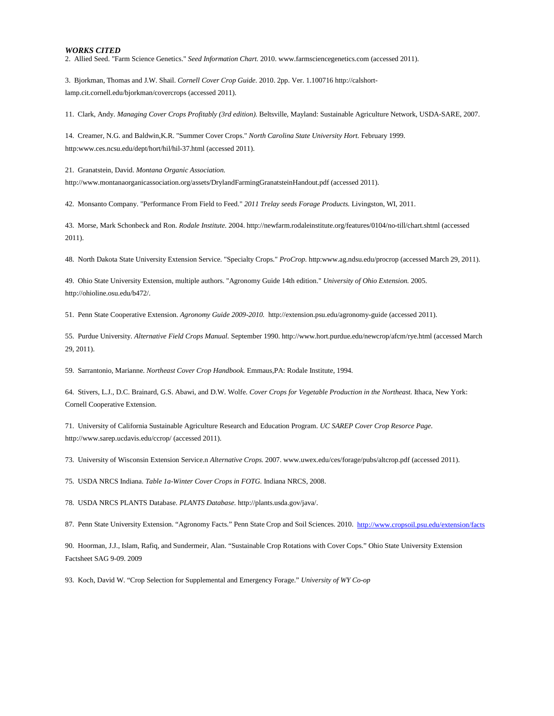2. Allied Seed. "Farm Science Genetics." *Seed Information Chart.* 2010. www.farmsciencegenetics.com (accessed 2011).

3. Bjorkman, Thomas and J.W. Shail. *Cornell Cover Crop Guide.* 2010. 2pp. Ver. 1.100716 http://calshortlamp.cit.cornell.edu/bjorkman/covercrops (accessed 2011).

11. Clark, Andy. *Managing Cover Crops Profitably (3rd edition).* Beltsville, Mayland: Sustainable Agriculture Network, USDA-SARE, 2007.

14. Creamer, N.G. and Baldwin,K.R. "Summer Cover Crops." *North Carolina State University Hort.* February 1999. http:www.ces.ncsu.edu/dept/hort/hil/hil-37.html (accessed 2011).

21. Granatstein, David. *Montana Organic Association.* http://www.montanaorganicassociation.org/assets/DrylandFarmingGranatsteinHandout.pdf (accessed 2011).

42. Monsanto Company. "Performance From Field to Feed." *2011 Trelay seeds Forage Products.* Livingston, WI, 2011.

43. Morse, Mark Schonbeck and Ron. *Rodale Institute.* 2004. http://newfarm.rodaleinstitute.org/features/0104/no-till/chart.shtml (accessed 2011).

48. North Dakota State University Extension Service. "Specialty Crops." *ProCrop.* http:www.ag.ndsu.edu/procrop (accessed March 29, 2011).

49. Ohio State University Extension, multiple authors. "Agronomy Guide 14th edition." *University of Ohio Extension.* 2005. http://ohioline.osu.edu/b472/.

51. Penn State Cooperative Extension. *Agronomy Guide 2009-2010.* http://extension.psu.edu/agronomy-guide (accessed 2011).

55. Purdue University. *Alternative Field Crops Manual.* September 1990. http://www.hort.purdue.edu/newcrop/afcm/rye.html (accessed March 29, 2011).

59. Sarrantonio, Marianne. *Northeast Cover Crop Handbook.* Emmaus,PA: Rodale Institute, 1994.

64. Stivers, L.J., D.C. Brainard, G.S. Abawi, and D.W. Wolfe. *Cover Crops for Vegetable Production in the Northeast.* Ithaca, New York: Cornell Cooperative Extension.

71. University of California Sustainable Agriculture Research and Education Program. *UC SAREP Cover Crop Resorce Page.* http://www.sarep.ucdavis.edu/ccrop/ (accessed 2011).

73. University of Wisconsin Extension Service.n *Alternative Crops.* 2007. www.uwex.edu/ces/forage/pubs/altcrop.pdf (accessed 2011).

75. USDA NRCS Indiana. *Table 1a-Winter Cover Crops in FOTG.* Indiana NRCS, 2008.

78. USDA NRCS PLANTS Database. *PLANTS Database.* http://plants.usda.gov/java/.

87. Penn State University Extension. "Agronomy Facts." Penn State Crop and Soil Sciences. 2010. <http://www.cropsoil.psu.edu/extension/facts>

90. Hoorman, J.J., Islam, Rafiq, and Sundermeir, Alan. "Sustainable Crop Rotations with Cover Cops." Ohio State University Extension Factsheet SAG 9-09. 2009

93. Koch, David W. "Crop Selection for Supplemental and Emergency Forage." *University of WY Co-op*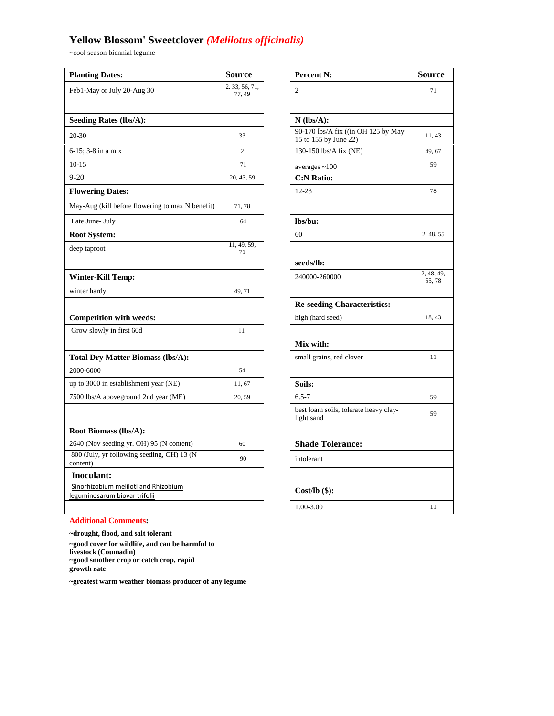# **Yellow Blossom' Sweetclover** *(Melilotus officinalis)*

~cool season biennial legume

| <b>Planting Dates:</b>                                                | <b>Source</b>            | <b>Percent N:</b>                                   | <b>Source</b>        |
|-----------------------------------------------------------------------|--------------------------|-----------------------------------------------------|----------------------|
| Feb1-May or July 20-Aug 30                                            | 2. 33, 56, 71,<br>77, 49 | $\overline{c}$                                      | 71                   |
|                                                                       |                          |                                                     |                      |
| <b>Seeding Rates (lbs/A):</b>                                         |                          | $N$ (lbs/A):<br>90-170 lbs/A fix ((in OH 125 by May |                      |
| 20-30                                                                 | 33                       | 15 to 155 by June 22)                               | 11, 43               |
| $6-15$ ; 3-8 in a mix                                                 | $\sqrt{2}$               | 130-150 lbs/A fix (NE)                              | 49, 67               |
| $10-15$                                                               | 71                       | averages $~100$                                     | 59                   |
| $9 - 20$                                                              | 20, 43, 59               | <b>C:N Ratio:</b>                                   |                      |
| <b>Flowering Dates:</b>                                               |                          | $12 - 23$                                           | 78                   |
| May-Aug (kill before flowering to max N benefit)                      | 71, 78                   |                                                     |                      |
| Late June- July                                                       | 64                       | lbs/bu:                                             |                      |
| <b>Root System:</b>                                                   |                          | 60                                                  | 2, 48, 55            |
| deep taproot                                                          | 11, 49, 59,<br>71        |                                                     |                      |
|                                                                       |                          | seeds/lb:                                           |                      |
| Winter-Kill Temp:                                                     |                          | 240000-260000                                       | 2, 48, 49,<br>55, 78 |
| winter hardy                                                          | 49, 71                   |                                                     |                      |
|                                                                       |                          | <b>Re-seeding Characteristics:</b>                  |                      |
| <b>Competition with weeds:</b>                                        |                          | high (hard seed)                                    | 18, 43               |
| Grow slowly in first 60d                                              | 11                       |                                                     |                      |
|                                                                       |                          | Mix with:                                           |                      |
| <b>Total Dry Matter Biomass (lbs/A):</b>                              |                          | small grains, red clover                            | 11                   |
| 2000-6000                                                             | 54                       |                                                     |                      |
| up to 3000 in establishment year (NE)                                 | 11, 67                   | Soils:                                              |                      |
| 7500 lbs/A aboveground 2nd year (ME)                                  | 20, 59                   | $6.5 - 7$                                           | 59                   |
|                                                                       |                          | best loam soils, tolerate heavy clay-<br>light sand | 59                   |
| Root Biomass (lbs/A):                                                 |                          |                                                     |                      |
| 2640 (Nov seeding yr. OH) 95 (N content)                              | 60                       | <b>Shade Tolerance:</b>                             |                      |
| 800 (July, yr following seeding, OH) 13 (N<br>content)                | 90                       | intolerant                                          |                      |
| Inoculant:                                                            |                          |                                                     |                      |
| Sinorhizobium meliloti and Rhizobium<br>leguminosarum biovar trifolii |                          | $Cost/lb$ (\$):                                     |                      |
|                                                                       |                          | 1.00-3.00                                           | 11                   |

| <b>Percent N:</b>                                            | <b>Source</b>        |
|--------------------------------------------------------------|----------------------|
| $\overline{c}$                                               | 71                   |
|                                                              |                      |
| $N$ (lbs/A):                                                 |                      |
| 90-170 lbs/A fix ((in OH 125 by May<br>15 to 155 by June 22) | 11, 43               |
| 130-150 lbs/A fix (NE)                                       | 49, 67               |
| averages $~100$                                              | 59                   |
| <b>C:N Ratio:</b>                                            |                      |
| 12-23                                                        | 78                   |
|                                                              |                      |
| lbs/bu:                                                      |                      |
| 60                                                           | 2, 48, 55            |
|                                                              |                      |
| seeds/lb:                                                    |                      |
| 240000-260000                                                | 2, 48, 49,<br>55, 78 |
|                                                              |                      |
| <b>Re-seeding Characteristics:</b>                           |                      |
| high (hard seed)                                             | 18, 43               |
|                                                              |                      |
| Mix with:                                                    |                      |
| small grains, red clover                                     | 11                   |
|                                                              |                      |
| Soils:                                                       |                      |
| $6.5 - 7$                                                    | 59                   |
| best loam soils, tolerate heavy clay-<br>light sand          | 59                   |
|                                                              |                      |
| <b>Shade Tolerance:</b>                                      |                      |
| intolerant                                                   |                      |
|                                                              |                      |
| $Cost/lb$ (\$):                                              |                      |
| 1.00-3.00                                                    | 11                   |
|                                                              |                      |

### **Additional Comments:**

**~drought, flood, and salt tolerant ~good cover for wildlife, and can be harmful to livestock (Coumadin) ~good smother crop or catch crop, rapid growth rate**

**~greatest warm weather biomass producer of any legume**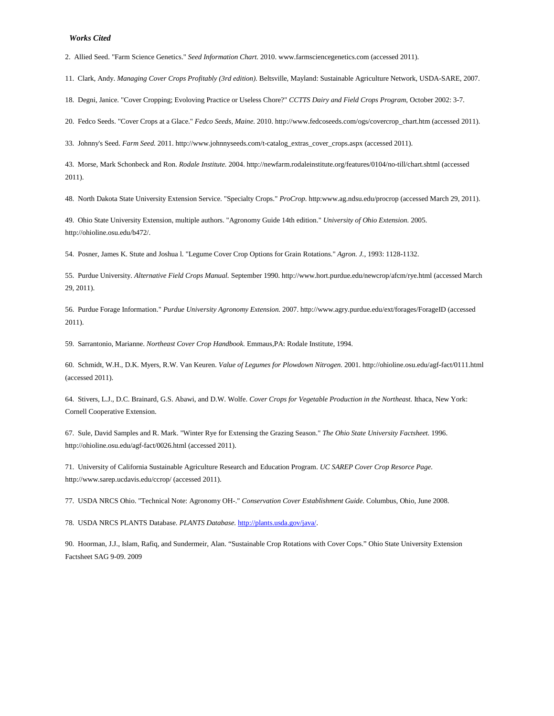#### *Works Cited*

2. Allied Seed. "Farm Science Genetics." *Seed Information Chart.* 2010. www.farmsciencegenetics.com (accessed 2011).

11. Clark, Andy. *Managing Cover Crops Profitably (3rd edition).* Beltsville, Mayland: Sustainable Agriculture Network, USDA-SARE, 2007.

18. Degni, Janice. "Cover Cropping; Evoloving Practice or Useless Chore?" *CCTTS Dairy and Field Crops Program*, October 2002: 3-7.

20. Fedco Seeds. "Cover Crops at a Glace." *Fedco Seeds, Maine.* 2010. http://www.fedcoseeds.com/ogs/covercrop\_chart.htm (accessed 2011).

33. Johnny's Seed. *Farm Seed.* 2011. http://www.johnnyseeds.com/t-catalog\_extras\_cover\_crops.aspx (accessed 2011).

43. Morse, Mark Schonbeck and Ron. *Rodale Institute.* 2004. http://newfarm.rodaleinstitute.org/features/0104/no-till/chart.shtml (accessed 2011).

48. North Dakota State University Extension Service. "Specialty Crops." *ProCrop.* http:www.ag.ndsu.edu/procrop (accessed March 29, 2011).

49. Ohio State University Extension, multiple authors. "Agronomy Guide 14th edition." *University of Ohio Extension.* 2005. http://ohioline.osu.edu/b472/.

54. Posner, James K. Stute and Joshua l. "Legume Cover Crop Options for Grain Rotations." *Agron. J.*, 1993: 1128-1132.

55. Purdue University. *Alternative Field Crops Manual.* September 1990. http://www.hort.purdue.edu/newcrop/afcm/rye.html (accessed March 29, 2011).

56. Purdue Forage Information." *Purdue University Agronomy Extension.* 2007. http://www.agry.purdue.edu/ext/forages/ForageID (accessed 2011).

59. Sarrantonio, Marianne. *Northeast Cover Crop Handbook.* Emmaus,PA: Rodale Institute, 1994.

60. Schmidt, W.H., D.K. Myers, R.W. Van Keuren. *Value of Legumes for Plowdown Nitrogen.* 2001. http://ohioline.osu.edu/agf-fact/0111.html (accessed 2011).

64. Stivers, L.J., D.C. Brainard, G.S. Abawi, and D.W. Wolfe. *Cover Crops for Vegetable Production in the Northeast.* Ithaca, New York: Cornell Cooperative Extension.

67. Sule, David Samples and R. Mark. "Winter Rye for Extensing the Grazing Season." *The Ohio State University Factsheet.* 1996. http://ohioline.osu.edu/agf-fact/0026.html (accessed 2011).

71. University of California Sustainable Agriculture Research and Education Program. *UC SAREP Cover Crop Resorce Page.* http://www.sarep.ucdavis.edu/ccrop/ (accessed 2011).

77. USDA NRCS Ohio. "Technical Note: Agronomy OH-." *Conservation Cover Establishment Guide.* Columbus, Ohio, June 2008.

78. USDA NRCS PLANTS Database. *PLANTS Database.* [http://plants.usda.gov/java/.](http://plants.usda.gov/java/)

90. Hoorman, J.J., Islam, Rafiq, and Sundermeir, Alan. "Sustainable Crop Rotations with Cover Cops." Ohio State University Extension Factsheet SAG 9-09. 2009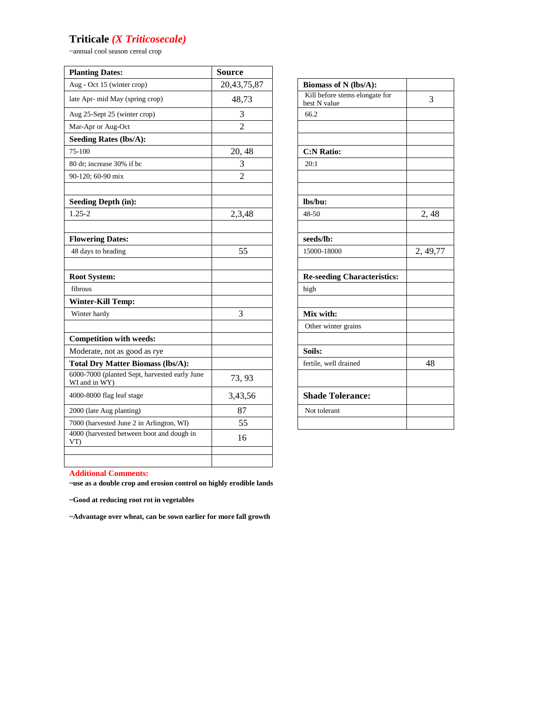### **Triticale** *(X Triticosecale)*

~annual cool season cereal crop

| <b>Planting Dates:</b>                                         | <b>Source</b>  |                                                |          |
|----------------------------------------------------------------|----------------|------------------------------------------------|----------|
| Aug - Oct 15 (winter crop)                                     | 20,43,75,87    | Biomass of N (lbs/A):                          |          |
| late Apr- mid May (spring crop)                                | 48,73          | Kill before stems elongate for<br>best N value | 3        |
| Aug 25-Sept 25 (winter crop)                                   | 3              | 66.2                                           |          |
| Mar-Apr or Aug-Oct                                             | $\overline{c}$ |                                                |          |
| <b>Seeding Rates (lbs/A):</b>                                  |                |                                                |          |
| 75-100                                                         | 20, 48         | <b>C:N Ratio:</b>                              |          |
| 80 dr; increase 30% if bc                                      | 3              | 20:1                                           |          |
| 90-120; 60-90 mix                                              | $\overline{2}$ |                                                |          |
| <b>Seeding Depth (in):</b>                                     |                | lbs/bu:                                        |          |
| $1.25 - 2$                                                     | 2,3,48         | 48-50                                          | 2,48     |
| <b>Flowering Dates:</b>                                        |                | seeds/lb:                                      |          |
| 48 days to heading                                             | 55             | 15000-18000                                    | 2, 49,77 |
| <b>Root System:</b>                                            |                | <b>Re-seeding Characteristics:</b>             |          |
| fibrous                                                        |                | high                                           |          |
| <b>Winter-Kill Temp:</b>                                       |                |                                                |          |
| Winter hardy                                                   | 3              | Mix with:                                      |          |
|                                                                |                | Other winter grains                            |          |
| <b>Competition with weeds:</b>                                 |                |                                                |          |
| Moderate, not as good as rye                                   |                | Soils:                                         |          |
| <b>Total Dry Matter Biomass (lbs/A):</b>                       |                | fertile, well drained                          | 48       |
| 6000-7000 (planted Sept, harvested early June<br>WI and in WY) | 73, 93         |                                                |          |
| 4000-8000 flag leaf stage                                      | 3,43,56        | <b>Shade Tolerance:</b>                        |          |
| 2000 (late Aug planting)                                       | 87             | Not tolerant                                   |          |
| 7000 (harvested June 2 in Arlington, WI)                       | 55             |                                                |          |
| 4000 (harvested between boot and dough in<br>VT                | 16             |                                                |          |
|                                                                |                |                                                |          |

| Biomass of N (lbs/A):              |          |
|------------------------------------|----------|
| Kill before stems elongate for     | 3        |
| best N value                       |          |
| 66.2                               |          |
|                                    |          |
|                                    |          |
| <b>C:N Ratio:</b>                  |          |
| 20:1                               |          |
|                                    |          |
|                                    |          |
| lbs/bu:                            |          |
| 48-50                              | 2, 48    |
|                                    |          |
| seeds/lb:                          |          |
| 15000-18000                        | 2, 49,77 |
|                                    |          |
| <b>Re-seeding Characteristics:</b> |          |
| high                               |          |
|                                    |          |
| Mix with:                          |          |
| Other winter grains                |          |
|                                    |          |
| Soils:                             |          |
| fertile, well drained              | 48       |
|                                    |          |
| <b>Shade Tolerance:</b>            |          |
| Not tolerant                       |          |
|                                    |          |

### **Additional Comments:**

**~use as a double crop and erosion control on highly erodible lands**

**~Good at reducing root rot in vegetables**

**~Advantage over wheat, can be sown earlier for more fall growth**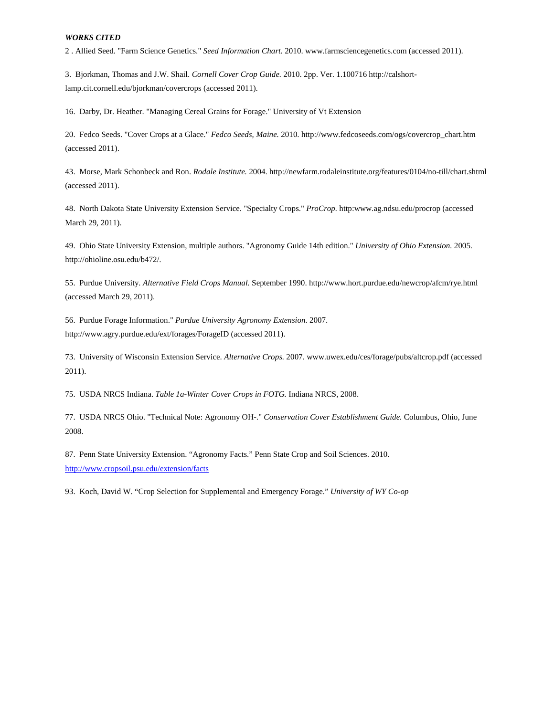2 . Allied Seed. "Farm Science Genetics." *Seed Information Chart.* 2010. www.farmsciencegenetics.com (accessed 2011).

3. Bjorkman, Thomas and J.W. Shail. *Cornell Cover Crop Guide.* 2010. 2pp. Ver. 1.100716 http://calshortlamp.cit.cornell.edu/bjorkman/covercrops (accessed 2011).

16. Darby, Dr. Heather. "Managing Cereal Grains for Forage." University of Vt Extension

20. Fedco Seeds. "Cover Crops at a Glace." *Fedco Seeds, Maine.* 2010. http://www.fedcoseeds.com/ogs/covercrop\_chart.htm (accessed 2011).

43. Morse, Mark Schonbeck and Ron. *Rodale Institute.* 2004. http://newfarm.rodaleinstitute.org/features/0104/no-till/chart.shtml (accessed 2011).

48. North Dakota State University Extension Service. "Specialty Crops." *ProCrop.* http:www.ag.ndsu.edu/procrop (accessed March 29, 2011).

49. Ohio State University Extension, multiple authors. "Agronomy Guide 14th edition." *University of Ohio Extension.* 2005. http://ohioline.osu.edu/b472/.

55. Purdue University. *Alternative Field Crops Manual.* September 1990. http://www.hort.purdue.edu/newcrop/afcm/rye.html (accessed March 29, 2011).

56. Purdue Forage Information." *Purdue University Agronomy Extension.* 2007. http://www.agry.purdue.edu/ext/forages/ForageID (accessed 2011).

73. University of Wisconsin Extension Service. *Alternative Crops.* 2007. www.uwex.edu/ces/forage/pubs/altcrop.pdf (accessed 2011).

75. USDA NRCS Indiana. *Table 1a-Winter Cover Crops in FOTG.* Indiana NRCS, 2008.

77. USDA NRCS Ohio. "Technical Note: Agronomy OH-." *Conservation Cover Establishment Guide.* Columbus, Ohio, June 2008.

87. Penn State University Extension. "Agronomy Facts." Penn State Crop and Soil Sciences. 2010. <http://www.cropsoil.psu.edu/extension/facts>

93. Koch, David W. "Crop Selection for Supplemental and Emergency Forage." *University of WY Co-op*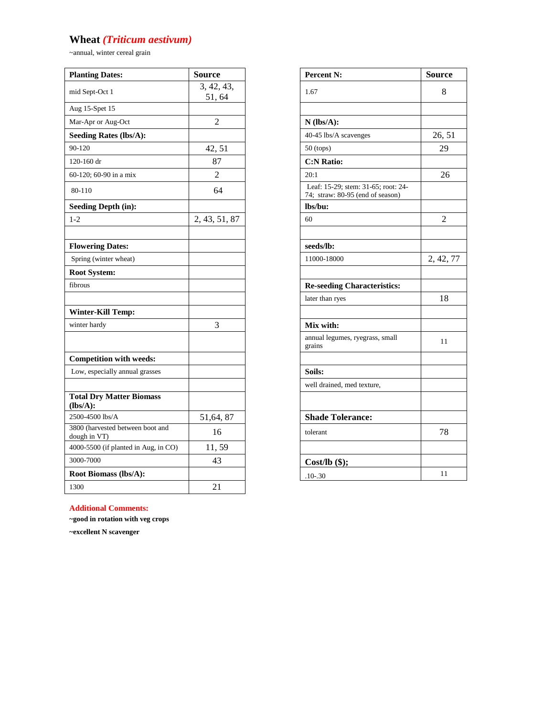# **Wheat** *(Triticum aestivum)*

~annual, winter cereal grain

| <b>Planting Dates:</b>                           | <b>Source</b>       | Percent N:                                                              | <b>Source</b>  |
|--------------------------------------------------|---------------------|-------------------------------------------------------------------------|----------------|
| mid Sept-Oct 1                                   | 3, 42, 43,<br>51,64 | 1.67                                                                    | 8              |
| Aug 15-Spet 15                                   |                     |                                                                         |                |
| Mar-Apr or Aug-Oct                               | $\overline{2}$      | $N$ (lbs/A):                                                            |                |
| <b>Seeding Rates (lbs/A):</b>                    |                     | 40-45 lbs/A scavenges                                                   | 26, 51         |
| 90-120                                           | 42, 51              | $50$ (tops)                                                             | 29             |
| 120-160 dr                                       | 87                  | <b>C:N Ratio:</b>                                                       |                |
| 60-120; 60-90 in a mix                           | $\overline{2}$      | 20:1                                                                    | 26             |
| 80-110                                           | 64                  | Leaf: 15-29; stem: 31-65; root: 24-<br>74; straw: 80-95 (end of season) |                |
| <b>Seeding Depth (in):</b>                       |                     | lbs/bu:                                                                 |                |
| $1 - 2$                                          | 2, 43, 51, 87       | 60                                                                      | $\overline{2}$ |
| <b>Flowering Dates:</b>                          |                     | seeds/lb:                                                               |                |
| Spring (winter wheat)                            |                     | 11000-18000                                                             | 2, 42, 77      |
| <b>Root System:</b>                              |                     |                                                                         |                |
| fibrous                                          |                     | <b>Re-seeding Characteristics:</b>                                      |                |
|                                                  |                     | later than ryes                                                         | 18             |
| <b>Winter-Kill Temp:</b>                         |                     |                                                                         |                |
| winter hardy                                     | 3                   | Mix with:                                                               |                |
|                                                  |                     | annual legumes, ryegrass, small<br>grains                               | 11             |
| <b>Competition with weeds:</b>                   |                     |                                                                         |                |
| Low, especially annual grasses                   |                     | Soils:                                                                  |                |
|                                                  |                     | well drained, med texture,                                              |                |
| <b>Total Dry Matter Biomass</b><br>(lbs/A):      |                     |                                                                         |                |
| 2500-4500 lbs/A                                  | 51,64,87            | <b>Shade Tolerance:</b>                                                 |                |
| 3800 (harvested between boot and<br>dough in VT) | 16                  | tolerant                                                                | 78             |
| 4000-5500 (if planted in Aug, in CO)             | 11,59               |                                                                         |                |
| 3000-7000                                        | 43                  | $Cost/lb$ (\$);                                                         |                |
| Root Biomass (lbs/A):                            |                     | $.10 - .30$                                                             | 11             |
| 1300                                             | 21                  |                                                                         |                |

| ırce                | Percent N:                                                              | <b>Source</b>  |
|---------------------|-------------------------------------------------------------------------|----------------|
| , 42, 43,<br>51, 64 | 1.67                                                                    | 8              |
|                     |                                                                         |                |
|                     | $N$ (lbs/A):                                                            |                |
|                     | 40-45 lbs/A scavenges                                                   | 26, 51         |
|                     | $50$ (tops)                                                             | 29             |
|                     | <b>C:N Ratio:</b>                                                       |                |
|                     | 20:1                                                                    | 26             |
|                     | Leaf: 15-29; stem: 31-65; root: 24-<br>74; straw: 80-95 (end of season) |                |
|                     | lbs/bu:                                                                 |                |
|                     | 60                                                                      | $\overline{2}$ |
|                     | seeds/lb:                                                               |                |
|                     | 11000-18000                                                             | 2, 42, 77      |
|                     | <b>Re-seeding Characteristics:</b>                                      |                |
|                     | later than ryes                                                         | 18             |
|                     | Mix with:                                                               |                |
|                     | annual legumes, ryegrass, small<br>grains                               | 11             |
|                     | Soils:                                                                  |                |
|                     | well drained, med texture,                                              |                |
|                     | <b>Shade Tolerance:</b>                                                 |                |
|                     | tolerant                                                                | 78             |
|                     |                                                                         |                |
|                     | $Cost/lb$ (\$);                                                         |                |
|                     | $.10 - .30$                                                             | 11             |
|                     |                                                                         |                |

### **Additional Comments:**

**~good in rotation with veg crops**

**~excellent N scavenger**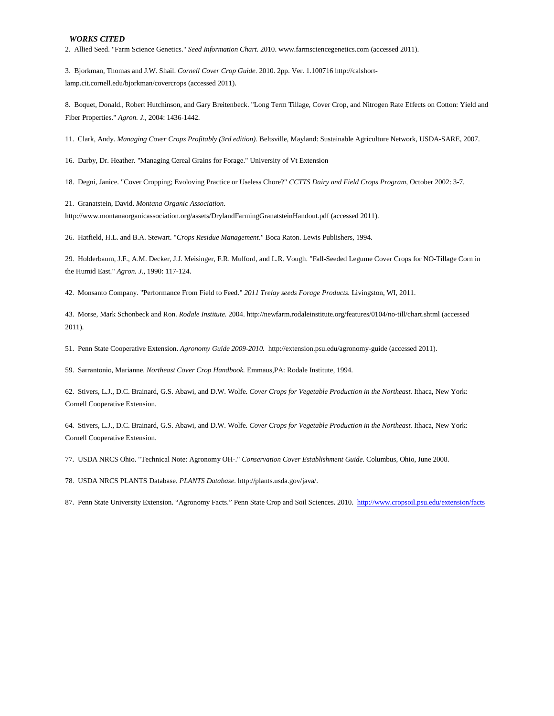2. Allied Seed. "Farm Science Genetics." *Seed Information Chart.* 2010. www.farmsciencegenetics.com (accessed 2011).

3. Bjorkman, Thomas and J.W. Shail. *Cornell Cover Crop Guide.* 2010. 2pp. Ver. 1.100716 http://calshortlamp.cit.cornell.edu/bjorkman/covercrops (accessed 2011).

8. Boquet, Donald., Robert Hutchinson, and Gary Breitenbeck. "Long Term Tillage, Cover Crop, and Nitrogen Rate Effects on Cotton: Yield and Fiber Properties." *Agron. J.*, 2004: 1436-1442.

11. Clark, Andy. *Managing Cover Crops Profitably (3rd edition).* Beltsville, Mayland: Sustainable Agriculture Network, USDA-SARE, 2007.

16. Darby, Dr. Heather. "Managing Cereal Grains for Forage." University of Vt Extension

18. Degni, Janice. "Cover Cropping; Evoloving Practice or Useless Chore?" *CCTTS Dairy and Field Crops Program*, October 2002: 3-7.

21. Granatstein, David. *Montana Organic Association.*

http://www.montanaorganicassociation.org/assets/DrylandFarmingGranatsteinHandout.pdf (accessed 2011).

26. Hatfield, H.L. and B.A. Stewart. "*Crops Residue Management."* Boca Raton. Lewis Publishers, 1994.

29. Holderbaum, J.F., A.M. Decker, J.J. Meisinger, F.R. Mulford, and L.R. Vough. "Fall-Seeded Legume Cover Crops for NO-Tillage Corn in the Humid East." *Agron. J.*, 1990: 117-124.

42. Monsanto Company. "Performance From Field to Feed." *2011 Trelay seeds Forage Products.* Livingston, WI, 2011.

43. Morse, Mark Schonbeck and Ron. *Rodale Institute.* 2004. http://newfarm.rodaleinstitute.org/features/0104/no-till/chart.shtml (accessed 2011).

51. Penn State Cooperative Extension. *Agronomy Guide 2009-2010.* http://extension.psu.edu/agronomy-guide (accessed 2011).

59. Sarrantonio, Marianne. *Northeast Cover Crop Handbook.* Emmaus,PA: Rodale Institute, 1994.

62. Stivers, L.J., D.C. Brainard, G.S. Abawi, and D.W. Wolfe. *Cover Crops for Vegetable Production in the Northeast.* Ithaca, New York: Cornell Cooperative Extension.

64. Stivers, L.J., D.C. Brainard, G.S. Abawi, and D.W. Wolfe. *Cover Crops for Vegetable Production in the Northeast.* Ithaca, New York: Cornell Cooperative Extension.

77. USDA NRCS Ohio. "Technical Note: Agronomy OH-." *Conservation Cover Establishment Guide.* Columbus, Ohio, June 2008.

78. USDA NRCS PLANTS Database. *PLANTS Database.* http://plants.usda.gov/java/.

87. Penn State University Extension. "Agronomy Facts." Penn State Crop and Soil Sciences. 2010.<http://www.cropsoil.psu.edu/extension/facts>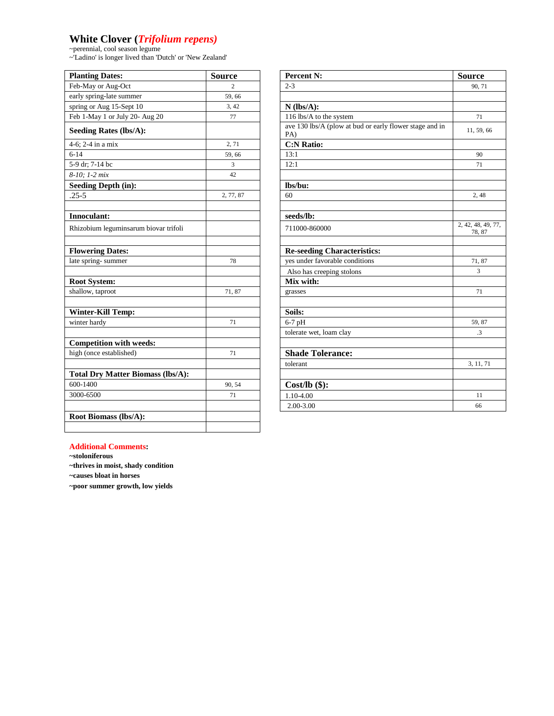# **White Clover (***Trifolium repens)*

~perennial, cool season legume

~'Ladino' is longer lived than 'Dutch' or 'New Zealand'

| <b>Planting Dates:</b>                   | <b>Source</b>          | Percent N:                                                     |
|------------------------------------------|------------------------|----------------------------------------------------------------|
| Feb-May or Aug-Oct                       | $\mathcal{D}_{\alpha}$ | $2 - 3$                                                        |
| early spring-late summer                 | 59.66                  |                                                                |
| spring or Aug 15-Sept 10                 | 3, 42                  | $N$ (lbs/A):                                                   |
| Feb 1-May 1 or July 20- Aug 20           | 77                     | 116 lbs/A to the system                                        |
| <b>Seeding Rates (lbs/A):</b>            |                        | ave 130 lbs/A (plow at bud or early flower stage and in<br>PA) |
| 4-6; 2-4 in a $\overline{\text{mix}}$    | 2, 71                  | <b>C:N Ratio:</b>                                              |
| $6 - 14$                                 | 59,66                  | 13:1                                                           |
| 5-9 dr; 7-14 bc                          | 3                      | 12:1                                                           |
| 8-10; 1-2 mix                            | 42                     |                                                                |
| <b>Seeding Depth (in):</b>               |                        | lbs/bu:                                                        |
| $.25 - 5$                                | 2, 77, 87              | 60                                                             |
|                                          |                        |                                                                |
| Innoculant:                              |                        | seeds/lb:                                                      |
| Rhizobium leguminsarum biovar trifoli    |                        | 711000-860000                                                  |
|                                          |                        |                                                                |
| <b>Flowering Dates:</b>                  |                        | <b>Re-seeding Characteristics:</b>                             |
| late spring-summer                       | 78                     | yes under favorable conditions                                 |
|                                          |                        | Also has creeping stolons                                      |
| Root System:                             |                        | Mix with:                                                      |
| shallow, taproot                         | 71,87                  | grasses                                                        |
|                                          |                        |                                                                |
| <b>Winter-Kill Temp:</b>                 |                        | Soils:                                                         |
| winter hardy                             | 71                     | $6-7$ pH                                                       |
|                                          |                        | tolerate wet, loam clay                                        |
| <b>Competition with weeds:</b>           |                        |                                                                |
| high (once established)                  | 71                     | <b>Shade Tolerance:</b>                                        |
|                                          |                        | tolerant                                                       |
| <b>Total Dry Matter Biomass (lbs/A):</b> |                        |                                                                |
| 600-1400                                 | 90, 54                 | $Cost/lb$ (\$):                                                |
| 3000-6500                                | 71                     | 1.10-4.00                                                      |
|                                          |                        | 2.00-3.00                                                      |
| Root Biomass (lbs/A):                    |                        |                                                                |
|                                          |                        |                                                                |

| <b>Planting Dates:</b>                   | <b>Source</b>  | Percent N:                                                     | <b>Source</b>                |
|------------------------------------------|----------------|----------------------------------------------------------------|------------------------------|
| Feb-May or Aug-Oct                       | $\overline{2}$ | $2 - 3$                                                        | 90, 71                       |
| early spring-late summer                 | 59,66          |                                                                |                              |
| spring or Aug 15-Sept 10                 | 3, 42          | $N$ (lbs/A):                                                   |                              |
| Feb 1-May 1 or July 20- Aug 20           | 77             | 116 lbs/A to the system                                        | 71                           |
| <b>Seeding Rates (lbs/A):</b>            |                | ave 130 lbs/A (plow at bud or early flower stage and in<br>PA) | 11, 59, 66                   |
| 4-6; 2-4 in a mix                        | 2, 71          | <b>C:N Ratio:</b>                                              |                              |
| $6 - 14$                                 | 59,66          | 13:1                                                           | 90                           |
| 5-9 dr; 7-14 bc                          | 3              | 12:1                                                           | 71                           |
| 8-10; 1-2 mix                            | 42             |                                                                |                              |
| <b>Seeding Depth (in):</b>               |                | lbs/bu:                                                        |                              |
| $.25 - 5$                                | 2, 77, 87      | 60                                                             | 2,48                         |
|                                          |                |                                                                |                              |
| Innoculant:                              |                | seeds/lb:                                                      |                              |
| Rhizobium leguminsarum biovar trifoli    |                | 711000-860000                                                  | 2, 42, 48, 49, 77,<br>78, 87 |
| <b>Flowering Dates:</b>                  |                | <b>Re-seeding Characteristics:</b>                             |                              |
| late spring-summer                       | 78             | yes under favorable conditions                                 | 71,87                        |
|                                          |                | Also has creeping stolons                                      | 3                            |
| <b>Root System:</b>                      |                | Mix with:                                                      |                              |
| shallow, taproot                         | 71,87          | grasses                                                        | 71                           |
| <b>Winter-Kill Temp:</b>                 |                | Soils:                                                         |                              |
| winter hardy                             | 71             | $6-7$ pH                                                       | 59, 87                       |
|                                          |                | tolerate wet, loam clay                                        | $\cdot$ 3                    |
| <b>Competition with weeds:</b>           |                |                                                                |                              |
| high (once established)                  | 71             | <b>Shade Tolerance:</b>                                        |                              |
|                                          |                | tolerant                                                       | 3, 11, 71                    |
| <b>Total Dry Matter Biomass (lbs/A):</b> |                |                                                                |                              |
| 600-1400                                 | 90, 54         | $Cost/lb$ (\$):                                                |                              |
| 3000-6500                                | 71             | 1.10-4.00                                                      | 11                           |
|                                          |                | $2.00 - 3.00$                                                  | 66                           |
|                                          |                |                                                                |                              |

### **Additional Comments:**

**~stoloniferous**

**~thrives in moist, shady condition**

**~causes bloat in horses**

**~poor summer growth, low yields**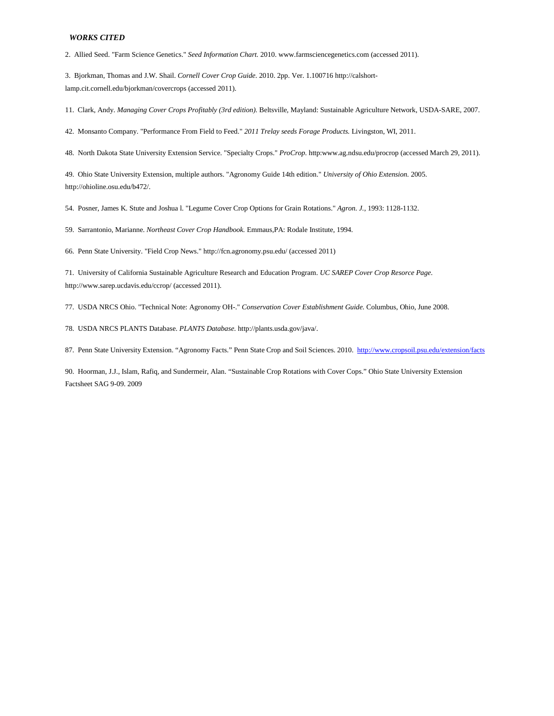2. Allied Seed. "Farm Science Genetics." *Seed Information Chart.* 2010. www.farmsciencegenetics.com (accessed 2011).

3. Bjorkman, Thomas and J.W. Shail. *Cornell Cover Crop Guide.* 2010. 2pp. Ver. 1.100716 http://calshortlamp.cit.cornell.edu/bjorkman/covercrops (accessed 2011).

11. Clark, Andy. *Managing Cover Crops Profitably (3rd edition).* Beltsville, Mayland: Sustainable Agriculture Network, USDA-SARE, 2007.

42. Monsanto Company. "Performance From Field to Feed." *2011 Trelay seeds Forage Products.* Livingston, WI, 2011.

48. North Dakota State University Extension Service. "Specialty Crops." *ProCrop.* http:www.ag.ndsu.edu/procrop (accessed March 29, 2011).

49. Ohio State University Extension, multiple authors. "Agronomy Guide 14th edition." *University of Ohio Extension.* 2005. http://ohioline.osu.edu/b472/.

54. Posner, James K. Stute and Joshua l. "Legume Cover Crop Options for Grain Rotations." *Agron. J.*, 1993: 1128-1132.

59. Sarrantonio, Marianne. *Northeast Cover Crop Handbook.* Emmaus,PA: Rodale Institute, 1994.

66. Penn State University. "Field Crop News." http://fcn.agronomy.psu.edu/ (accessed 2011)

71. University of California Sustainable Agriculture Research and Education Program. *UC SAREP Cover Crop Resorce Page.* http://www.sarep.ucdavis.edu/ccrop/ (accessed 2011).

77. USDA NRCS Ohio. "Technical Note: Agronomy OH-." *Conservation Cover Establishment Guide.* Columbus, Ohio, June 2008.

78. USDA NRCS PLANTS Database. *PLANTS Database.* http://plants.usda.gov/java/.

87. Penn State University Extension. "Agronomy Facts." Penn State Crop and Soil Sciences. 2010. <http://www.cropsoil.psu.edu/extension/facts>

90. Hoorman, J.J., Islam, Rafiq, and Sundermeir, Alan. "Sustainable Crop Rotations with Cover Cops." Ohio State University Extension Factsheet SAG 9-09. 2009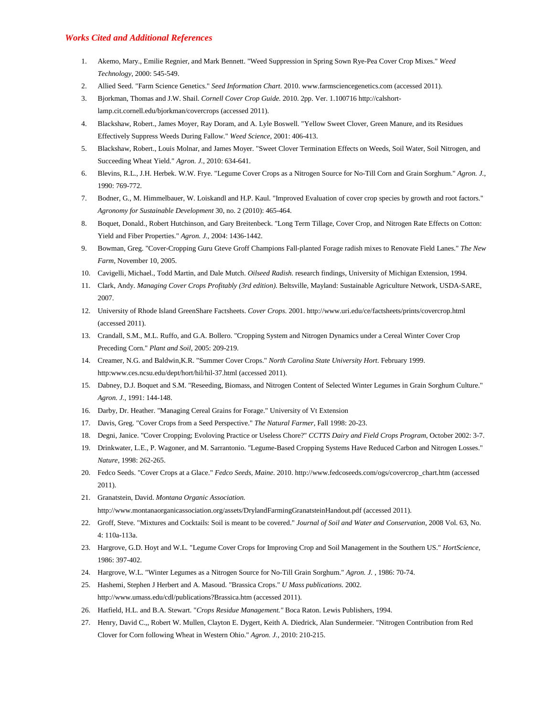#### *Works Cited and Additional References*

- 1. Akemo, Mary., Emilie Regnier, and Mark Bennett. "Weed Suppression in Spring Sown Rye-Pea Cover Crop Mixes." *Weed Technology*, 2000: 545-549.
- 2. Allied Seed. "Farm Science Genetics." *Seed Information Chart.* 2010. www.farmsciencegenetics.com (accessed 2011).
- 3. Bjorkman, Thomas and J.W. Shail. *Cornell Cover Crop Guide.* 2010. 2pp. Ver. 1.100716 http://calshortlamp.cit.cornell.edu/bjorkman/covercrops (accessed 2011).
- 4. Blackshaw, Robert., James Moyer, Ray Doram, and A. Lyle Boswell. "Yellow Sweet Clover, Green Manure, and its Residues Effectively Suppress Weeds During Fallow." *Weed Science*, 2001: 406-413.
- 5. Blackshaw, Robert., Louis Molnar, and James Moyer. "Sweet Clover Termination Effects on Weeds, Soil Water, Soil Nitrogen, and Succeeding Wheat Yield." *Agron. J.*, 2010: 634-641.
- 6. Blevins, R.L., J.H. Herbek. W.W. Frye. "Legume Cover Crops as a Nitrogen Source for No-Till Corn and Grain Sorghum." *Agron. J.*, 1990: 769-772.
- 7. Bodner, G., M. Himmelbauer, W. Loiskandl and H.P. Kaul. "Improved Evaluation of cover crop species by growth and root factors." *Agronomy for Sustainable Development* 30, no. 2 (2010): 465-464.
- 8. Boquet, Donald., Robert Hutchinson, and Gary Breitenbeck. "Long Term Tillage, Cover Crop, and Nitrogen Rate Effects on Cotton: Yield and Fiber Properties." *Agron. J.*, 2004: 1436-1442.
- 9. Bowman, Greg. "Cover-Cropping Guru Gteve Groff Champions Fall-planted Forage radish mixes to Renovate Field Lanes." *The New Farm*, November 10, 2005.
- 10. Cavigelli, Michael., Todd Martin, and Dale Mutch. *Oilseed Radish.* research findings, University of Michigan Extension, 1994.
- 11. Clark, Andy. *Managing Cover Crops Profitably (3rd edition).* Beltsville, Mayland: Sustainable Agriculture Network, USDA-SARE, 2007.
- 12. University of Rhode Island GreenShare Factsheets. *Cover Crops.* 2001. http://www.uri.edu/ce/factsheets/prints/covercrop.html (accessed 2011).
- 13. Crandall, S.M., M.L. Ruffo, and G.A. Bollero. "Cropping System and Nitrogen Dynamics under a Cereal Winter Cover Crop Preceding Corn." *Plant and Soil*, 2005: 209-219.
- 14. Creamer, N.G. and Baldwin,K.R. "Summer Cover Crops." *North Carolina State University Hort.* February 1999. http:www.ces.ncsu.edu/dept/hort/hil/hil-37.html (accessed 2011).
- 15. Dabney, D.J. Boquet and S.M. "Reseeding, Biomass, and Nitrogen Content of Selected Winter Legumes in Grain Sorghum Culture." *Agron. J.*, 1991: 144-148.
- 16. Darby, Dr. Heather. "Managing Cereal Grains for Forage." University of Vt Extension
- 17. Davis, Greg. "Cover Crops from a Seed Perspective." *The Natural Farmer*, Fall 1998: 20-23.
- 18. Degni, Janice. "Cover Cropping; Evoloving Practice or Useless Chore?" *CCTTS Dairy and Field Crops Program*, October 2002: 3-7.
- 19. Drinkwater, L.E., P. Wagoner, and M. Sarrantonio. "Legume-Based Cropping Systems Have Reduced Carbon and Nitrogen Losses." *Nature*, 1998: 262-265.
- 20. Fedco Seeds. "Cover Crops at a Glace." *Fedco Seeds, Maine.* 2010. http://www.fedcoseeds.com/ogs/covercrop\_chart.htm (accessed 2011).
- 21. Granatstein, David. *Montana Organic Association.* http://www.montanaorganicassociation.org/assets/DrylandFarmingGranatsteinHandout.pdf (accessed 2011).
- 22. Groff, Steve. "Mixtures and Cocktails: Soil is meant to be covered." *Journal of Soil and Water and Conservation*, 2008 Vol. 63, No. 4: 110a-113a.
- 23. Hargrove, G.D. Hoyt and W.L. "Legume Cover Crops for Improving Crop and Soil Management in the Southern US." *HortScience*, 1986: 397-402.
- 24. Hargrove, W.L. "Winter Legumes as a Nitrogen Source for No-Till Grain Sorghum." *Agron. J.* , 1986: 70-74.
- 25. Hashemi, Stephen J Herbert and A. Masoud. "Brassica Crops." *U Mass publications.* 2002. http://www.umass.edu/cdl/publications?Brassica.htm (accessed 2011).
- 26. Hatfield, H.L. and B.A. Stewart. "*Crops Residue Management."* Boca Raton. Lewis Publishers, 1994.
- 27. Henry, David C.,, Robert W. Mullen, Clayton E. Dygert, Keith A. Diedrick, Alan Sundermeier. "Nitrogen Contribution from Red Clover for Corn following Wheat in Western Ohio." *Agron. J.*, 2010: 210-215.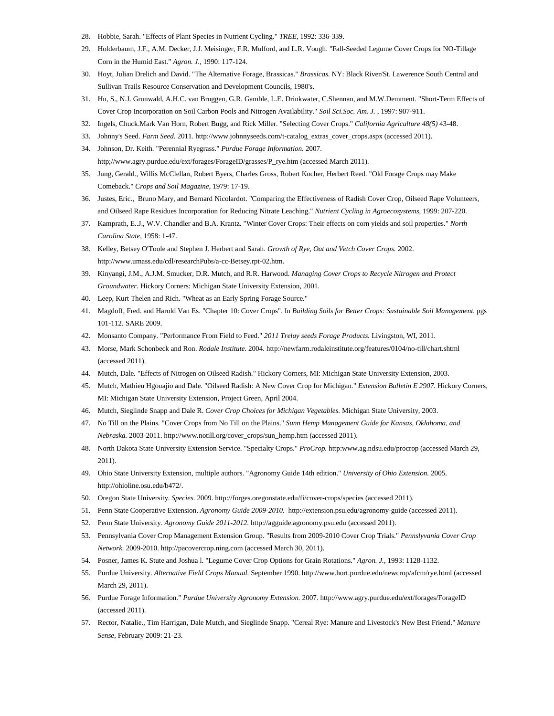- 28. Hobbie, Sarah. "Effects of Plant Species in Nutrient Cycling." *TREE*, 1992: 336-339.
- 29. Holderbaum, J.F., A.M. Decker, J.J. Meisinger, F.R. Mulford, and L.R. Vough. "Fall-Seeded Legume Cover Crops for NO-Tillage Corn in the Humid East." *Agron. J.*, 1990: 117-124.
- 30. Hoyt, Julian Drelich and David. "The Alternative Forage, Brassicas." *Brassicas.* NY: Black River/St. Lawerence South Central and Sullivan Trails Resource Conservation and Development Councils, 1980's.
- 31. Hu, S., N.J. Grunwald, A.H.C. van Bruggen, G.R. Gamble, L.E. Drinkwater, C.Shennan, and M.W.Demment. "Short-Term Effects of Cover Crop Incorporation on Soil Carbon Pools and Nitrogen Availability." *Soil Sci.Soc. Am. J.* , 1997: 907-911.
- 32. Ingels, Chuck.Mark Van Horn, Robert Bugg, and Rick Miller. "Selecting Cover Crops." *California Agriculture 48(5)* 43-48.
- 33. Johnny's Seed. *Farm Seed.* 2011. http://www.johnnyseeds.com/t-catalog\_extras\_cover\_crops.aspx (accessed 2011).
- 34. Johnson, Dr. Keith. "Perennial Ryegrass." *Purdue Forage Information.* 2007. http;//www.agry.purdue.edu/ext/forages/ForageID/grasses/P\_rye.htm (accessed March 2011).
- 35. Jung, Gerald., Willis McClellan, Robert Byers, Charles Gross, Robert Kocher, Herbert Reed. "Old Forage Crops may Make Comeback." *Crops and Soil Magazine*, 1979: 17-19.
- 36. Justes, Eric., Bruno Mary, and Bernard Nicolardot. "Comparing the Effectiveness of Radish Cover Crop, Oilseed Rape Volunteers, and Oilseed Rape Residues Incorporation for Reducing Nitrate Leaching." *Nutrient Cycling in Agroecosystems*, 1999: 207-220.
- 37. Kamprath, E..J., W.V. Chandler and B.A. Krantz. "Winter Cover Crops: Their effects on corn yields and soil properties." *North Carolina State*, 1958: 1-47.
- 38. Kelley, Betsey O'Toole and Stephen J. Herbert and Sarah. *Growth of Rye, Oat and Vetch Cover Crops.* 2002. http://www.umass.edu/cdl/researchPubs/a-cc-Betsey.rpt-02.htm.
- 39. Kinyangi, J.M., A.J.M. Smucker, D.R. Mutch, and R.R. Harwood. *Managing Cover Crops to Recycle Nitrogen and Protect Groundwater.* Hickory Corners: Michigan State University Extension, 2001.
- 40. Leep, Kurt Thelen and Rich. "Wheat as an Early Spring Forage Source."
- 41. Magdoff, Fred. and Harold Van Es. "Chapter 10: Cover Crops". In *Building Soils for Better Crops: Sustainable Soil Management.* pgs 101-112. SARE 2009.
- 42. Monsanto Company. "Performance From Field to Feed." *2011 Trelay seeds Forage Products.* Livingston, WI, 2011.
- 43. Morse, Mark Schonbeck and Ron. *Rodale Institute.* 2004. http://newfarm.rodaleinstitute.org/features/0104/no-till/chart.shtml (accessed 2011).
- 44. Mutch, Dale. "Effects of Nitrogen on Oilseed Radish." Hickory Corners, MI: Michigan State University Extension, 2003.
- 45. Mutch, Mathieu Hgouajio and Dale. "Oilseed Radish: A New Cover Crop for Michigan." *Extension Bulletin E 2907.* Hickory Corners, MI: Michigan State University Extension, Project Green, April 2004.
- 46. Mutch, Sieglinde Snapp and Dale R. *Cover Crop Choices for Michigan Vegetables.* Michigan State University, 2003.
- 47. No Till on the Plains. "Cover Crops from No Till on the Plains." *Sunn Hemp Management Guide for Kansas, Oklahoma, and Nebraska.* 2003-2011. http://www.notill.org/cover\_crops/sun\_hemp.htm (accessed 2011).
- 48. North Dakota State University Extension Service. "Specialty Crops." *ProCrop.* http:www.ag.ndsu.edu/procrop (accessed March 29, 2011).
- 49. Ohio State University Extension, multiple authors. "Agronomy Guide 14th edition." *University of Ohio Extension.* 2005. http://ohioline.osu.edu/b472/.
- 50. Oregon State University. *Species.* 2009. http://forges.oregonstate.edu/fi/cover-crops/species (accessed 2011).
- 51. Penn State Cooperative Extension. *Agronomy Guide 2009-2010.* http://extension.psu.edu/agronomy-guide (accessed 2011).
- 52. Penn State University. *Agronomy Guide 2011-2012.* http://agguide.agronomy.psu.edu (accessed 2011).
- 53. Pennsylvania Cover Crop Management Extension Group. "Results from 2009-2010 Cover Crop Trials." *Pennslyvania Cover Crop Network.* 2009-2010. http://pacovercrop.ning.com (accessed March 30, 2011).
- 54. Posner, James K. Stute and Joshua l. "Legume Cover Crop Options for Grain Rotations." *Agron. J.*, 1993: 1128-1132.
- 55. Purdue University. *Alternative Field Crops Manual.* September 1990. http://www.hort.purdue.edu/newcrop/afcm/rye.html (accessed March 29, 2011).
- 56. Purdue Forage Information." *Purdue University Agronomy Extension.* 2007. http://www.agry.purdue.edu/ext/forages/ForageID (accessed 2011).
- 57. Rector, Natalie., Tim Harrigan, Dale Mutch, and Sieglinde Snapp. "Cereal Rye: Manure and Livestock's New Best Friend." *Manure Sense*, February 2009: 21-23.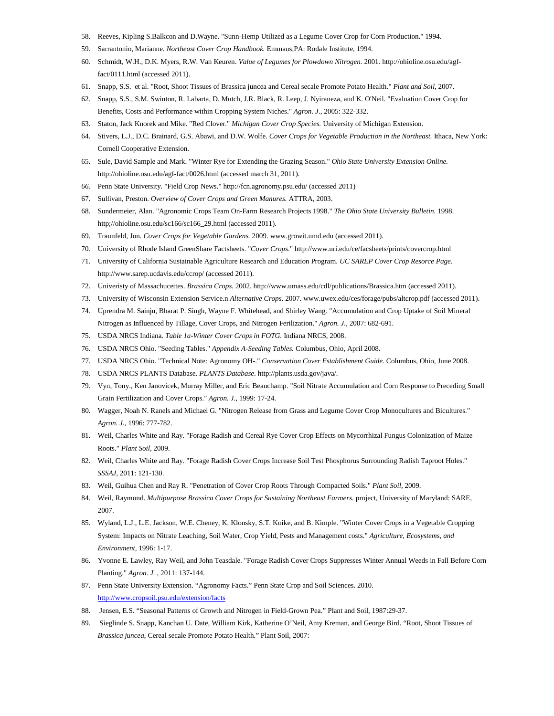- 58. Reeves, Kipling S.Balkcon and D.Wayne. "Sunn-Hemp Utilized as a Legume Cover Crop for Corn Production." 1994.
- 59. Sarrantonio, Marianne. *Northeast Cover Crop Handbook.* Emmaus,PA: Rodale Institute, 1994.
- 60. Schmidt, W.H., D.K. Myers, R.W. Van Keuren. *Value of Legumes for Plowdown Nitrogen.* 2001. http://ohioline.osu.edu/agffact/0111.html (accessed 2011).
- 61. Snapp, S.S. et al. "Root, Shoot Tissues of Brassica juncea and Cereal secale Promote Potato Health." *Plant and Soil*, 2007.
- 62. Snapp, S.S., S.M. Swinton, R. Labarta, D. Mutch, J.R. Black, R. Leep, J. Nyiraneza, and K. O'Neil. "Evaluation Cover Crop for Benefits, Costs and Performance within Cropping System Niches." *Agron. J.*, 2005: 322-332.
- 63. Staton, Jack Knorek and Mike. "Red Clover." *Michigan Cover Crop Species.* University of Michigan Extension.
- 64. Stivers, L.J., D.C. Brainard, G.S. Abawi, and D.W. Wolfe. *Cover Crops for Vegetable Production in the Northeast.* Ithaca, New York: Cornell Cooperative Extension.
- 65. Sule, David Sample and Mark. "Winter Rye for Extending the Grazing Season." *Ohio State University Extension Online.* http://ohioline.osu.edu/agf-fact/0026.html (accessed march 31, 2011).
- *66.* Penn State University. "Field Crop News." http://fcn.agronomy.psu.edu/ (accessed 2011)
- 67. Sullivan, Preston. *Overview of Cover Crops and Green Manures.* ATTRA, 2003.
- 68. Sundermeier, Alan. "Agronomic Crops Team On-Farm Research Projects 1998." *The Ohio State University Bulletin.* 1998. http;//ohioline.osu.edu/sc166/sc166\_29.html (accessed 2011).
- 69. Traunfeld, Jon. *Cover Crops for Vegetable Gardens.* 2009. www.growit.umd.edu (accessed 2011).
- 70. University of Rhode Island GreenShare Factsheets. "*Cover Crops*." http://www.uri.edu/ce/facsheets/prints/covercrop.html
- 71. University of California Sustainable Agriculture Research and Education Program. *UC SAREP Cover Crop Resorce Page.* http://www.sarep.ucdavis.edu/ccrop/ (accessed 2011).
- 72. Univeristy of Massachucettes. *Brassica Crops.* 2002. http://www.umass.edu/cdl/publications/Brassica.htm (accessed 2011).
- 73. University of Wisconsin Extension Service.n *Alternative Crops.* 2007. www.uwex.edu/ces/forage/pubs/altcrop.pdf (accessed 2011).
- 74. Uprendra M. Sainju, Bharat P. Singh, Wayne F. Whitehead, and Shirley Wang. "Accumulation and Crop Uptake of Soil Mineral Nitrogen as Influenced by Tillage, Cover Crops, and Nitrogen Ferilization." *Agron. J.*, 2007: 682-691.
- 75. USDA NRCS Indiana. *Table 1a-Winter Cover Crops in FOTG.* Indiana NRCS, 2008.
- 76. USDA NRCS Ohio. "Seeding Tables." *Appendix A-Seeding Tables.* Columbus, Ohio, April 2008.
- 77. USDA NRCS Ohio. "Technical Note: Agronomy OH-." *Conservation Cover Establishment Guide.* Columbus, Ohio, June 2008.
- 78. USDA NRCS PLANTS Database. *PLANTS Database.* http://plants.usda.gov/java/.
- 79. Vyn, Tony., Ken Janovicek, Murray Miller, and Eric Beauchamp. "Soil Nitrate Accumulation and Corn Response to Preceding Small Grain Fertilization and Cover Crops." *Agron. J.*, 1999: 17-24.
- 80. Wagger, Noah N. Ranels and Michael G. "Nitrogen Release from Grass and Legume Cover Crop Monocultures and Bicultures." *Agron. J.*, 1996: 777-782.
- 81. Weil, Charles White and Ray. "Forage Radish and Cereal Rye Cover Crop Effects on Mycorrhizal Fungus Colonization of Maize Roots." *Plant Soil*, 2009.
- 82. Weil, Charles White and Ray. "Forage Radish Cover Crops Increase Soil Test Phosphorus Surrounding Radish Taproot Holes." *SSSAJ*, 2011: 121-130.
- 83. Weil, Guihua Chen and Ray R. "Penetration of Cover Crop Roots Through Compacted Soils." *Plant Soil*, 2009.
- 84. Weil, Raymond. *Multipurpose Brassica Cover Crops for Sustaining Northeast Farmers.* project, University of Maryland: SARE, 2007.
- 85. Wyland, L.J., L.E. Jackson, W.E. Cheney, K. Klonsky, S.T. Koike, and B. Kimple. "Winter Cover Crops in a Vegetable Cropping System: Impacts on Nitrate Leaching, Soil Water, Crop Yield, Pests and Management costs." *Agriculture, Ecosystems, and Environment*, 1996: 1-17.
- 86. Yvonne E. Lawley, Ray Weil, and John Teasdale. "Forage Radish Cover Crops Suppresses Winter Annual Weeds in Fall Before Corn Planting." *Agron. J.* , 2011: 137-144.
- 87. Penn State University Extension. "Agronomy Facts." Penn State Crop and Soil Sciences. 2010. <http://www.cropsoil.psu.edu/extension/facts>
- 88. Jensen, E.S. "Seasonal Patterns of Growth and Nitrogen in Field-Grown Pea." Plant and Soil, 1987:29-37.
- 89. Sieglinde S. Snapp, Kanchan U. Date, William Kirk, Katherine O'Neil, Amy Kreman, and George Bird. "Root, Shoot Tissues of *Brassica juncea*, Cereal secale Promote Potato Health." Plant Soil, 2007: